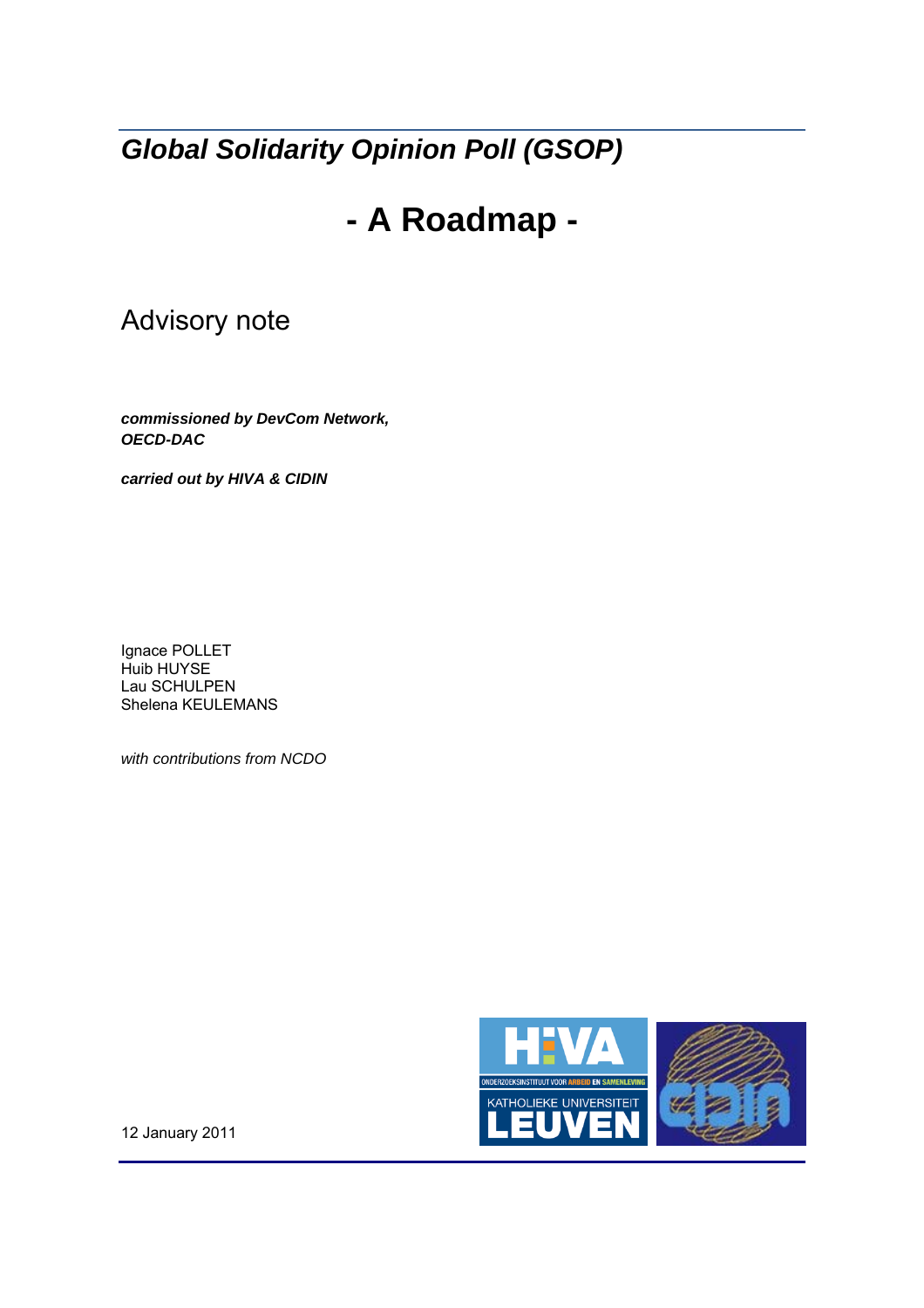*Global Solidarity Opinion Poll (GSOP)* 

# **- A Roadmap -**

## Advisory note

*commissioned by DevCom Network, OECD-DAC* 

*carried out by HIVA & CIDIN*

Ignace POLLET Huib HUYSE Lau SCHULPEN Shelena KEULEMANS

*with contributions from NCDO* 



12 January 2011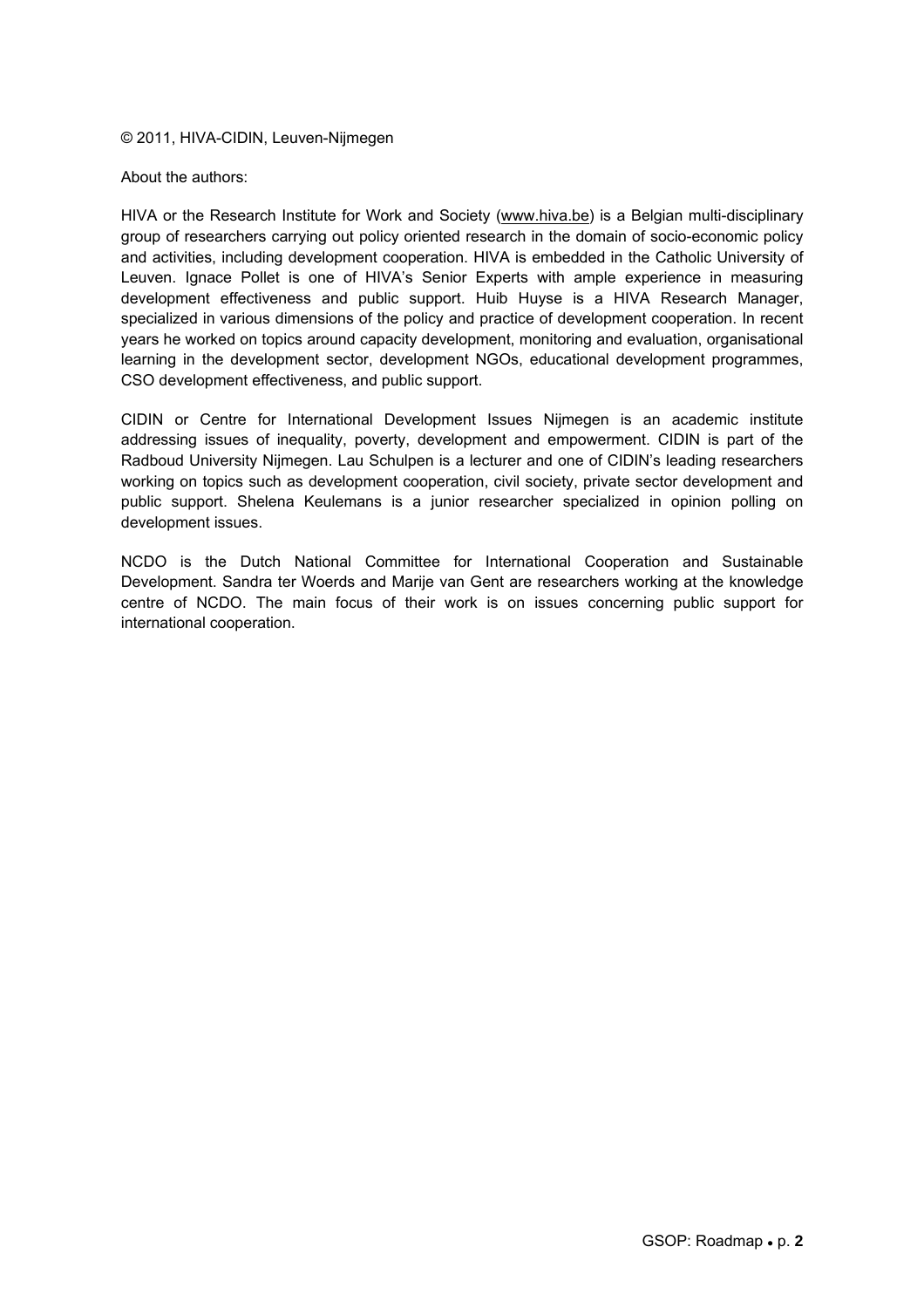#### © 2011, HIVA-CIDIN, Leuven-Nijmegen

#### About the authors:

HIVA or the Research Institute for Work and Society (www.hiva.be) is a Belgian multi-disciplinary group of researchers carrying out policy oriented research in the domain of socio-economic policy and activities, including development cooperation. HIVA is embedded in the Catholic University of Leuven. Ignace Pollet is one of HIVA's Senior Experts with ample experience in measuring development effectiveness and public support. Huib Huyse is a HIVA Research Manager, specialized in various dimensions of the policy and practice of development cooperation. In recent years he worked on topics around capacity development, monitoring and evaluation, organisational learning in the development sector, development NGOs, educational development programmes, CSO development effectiveness, and public support.

CIDIN or Centre for International Development Issues Nijmegen is an academic institute addressing issues of inequality, poverty, development and empowerment. CIDIN is part of the Radboud University Nijmegen. Lau Schulpen is a lecturer and one of CIDIN's leading researchers working on topics such as development cooperation, civil society, private sector development and public support. Shelena Keulemans is a junior researcher specialized in opinion polling on development issues.

NCDO is the Dutch National Committee for International Cooperation and Sustainable Development. Sandra ter Woerds and Marije van Gent are researchers working at the knowledge centre of NCDO. The main focus of their work is on issues concerning public support for international cooperation.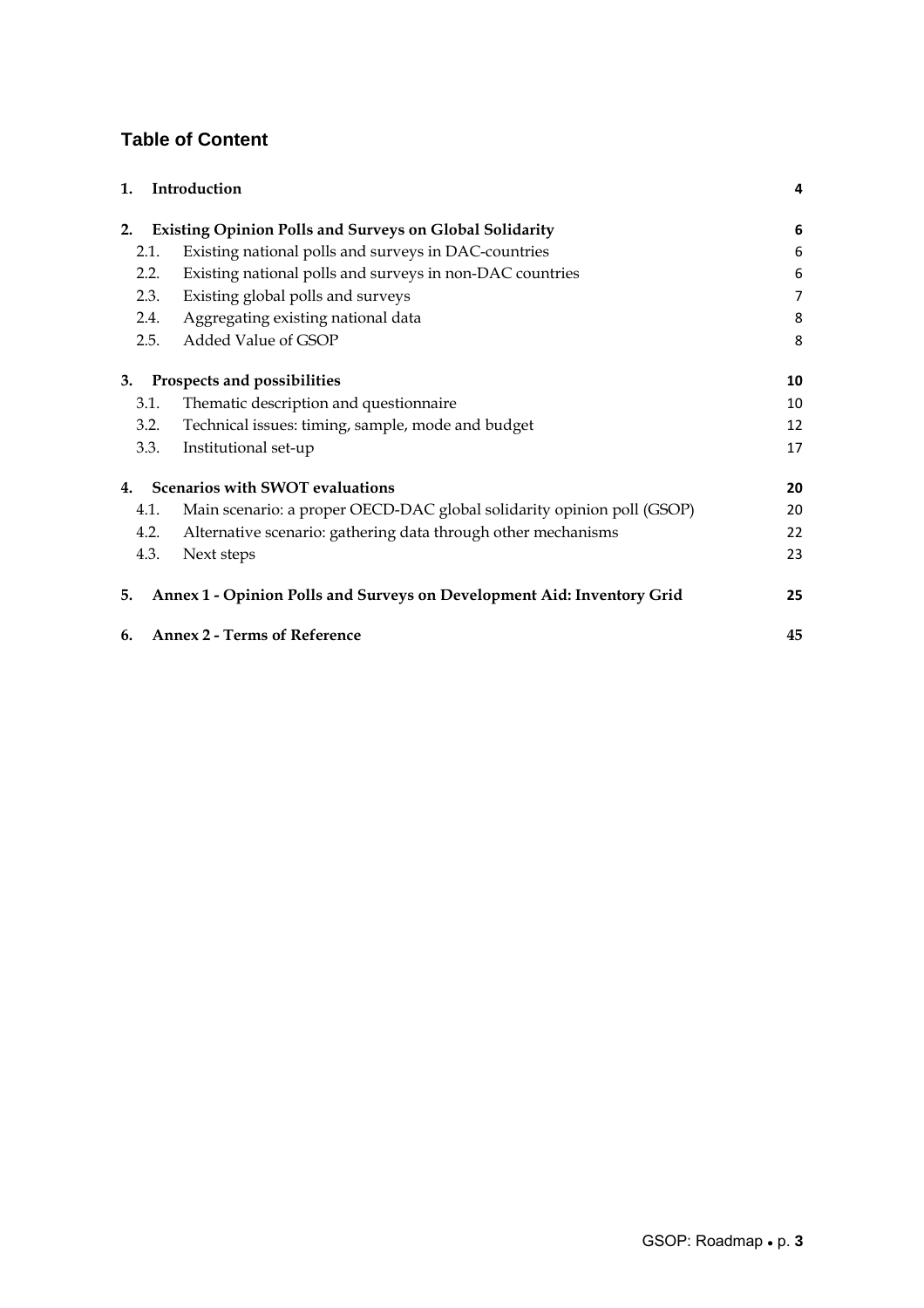### **Table of Content**

| 1.   | Introduction                                                           | 4  |
|------|------------------------------------------------------------------------|----|
| 2.   | <b>Existing Opinion Polls and Surveys on Global Solidarity</b>         | 6  |
| 2.1. | Existing national polls and surveys in DAC-countries                   | 6  |
| 2.2. | Existing national polls and surveys in non-DAC countries               | 6  |
| 2.3. | Existing global polls and surveys                                      | 7  |
| 2.4. | Aggregating existing national data                                     | 8  |
| 2.5. | Added Value of GSOP                                                    | 8  |
| 3.   | Prospects and possibilities                                            | 10 |
| 3.1. | Thematic description and questionnaire                                 | 10 |
| 3.2. | Technical issues: timing, sample, mode and budget                      | 12 |
| 3.3. | Institutional set-up                                                   | 17 |
| 4.   | Scenarios with SWOT evaluations                                        | 20 |
| 4.1. | Main scenario: a proper OECD-DAC global solidarity opinion poll (GSOP) | 20 |
| 4.2. | Alternative scenario: gathering data through other mechanisms          | 22 |
| 4.3. | Next steps                                                             | 23 |
| 5.   | Annex 1 - Opinion Polls and Surveys on Development Aid: Inventory Grid | 25 |
| 6.   | <b>Annex 2 - Terms of Reference</b>                                    | 45 |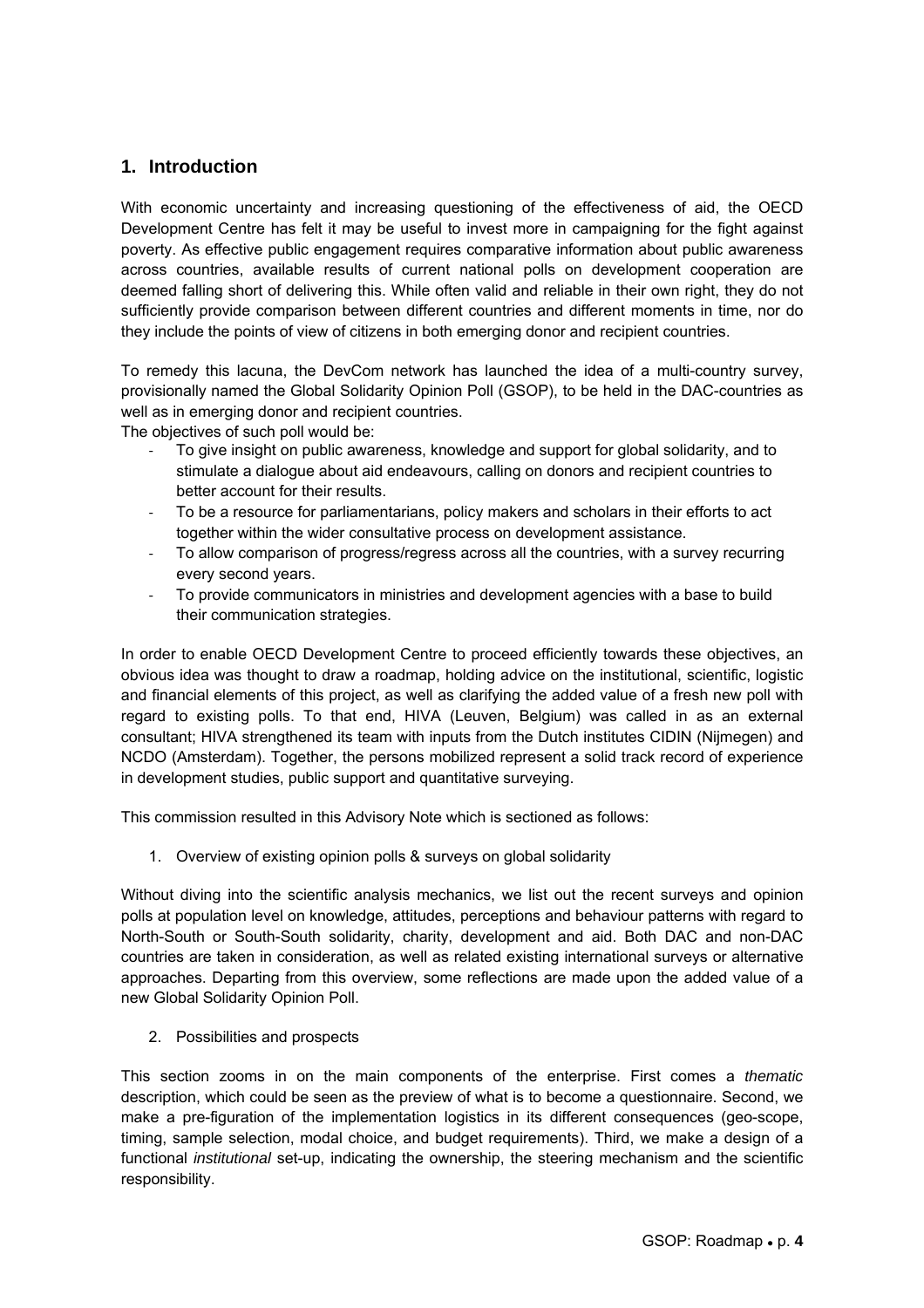### **1. Introduction**

With economic uncertainty and increasing questioning of the effectiveness of aid, the OECD Development Centre has felt it may be useful to invest more in campaigning for the fight against poverty. As effective public engagement requires comparative information about public awareness across countries, available results of current national polls on development cooperation are deemed falling short of delivering this. While often valid and reliable in their own right, they do not sufficiently provide comparison between different countries and different moments in time, nor do they include the points of view of citizens in both emerging donor and recipient countries.

To remedy this lacuna, the DevCom network has launched the idea of a multi-country survey, provisionally named the Global Solidarity Opinion Poll (GSOP), to be held in the DAC-countries as well as in emerging donor and recipient countries.

The objectives of such poll would be:

- ‐ To give insight on public awareness, knowledge and support for global solidarity, and to stimulate a dialogue about aid endeavours, calling on donors and recipient countries to better account for their results.
- ‐ To be a resource for parliamentarians, policy makers and scholars in their efforts to act together within the wider consultative process on development assistance.
- ‐ To allow comparison of progress/regress across all the countries, with a survey recurring every second years.
- ‐ To provide communicators in ministries and development agencies with a base to build their communication strategies.

In order to enable OECD Development Centre to proceed efficiently towards these objectives, an obvious idea was thought to draw a roadmap, holding advice on the institutional, scientific, logistic and financial elements of this project, as well as clarifying the added value of a fresh new poll with regard to existing polls. To that end, HIVA (Leuven, Belgium) was called in as an external consultant; HIVA strengthened its team with inputs from the Dutch institutes CIDIN (Nijmegen) and NCDO (Amsterdam). Together, the persons mobilized represent a solid track record of experience in development studies, public support and quantitative surveying.

This commission resulted in this Advisory Note which is sectioned as follows:

1. Overview of existing opinion polls & surveys on global solidarity

Without diving into the scientific analysis mechanics, we list out the recent surveys and opinion polls at population level on knowledge, attitudes, perceptions and behaviour patterns with regard to North-South or South-South solidarity, charity, development and aid. Both DAC and non-DAC countries are taken in consideration, as well as related existing international surveys or alternative approaches. Departing from this overview, some reflections are made upon the added value of a new Global Solidarity Opinion Poll.

2. Possibilities and prospects

This section zooms in on the main components of the enterprise. First comes a *thematic* description, which could be seen as the preview of what is to become a questionnaire. Second, we make a pre-figuration of the implementation logistics in its different consequences (geo-scope, timing, sample selection, modal choice, and budget requirements). Third, we make a design of a functional *institutional* set-up, indicating the ownership, the steering mechanism and the scientific responsibility.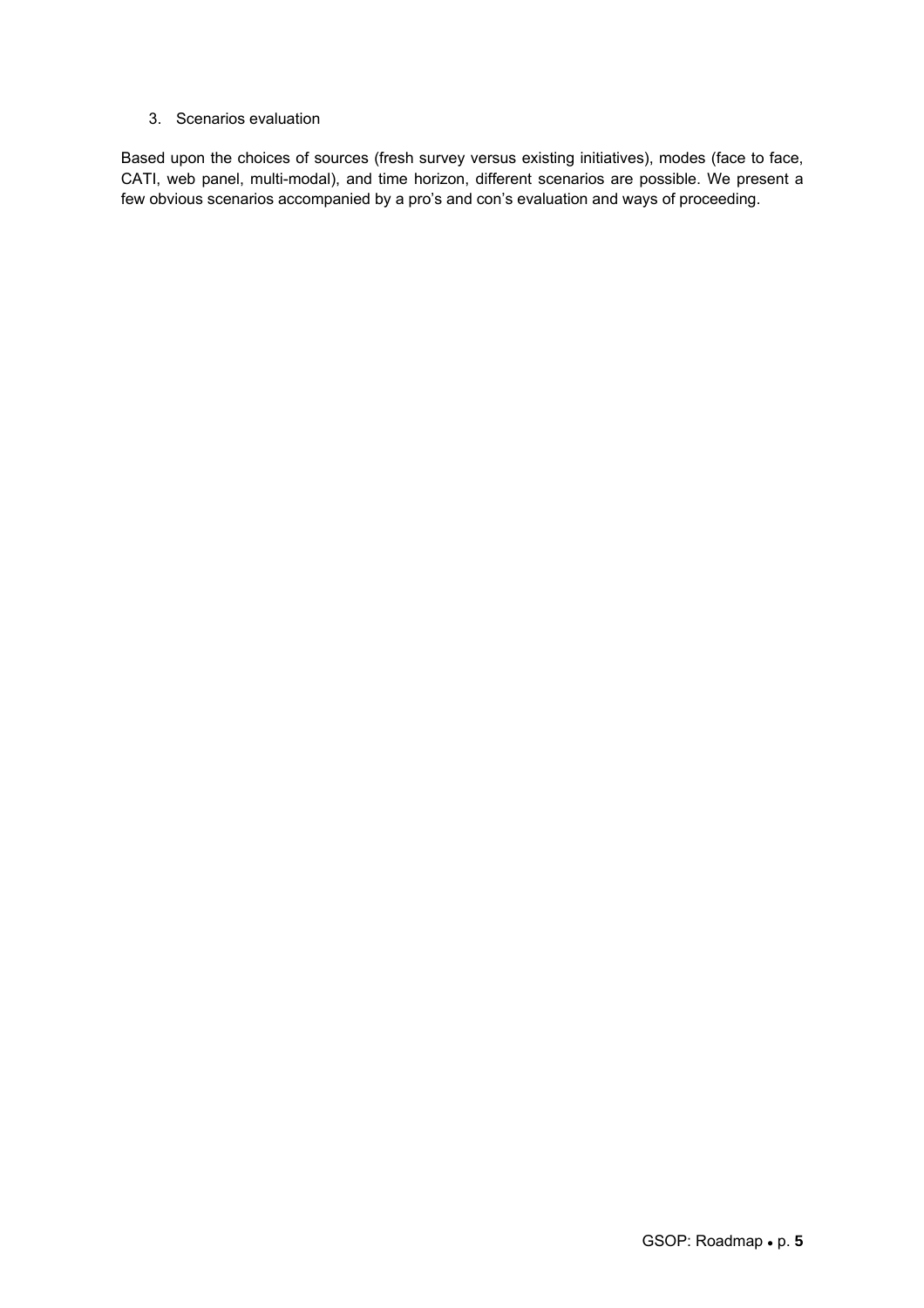#### 3. Scenarios evaluation

Based upon the choices of sources (fresh survey versus existing initiatives), modes (face to face, CATI, web panel, multi-modal), and time horizon, different scenarios are possible. We present a few obvious scenarios accompanied by a pro's and con's evaluation and ways of proceeding.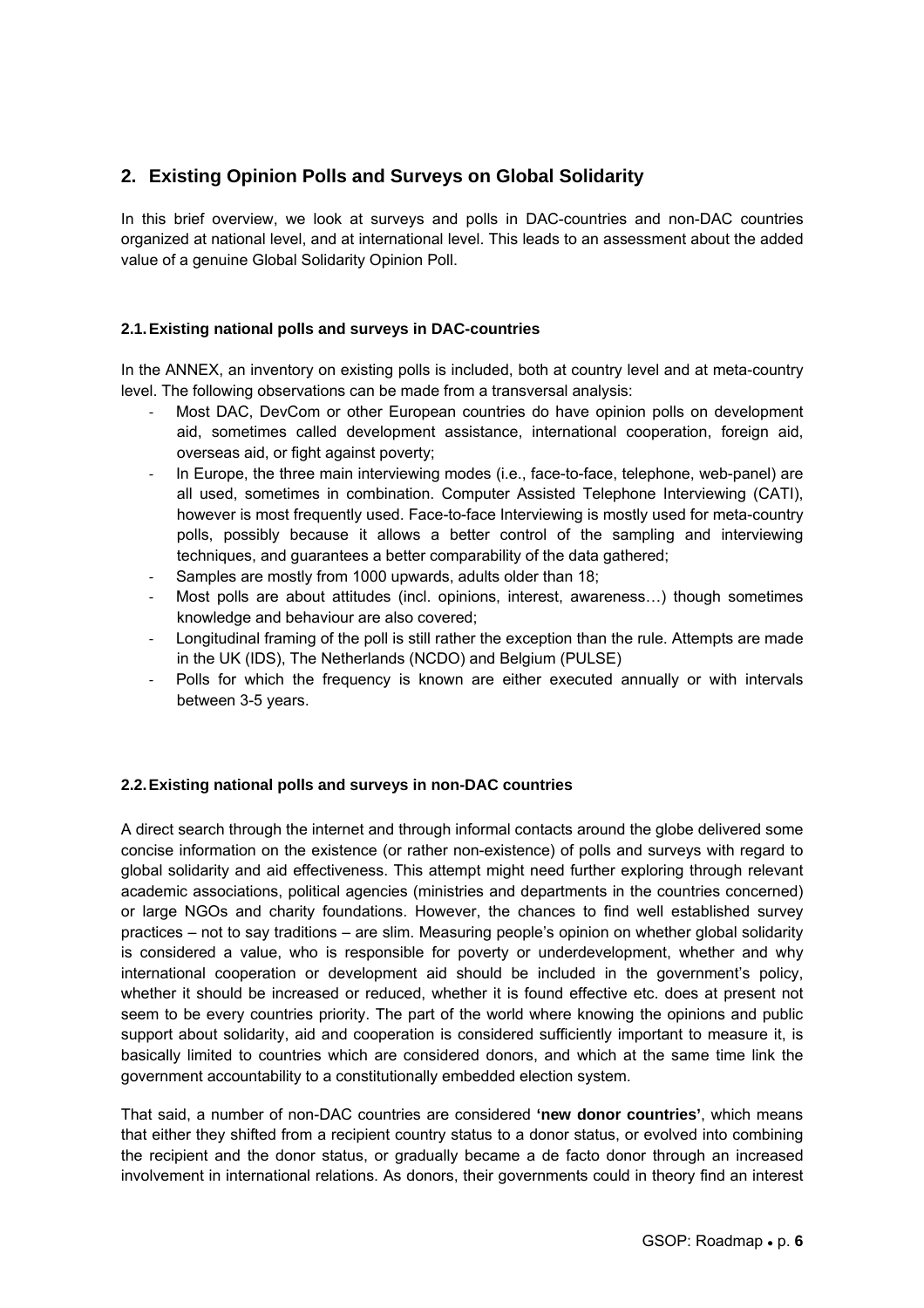### **2. Existing Opinion Polls and Surveys on Global Solidarity**

In this brief overview, we look at surveys and polls in DAC-countries and non-DAC countries organized at national level, and at international level. This leads to an assessment about the added value of a genuine Global Solidarity Opinion Poll.

#### **2.1. Existing national polls and surveys in DAC-countries**

In the ANNEX, an inventory on existing polls is included, both at country level and at meta-country level. The following observations can be made from a transversal analysis:

- ‐ Most DAC, DevCom or other European countries do have opinion polls on development aid, sometimes called development assistance, international cooperation, foreign aid, overseas aid, or fight against poverty;
- In Europe, the three main interviewing modes (i.e., face-to-face, telephone, web-panel) are all used, sometimes in combination. Computer Assisted Telephone Interviewing (CATI), however is most frequently used. Face-to-face Interviewing is mostly used for meta-country polls, possibly because it allows a better control of the sampling and interviewing techniques, and guarantees a better comparability of the data gathered;
- Samples are mostly from 1000 upwards, adults older than 18:
- Most polls are about attitudes (incl. opinions, interest, awareness...) though sometimes knowledge and behaviour are also covered;
- ‐ Longitudinal framing of the poll is still rather the exception than the rule. Attempts are made in the UK (IDS), The Netherlands (NCDO) and Belgium (PULSE)
- Polls for which the frequency is known are either executed annually or with intervals between 3-5 years.

### **2.2. Existing national polls and surveys in non-DAC countries**

A direct search through the internet and through informal contacts around the globe delivered some concise information on the existence (or rather non-existence) of polls and surveys with regard to global solidarity and aid effectiveness. This attempt might need further exploring through relevant academic associations, political agencies (ministries and departments in the countries concerned) or large NGOs and charity foundations. However, the chances to find well established survey practices – not to say traditions – are slim. Measuring people's opinion on whether global solidarity is considered a value, who is responsible for poverty or underdevelopment, whether and why international cooperation or development aid should be included in the government's policy, whether it should be increased or reduced, whether it is found effective etc. does at present not seem to be every countries priority. The part of the world where knowing the opinions and public support about solidarity, aid and cooperation is considered sufficiently important to measure it, is basically limited to countries which are considered donors, and which at the same time link the government accountability to a constitutionally embedded election system.

That said, a number of non-DAC countries are considered **'new donor countries'**, which means that either they shifted from a recipient country status to a donor status, or evolved into combining the recipient and the donor status, or gradually became a de facto donor through an increased involvement in international relations. As donors, their governments could in theory find an interest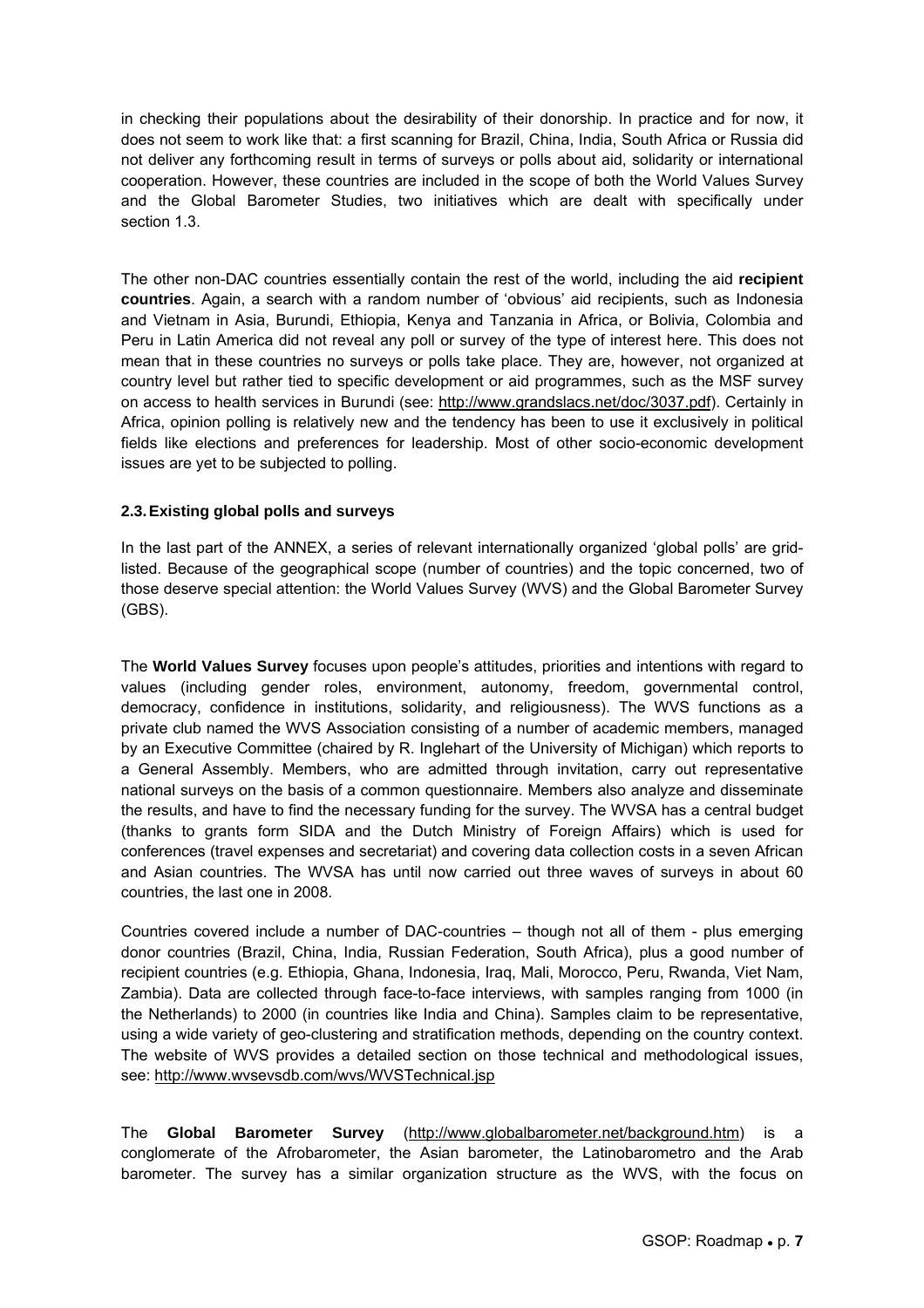in checking their populations about the desirability of their donorship. In practice and for now, it does not seem to work like that: a first scanning for Brazil, China, India, South Africa or Russia did not deliver any forthcoming result in terms of surveys or polls about aid, solidarity or international cooperation. However, these countries are included in the scope of both the World Values Survey and the Global Barometer Studies, two initiatives which are dealt with specifically under section 1.3.

The other non-DAC countries essentially contain the rest of the world, including the aid **recipient countries**. Again, a search with a random number of 'obvious' aid recipients, such as Indonesia and Vietnam in Asia, Burundi, Ethiopia, Kenya and Tanzania in Africa, or Bolivia, Colombia and Peru in Latin America did not reveal any poll or survey of the type of interest here. This does not mean that in these countries no surveys or polls take place. They are, however, not organized at country level but rather tied to specific development or aid programmes, such as the MSF survey on access to health services in Burundi (see: http://www.grandslacs.net/doc/3037.pdf). Certainly in Africa, opinion polling is relatively new and the tendency has been to use it exclusively in political fields like elections and preferences for leadership. Most of other socio-economic development issues are yet to be subjected to polling.

#### **2.3. Existing global polls and surveys**

In the last part of the ANNEX, a series of relevant internationally organized 'global polls' are gridlisted. Because of the geographical scope (number of countries) and the topic concerned, two of those deserve special attention: the World Values Survey (WVS) and the Global Barometer Survey (GBS).

The **World Values Survey** focuses upon people's attitudes, priorities and intentions with regard to values (including gender roles, environment, autonomy, freedom, governmental control, democracy, confidence in institutions, solidarity, and religiousness). The WVS functions as a private club named the WVS Association consisting of a number of academic members, managed by an Executive Committee (chaired by R. Inglehart of the University of Michigan) which reports to a General Assembly. Members, who are admitted through invitation, carry out representative national surveys on the basis of a common questionnaire. Members also analyze and disseminate the results, and have to find the necessary funding for the survey. The WVSA has a central budget (thanks to grants form SIDA and the Dutch Ministry of Foreign Affairs) which is used for conferences (travel expenses and secretariat) and covering data collection costs in a seven African and Asian countries. The WVSA has until now carried out three waves of surveys in about 60 countries, the last one in 2008.

Countries covered include a number of DAC-countries – though not all of them - plus emerging donor countries (Brazil, China, India, Russian Federation, South Africa), plus a good number of recipient countries (e.g. Ethiopia, Ghana, Indonesia, Iraq, Mali, Morocco, Peru, Rwanda, Viet Nam, Zambia). Data are collected through face-to-face interviews, with samples ranging from 1000 (in the Netherlands) to 2000 (in countries like India and China). Samples claim to be representative, using a wide variety of geo-clustering and stratification methods, depending on the country context. The website of WVS provides a detailed section on those technical and methodological issues, see: http://www.wvsevsdb.com/wvs/WVSTechnical.jsp

The **Global Barometer Survey** (http://www.globalbarometer.net/background.htm) is a conglomerate of the Afrobarometer, the Asian barometer, the Latinobarometro and the Arab barometer. The survey has a similar organization structure as the WVS, with the focus on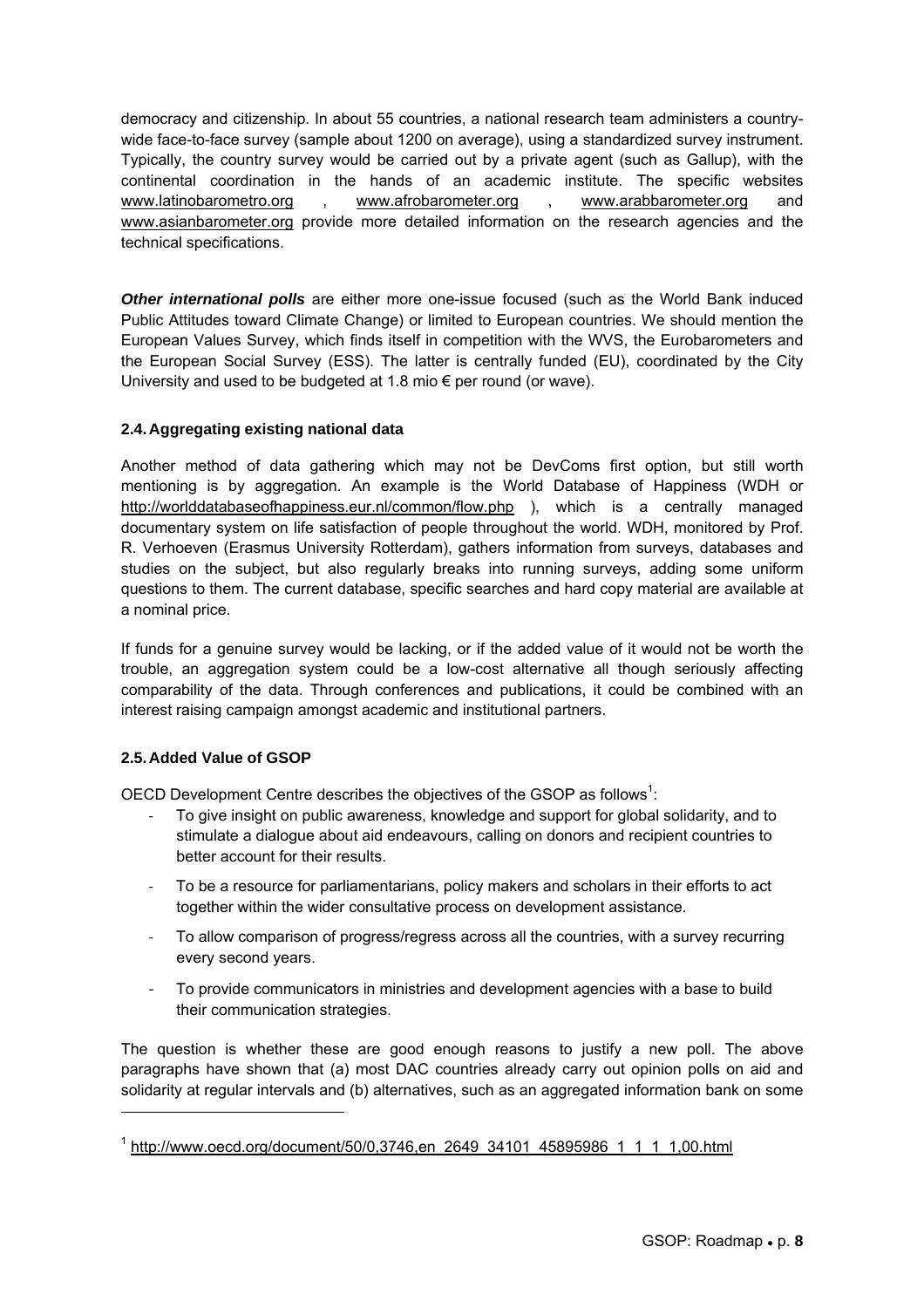democracy and citizenship. In about 55 countries, a national research team administers a countrywide face-to-face survey (sample about 1200 on average), using a standardized survey instrument. Typically, the country survey would be carried out by a private agent (such as Gallup), with the continental coordination in the hands of an academic institute. The specific websites www.latinobarometro.org , www.afrobarometer.org , www.arabbarometer.org and www.asianbarometer.org provide more detailed information on the research agencies and the technical specifications.

**Other international polls** are either more one-issue focused (such as the World Bank induced Public Attitudes toward Climate Change) or limited to European countries. We should mention the European Values Survey, which finds itself in competition with the WVS, the Eurobarometers and the European Social Survey (ESS). The latter is centrally funded (EU), coordinated by the City University and used to be budgeted at 1.8 mio  $\epsilon$  per round (or wave).

#### **2.4. Aggregating existing national data**

Another method of data gathering which may not be DevComs first option, but still worth mentioning is by aggregation. An example is the World Database of Happiness (WDH or http://worlddatabaseofhappiness.eur.nl/common/flow.php ), which is a centrally managed documentary system on life satisfaction of people throughout the world. WDH, monitored by Prof. R. Verhoeven (Erasmus University Rotterdam), gathers information from surveys, databases and studies on the subject, but also regularly breaks into running surveys, adding some uniform questions to them. The current database, specific searches and hard copy material are available at a nominal price.

If funds for a genuine survey would be lacking, or if the added value of it would not be worth the trouble, an aggregation system could be a low-cost alternative all though seriously affecting comparability of the data. Through conferences and publications, it could be combined with an interest raising campaign amongst academic and institutional partners.

### **2.5. Added Value of GSOP**

l

OECD Development Centre describes the objectives of the GSOP as follows<sup>1</sup>:

- ‐ To give insight on public awareness, knowledge and support for global solidarity, and to stimulate a dialogue about aid endeavours, calling on donors and recipient countries to better account for their results.
- ‐ To be a resource for parliamentarians, policy makers and scholars in their efforts to act together within the wider consultative process on development assistance.
- ‐ To allow comparison of progress/regress across all the countries, with a survey recurring every second years.
- ‐ To provide communicators in ministries and development agencies with a base to build their communication strategies.

The question is whether these are good enough reasons to justify a new poll. The above paragraphs have shown that (a) most DAC countries already carry out opinion polls on aid and solidarity at regular intervals and (b) alternatives, such as an aggregated information bank on some

<sup>&</sup>lt;sup>1</sup> http://www.oecd.org/document/50/0,3746,en\_2649\_34101\_45895986\_1\_1\_1\_1,00.html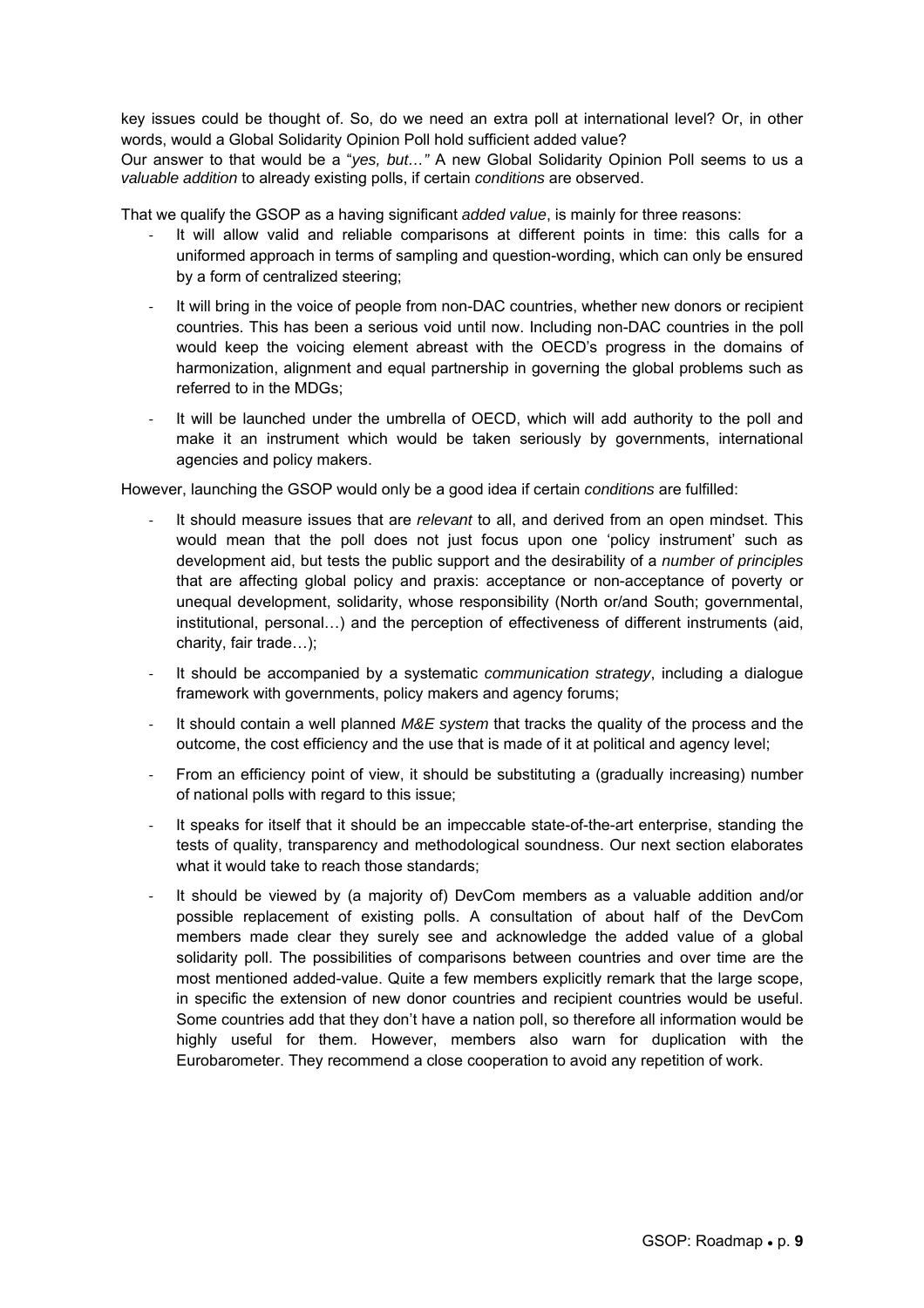key issues could be thought of. So, do we need an extra poll at international level? Or, in other words, would a Global Solidarity Opinion Poll hold sufficient added value? Our answer to that would be a "*yes, but…"* A new Global Solidarity Opinion Poll seems to us a *valuable addition* to already existing polls, if certain *conditions* are observed.

That we qualify the GSOP as a having significant *added value*, is mainly for three reasons:

- ‐ It will allow valid and reliable comparisons at different points in time: this calls for a uniformed approach in terms of sampling and question-wording, which can only be ensured by a form of centralized steering;
- It will bring in the voice of people from non-DAC countries, whether new donors or recipient countries. This has been a serious void until now. Including non-DAC countries in the poll would keep the voicing element abreast with the OECD's progress in the domains of harmonization, alignment and equal partnership in governing the global problems such as referred to in the MDGs;
- ‐ It will be launched under the umbrella of OECD, which will add authority to the poll and make it an instrument which would be taken seriously by governments, international agencies and policy makers.

However, launching the GSOP would only be a good idea if certain *conditions* are fulfilled:

- ‐ It should measure issues that are *relevant* to all, and derived from an open mindset. This would mean that the poll does not just focus upon one 'policy instrument' such as development aid, but tests the public support and the desirability of a *number of principles* that are affecting global policy and praxis: acceptance or non-acceptance of poverty or unequal development, solidarity, whose responsibility (North or/and South; governmental, institutional, personal…) and the perception of effectiveness of different instruments (aid, charity, fair trade…);
- ‐ It should be accompanied by a systematic *communication strategy*, including a dialogue framework with governments, policy makers and agency forums;
- ‐ It should contain a well planned *M&E system* that tracks the quality of the process and the outcome, the cost efficiency and the use that is made of it at political and agency level;
- ‐ From an efficiency point of view, it should be substituting a (gradually increasing) number of national polls with regard to this issue;
- It speaks for itself that it should be an impeccable state-of-the-art enterprise, standing the tests of quality, transparency and methodological soundness. Our next section elaborates what it would take to reach those standards;
- ‐ It should be viewed by (a majority of) DevCom members as a valuable addition and/or possible replacement of existing polls. A consultation of about half of the DevCom members made clear they surely see and acknowledge the added value of a global solidarity poll. The possibilities of comparisons between countries and over time are the most mentioned added-value. Quite a few members explicitly remark that the large scope, in specific the extension of new donor countries and recipient countries would be useful. Some countries add that they don't have a nation poll, so therefore all information would be highly useful for them. However, members also warn for duplication with the Eurobarometer. They recommend a close cooperation to avoid any repetition of work.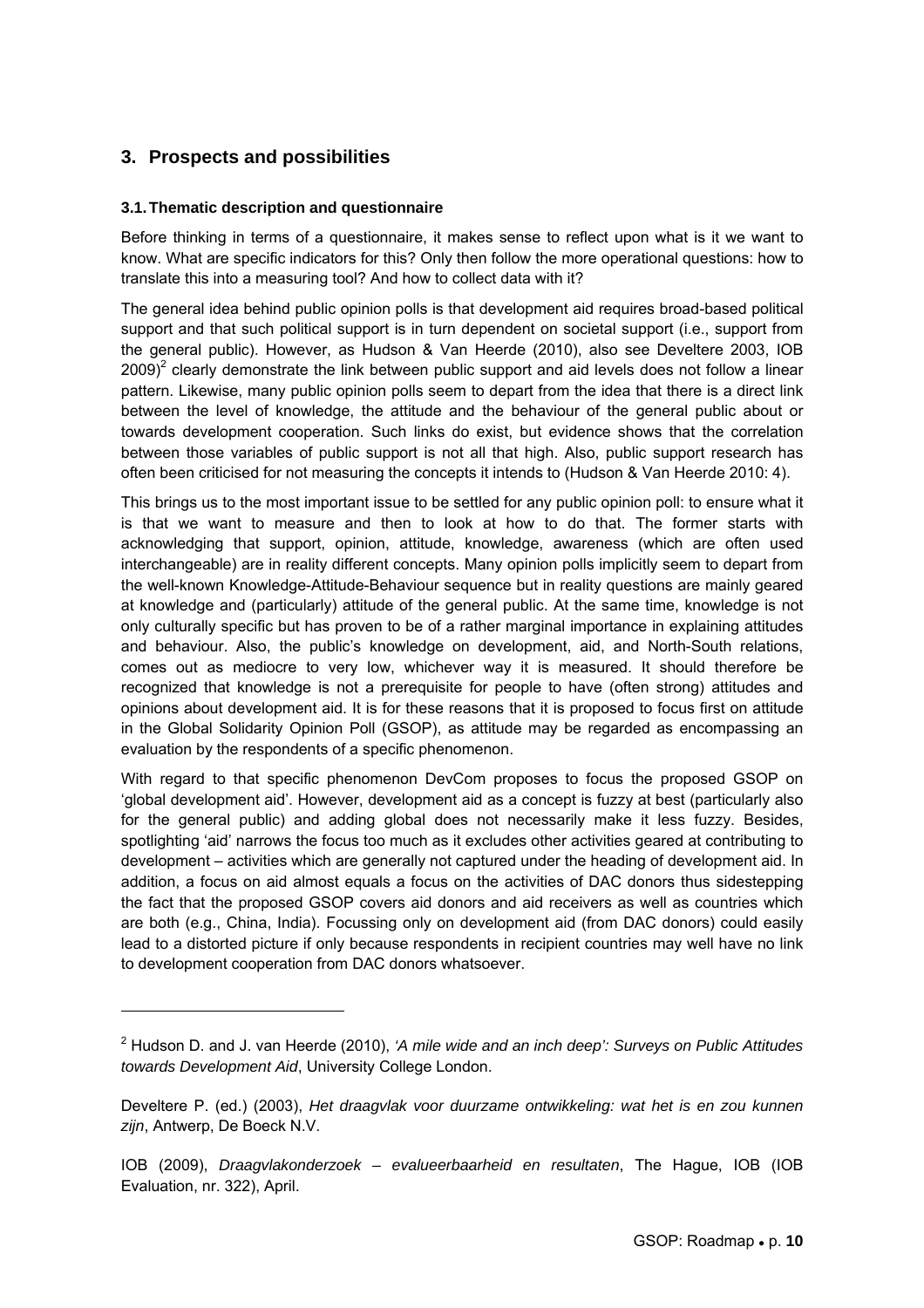### **3. Prospects and possibilities**

 $\overline{a}$ 

#### **3.1. Thematic description and questionnaire**

Before thinking in terms of a questionnaire, it makes sense to reflect upon what is it we want to know. What are specific indicators for this? Only then follow the more operational questions: how to translate this into a measuring tool? And how to collect data with it?

The general idea behind public opinion polls is that development aid requires broad-based political support and that such political support is in turn dependent on societal support (i.e., support from the general public). However, as Hudson & Van Heerde (2010), also see Develtere 2003, IOB 2009)<sup>2</sup> clearly demonstrate the link between public support and aid levels does not follow a linear pattern. Likewise, many public opinion polls seem to depart from the idea that there is a direct link between the level of knowledge, the attitude and the behaviour of the general public about or towards development cooperation. Such links do exist, but evidence shows that the correlation between those variables of public support is not all that high. Also, public support research has often been criticised for not measuring the concepts it intends to (Hudson & Van Heerde 2010: 4).

This brings us to the most important issue to be settled for any public opinion poll: to ensure what it is that we want to measure and then to look at how to do that. The former starts with acknowledging that support, opinion, attitude, knowledge, awareness (which are often used interchangeable) are in reality different concepts. Many opinion polls implicitly seem to depart from the well-known Knowledge-Attitude-Behaviour sequence but in reality questions are mainly geared at knowledge and (particularly) attitude of the general public. At the same time, knowledge is not only culturally specific but has proven to be of a rather marginal importance in explaining attitudes and behaviour. Also, the public's knowledge on development, aid, and North-South relations, comes out as mediocre to very low, whichever way it is measured. It should therefore be recognized that knowledge is not a prerequisite for people to have (often strong) attitudes and opinions about development aid. It is for these reasons that it is proposed to focus first on attitude in the Global Solidarity Opinion Poll (GSOP), as attitude may be regarded as encompassing an evaluation by the respondents of a specific phenomenon.

With regard to that specific phenomenon DevCom proposes to focus the proposed GSOP on 'global development aid'. However, development aid as a concept is fuzzy at best (particularly also for the general public) and adding global does not necessarily make it less fuzzy. Besides, spotlighting 'aid' narrows the focus too much as it excludes other activities geared at contributing to development – activities which are generally not captured under the heading of development aid. In addition, a focus on aid almost equals a focus on the activities of DAC donors thus sidestepping the fact that the proposed GSOP covers aid donors and aid receivers as well as countries which are both (e.g., China, India). Focussing only on development aid (from DAC donors) could easily lead to a distorted picture if only because respondents in recipient countries may well have no link to development cooperation from DAC donors whatsoever.

<sup>2</sup> Hudson D. and J. van Heerde (2010), *'A mile wide and an inch deep': Surveys on Public Attitudes towards Development Aid*, University College London.

Develtere P. (ed.) (2003), *Het draagvlak voor duurzame ontwikkeling: wat het is en zou kunnen zijn*, Antwerp, De Boeck N.V.

IOB (2009), *Draagvlakonderzoek – evalueerbaarheid en resultaten*, The Hague, IOB (IOB Evaluation, nr. 322), April.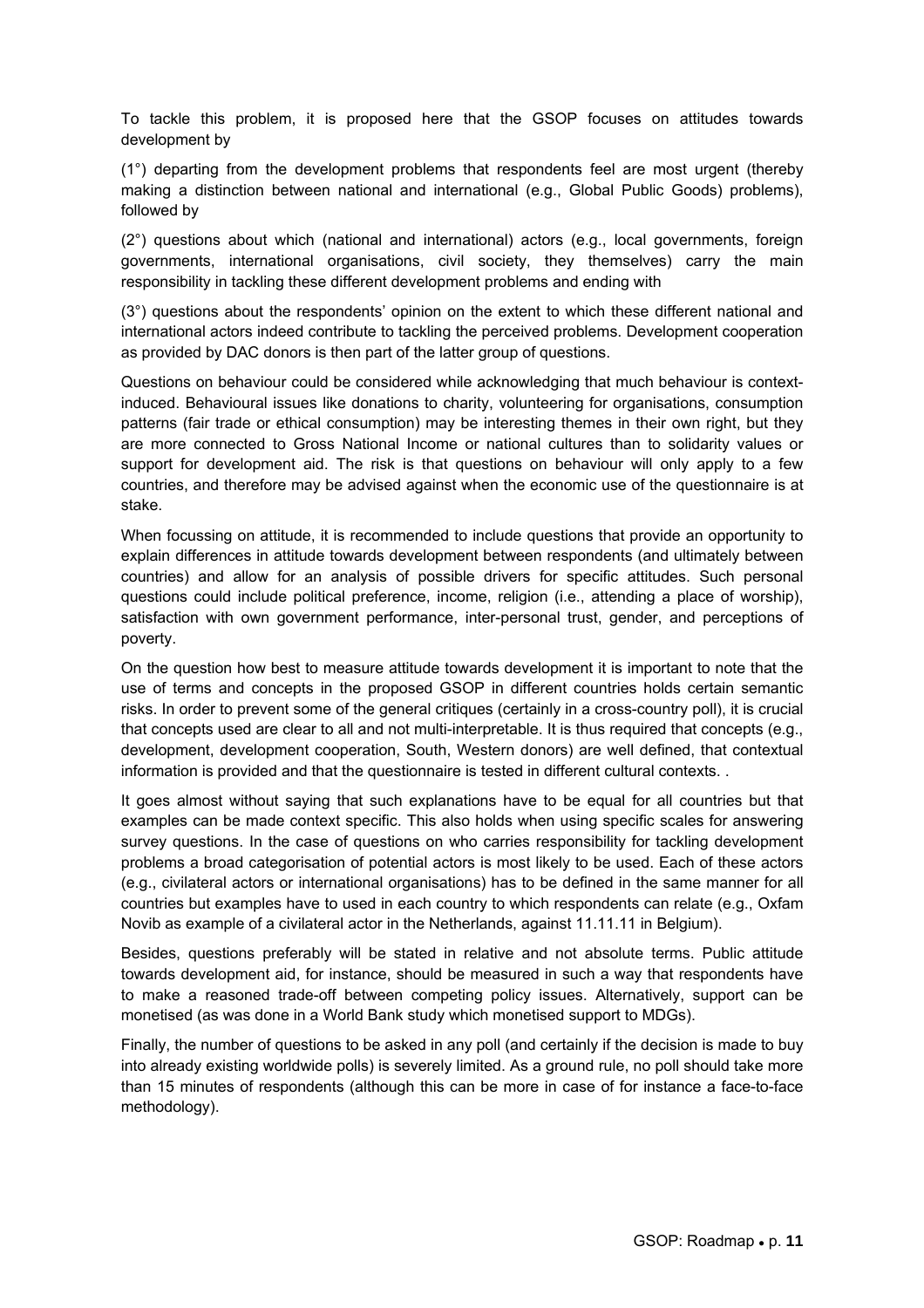To tackle this problem, it is proposed here that the GSOP focuses on attitudes towards development by

(1°) departing from the development problems that respondents feel are most urgent (thereby making a distinction between national and international (e.g., Global Public Goods) problems), followed by

(2°) questions about which (national and international) actors (e.g., local governments, foreign governments, international organisations, civil society, they themselves) carry the main responsibility in tackling these different development problems and ending with

(3°) questions about the respondents' opinion on the extent to which these different national and international actors indeed contribute to tackling the perceived problems. Development cooperation as provided by DAC donors is then part of the latter group of questions.

Questions on behaviour could be considered while acknowledging that much behaviour is contextinduced. Behavioural issues like donations to charity, volunteering for organisations, consumption patterns (fair trade or ethical consumption) may be interesting themes in their own right, but they are more connected to Gross National Income or national cultures than to solidarity values or support for development aid. The risk is that questions on behaviour will only apply to a few countries, and therefore may be advised against when the economic use of the questionnaire is at stake.

When focussing on attitude, it is recommended to include questions that provide an opportunity to explain differences in attitude towards development between respondents (and ultimately between countries) and allow for an analysis of possible drivers for specific attitudes. Such personal questions could include political preference, income, religion (i.e., attending a place of worship), satisfaction with own government performance, inter-personal trust, gender, and perceptions of poverty.

On the question how best to measure attitude towards development it is important to note that the use of terms and concepts in the proposed GSOP in different countries holds certain semantic risks. In order to prevent some of the general critiques (certainly in a cross-country poll), it is crucial that concepts used are clear to all and not multi-interpretable. It is thus required that concepts (e.g., development, development cooperation, South, Western donors) are well defined, that contextual information is provided and that the questionnaire is tested in different cultural contexts. .

It goes almost without saying that such explanations have to be equal for all countries but that examples can be made context specific. This also holds when using specific scales for answering survey questions. In the case of questions on who carries responsibility for tackling development problems a broad categorisation of potential actors is most likely to be used. Each of these actors (e.g., civilateral actors or international organisations) has to be defined in the same manner for all countries but examples have to used in each country to which respondents can relate (e.g., Oxfam Novib as example of a civilateral actor in the Netherlands, against 11.11.11 in Belgium).

Besides, questions preferably will be stated in relative and not absolute terms. Public attitude towards development aid, for instance, should be measured in such a way that respondents have to make a reasoned trade-off between competing policy issues. Alternatively, support can be monetised (as was done in a World Bank study which monetised support to MDGs).

Finally, the number of questions to be asked in any poll (and certainly if the decision is made to buy into already existing worldwide polls) is severely limited. As a ground rule, no poll should take more than 15 minutes of respondents (although this can be more in case of for instance a face-to-face methodology).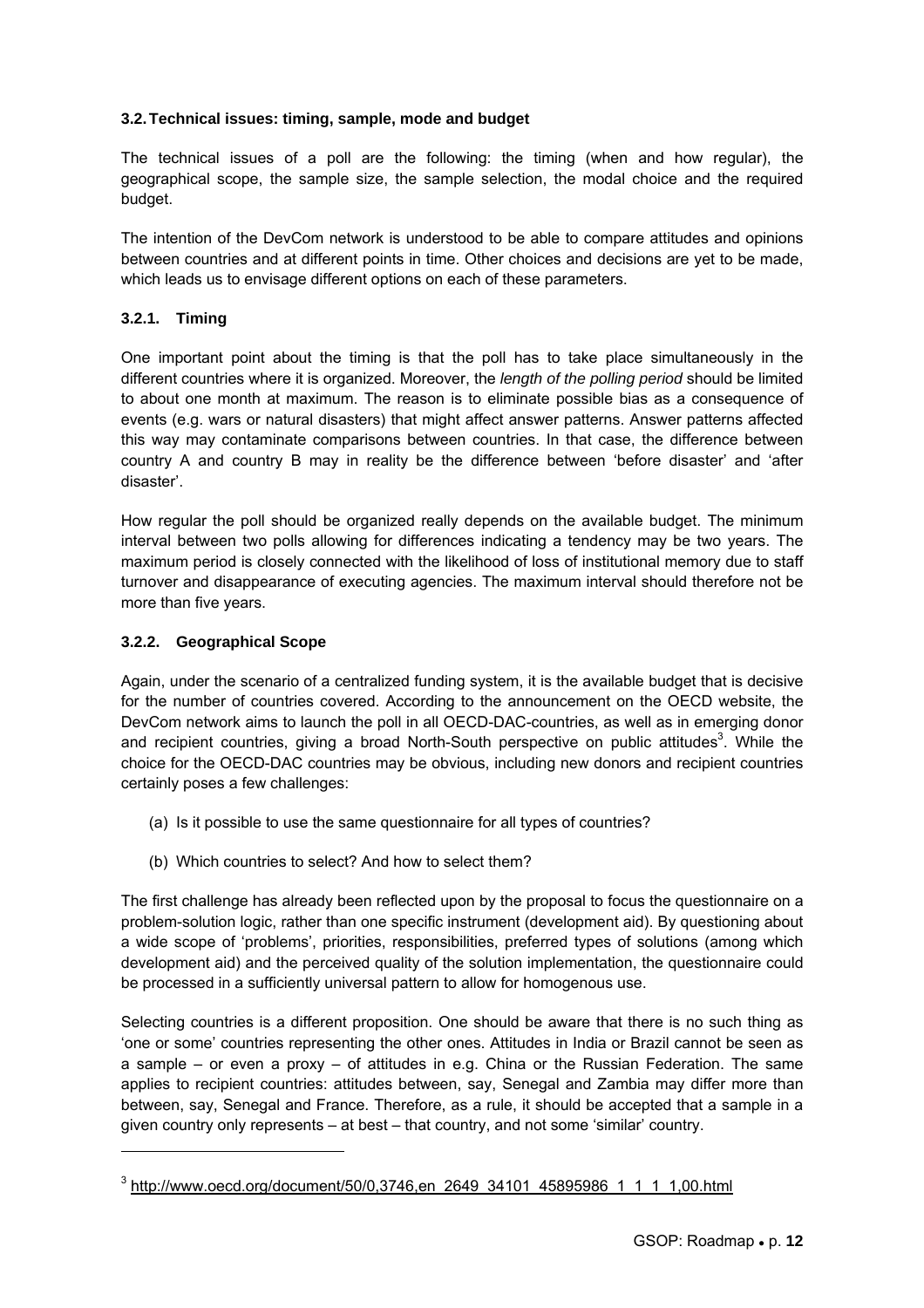#### **3.2. Technical issues: timing, sample, mode and budget**

The technical issues of a poll are the following: the timing (when and how regular), the geographical scope, the sample size, the sample selection, the modal choice and the required budget.

The intention of the DevCom network is understood to be able to compare attitudes and opinions between countries and at different points in time. Other choices and decisions are yet to be made, which leads us to envisage different options on each of these parameters.

#### **3.2.1. Timing**

One important point about the timing is that the poll has to take place simultaneously in the different countries where it is organized. Moreover, the *length of the polling period* should be limited to about one month at maximum. The reason is to eliminate possible bias as a consequence of events (e.g. wars or natural disasters) that might affect answer patterns. Answer patterns affected this way may contaminate comparisons between countries. In that case, the difference between country A and country B may in reality be the difference between 'before disaster' and 'after disaster'.

How regular the poll should be organized really depends on the available budget. The minimum interval between two polls allowing for differences indicating a tendency may be two years. The maximum period is closely connected with the likelihood of loss of institutional memory due to staff turnover and disappearance of executing agencies. The maximum interval should therefore not be more than five years.

#### **3.2.2. Geographical Scope**

l

Again, under the scenario of a centralized funding system, it is the available budget that is decisive for the number of countries covered. According to the announcement on the OECD website, the DevCom network aims to launch the poll in all OECD-DAC-countries, as well as in emerging donor and recipient countries, giving a broad North-South perspective on public attitudes<sup>3</sup>. While the choice for the OECD-DAC countries may be obvious, including new donors and recipient countries certainly poses a few challenges:

- (a) Is it possible to use the same questionnaire for all types of countries?
- (b) Which countries to select? And how to select them?

The first challenge has already been reflected upon by the proposal to focus the questionnaire on a problem-solution logic, rather than one specific instrument (development aid). By questioning about a wide scope of 'problems', priorities, responsibilities, preferred types of solutions (among which development aid) and the perceived quality of the solution implementation, the questionnaire could be processed in a sufficiently universal pattern to allow for homogenous use.

Selecting countries is a different proposition. One should be aware that there is no such thing as 'one or some' countries representing the other ones. Attitudes in India or Brazil cannot be seen as a sample – or even a proxy – of attitudes in e.g. China or the Russian Federation. The same applies to recipient countries: attitudes between, say, Senegal and Zambia may differ more than between, say, Senegal and France. Therefore, as a rule, it should be accepted that a sample in a given country only represents – at best – that country, and not some 'similar' country.

<sup>&</sup>lt;sup>3</sup> http://www.oecd.org/document/50/0,3746,en\_2649\_34101\_45895986\_1\_1\_1\_1,00.html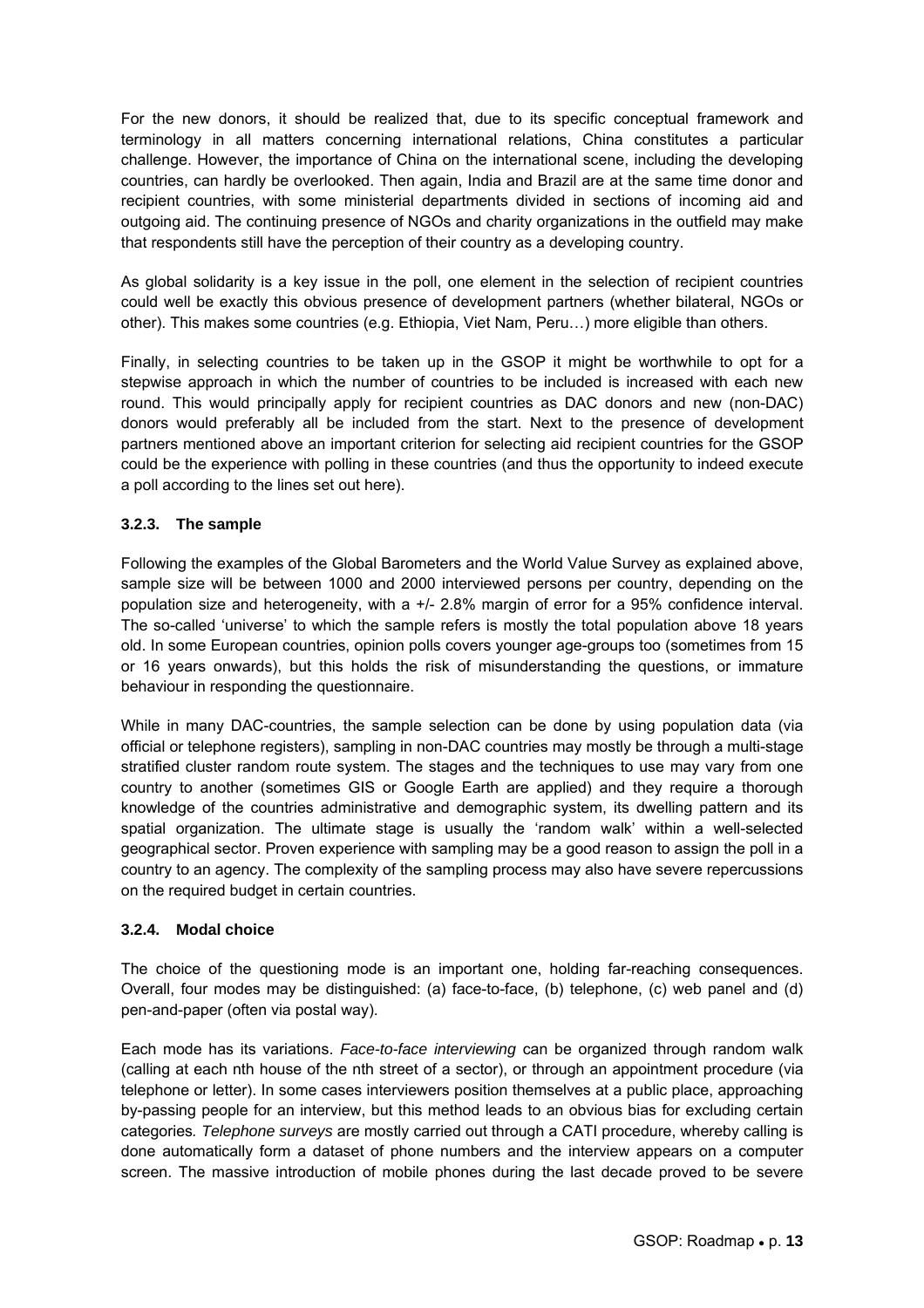For the new donors, it should be realized that, due to its specific conceptual framework and terminology in all matters concerning international relations, China constitutes a particular challenge. However, the importance of China on the international scene, including the developing countries, can hardly be overlooked. Then again, India and Brazil are at the same time donor and recipient countries, with some ministerial departments divided in sections of incoming aid and outgoing aid. The continuing presence of NGOs and charity organizations in the outfield may make that respondents still have the perception of their country as a developing country.

As global solidarity is a key issue in the poll, one element in the selection of recipient countries could well be exactly this obvious presence of development partners (whether bilateral, NGOs or other). This makes some countries (e.g. Ethiopia, Viet Nam, Peru…) more eligible than others.

Finally, in selecting countries to be taken up in the GSOP it might be worthwhile to opt for a stepwise approach in which the number of countries to be included is increased with each new round. This would principally apply for recipient countries as DAC donors and new (non-DAC) donors would preferably all be included from the start. Next to the presence of development partners mentioned above an important criterion for selecting aid recipient countries for the GSOP could be the experience with polling in these countries (and thus the opportunity to indeed execute a poll according to the lines set out here).

#### **3.2.3. The sample**

Following the examples of the Global Barometers and the World Value Survey as explained above, sample size will be between 1000 and 2000 interviewed persons per country, depending on the population size and heterogeneity, with a +/- 2.8% margin of error for a 95% confidence interval. The so-called 'universe' to which the sample refers is mostly the total population above 18 years old. In some European countries, opinion polls covers younger age-groups too (sometimes from 15 or 16 years onwards), but this holds the risk of misunderstanding the questions, or immature behaviour in responding the questionnaire.

While in many DAC-countries, the sample selection can be done by using population data (via official or telephone registers), sampling in non-DAC countries may mostly be through a multi-stage stratified cluster random route system. The stages and the techniques to use may vary from one country to another (sometimes GIS or Google Earth are applied) and they require a thorough knowledge of the countries administrative and demographic system, its dwelling pattern and its spatial organization. The ultimate stage is usually the 'random walk' within a well-selected geographical sector. Proven experience with sampling may be a good reason to assign the poll in a country to an agency. The complexity of the sampling process may also have severe repercussions on the required budget in certain countries.

#### **3.2.4. Modal choice**

The choice of the questioning mode is an important one, holding far-reaching consequences. Overall, four modes may be distinguished: (a) face-to-face, (b) telephone, (c) web panel and (d) pen-and-paper (often via postal way).

Each mode has its variations. *Face-to-face interviewing* can be organized through random walk (calling at each nth house of the nth street of a sector), or through an appointment procedure (via telephone or letter). In some cases interviewers position themselves at a public place, approaching by-passing people for an interview, but this method leads to an obvious bias for excluding certain categories*. Telephone surveys* are mostly carried out through a CATI procedure, whereby calling is done automatically form a dataset of phone numbers and the interview appears on a computer screen. The massive introduction of mobile phones during the last decade proved to be severe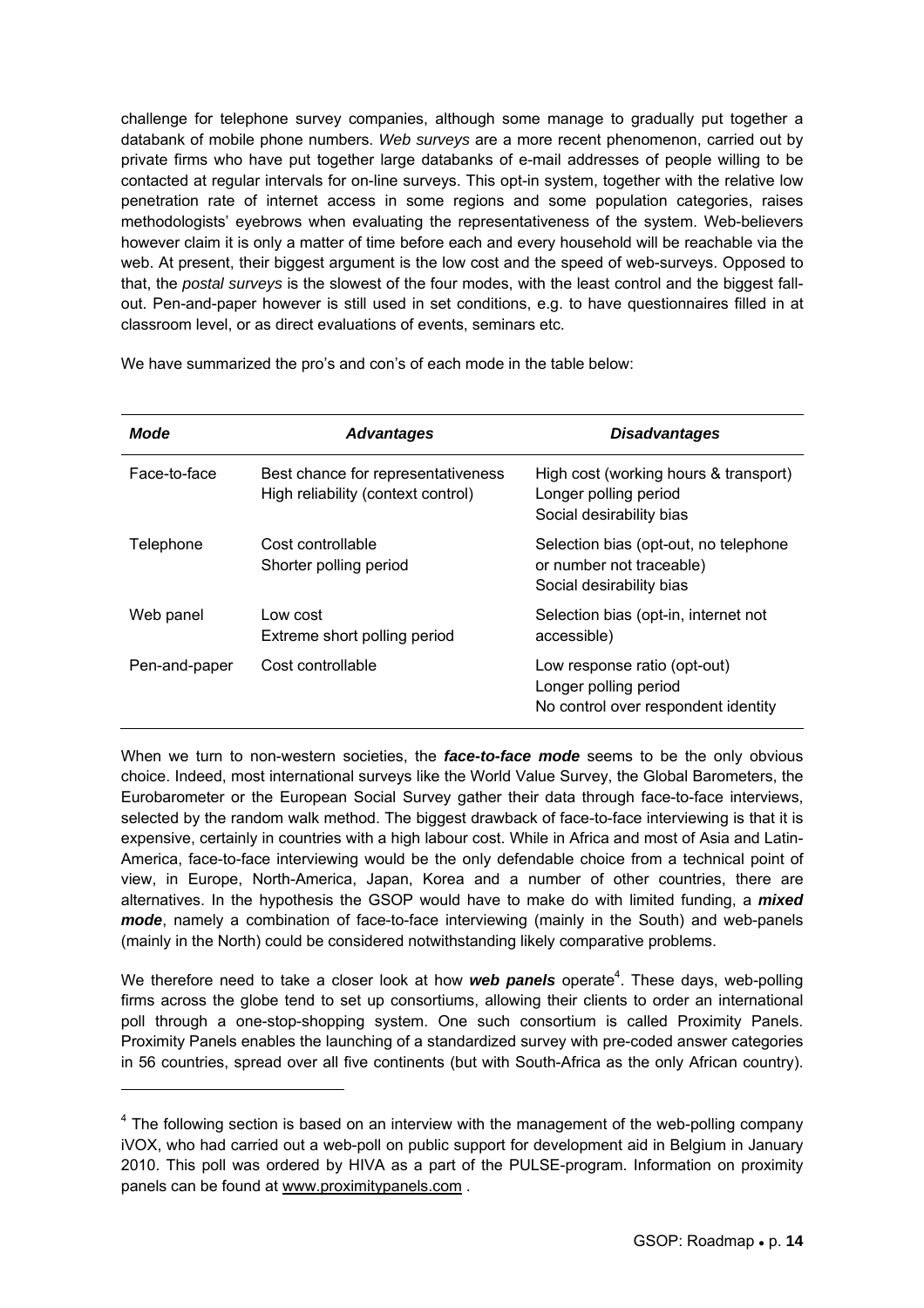challenge for telephone survey companies, although some manage to gradually put together a databank of mobile phone numbers. *Web surveys* are a more recent phenomenon, carried out by private firms who have put together large databanks of e-mail addresses of people willing to be contacted at regular intervals for on-line surveys. This opt-in system, together with the relative low penetration rate of internet access in some regions and some population categories, raises methodologists' eyebrows when evaluating the representativeness of the system. Web-believers however claim it is only a matter of time before each and every household will be reachable via the web. At present, their biggest argument is the low cost and the speed of web-surveys. Opposed to that, the *postal surveys* is the slowest of the four modes, with the least control and the biggest fallout. Pen-and-paper however is still used in set conditions, e.g. to have questionnaires filled in at classroom level, or as direct evaluations of events, seminars etc.

We have summarized the pro's and con's of each mode in the table below:

| Mode          | <b>Advantages</b>                                                        | <b>Disadvantages</b>                                                                          |  |  |
|---------------|--------------------------------------------------------------------------|-----------------------------------------------------------------------------------------------|--|--|
| Face-to-face  | Best chance for representativeness<br>High reliability (context control) | High cost (working hours & transport)<br>Longer polling period<br>Social desirability bias    |  |  |
| Telephone     | Cost controllable<br>Shorter polling period                              | Selection bias (opt-out, no telephone<br>or number not traceable)<br>Social desirability bias |  |  |
| Web panel     | Low cost<br>Extreme short polling period                                 | Selection bias (opt-in, internet not<br>accessible)                                           |  |  |
| Pen-and-paper | Cost controllable                                                        | Low response ratio (opt-out)<br>Longer polling period<br>No control over respondent identity  |  |  |

When we turn to non-western societies, the *face-to-face mode* seems to be the only obvious choice. Indeed, most international surveys like the World Value Survey, the Global Barometers, the Eurobarometer or the European Social Survey gather their data through face-to-face interviews, selected by the random walk method. The biggest drawback of face-to-face interviewing is that it is expensive, certainly in countries with a high labour cost. While in Africa and most of Asia and Latin-America, face-to-face interviewing would be the only defendable choice from a technical point of view, in Europe, North-America, Japan, Korea and a number of other countries, there are alternatives. In the hypothesis the GSOP would have to make do with limited funding, a *mixed mode*, namely a combination of face-to-face interviewing (mainly in the South) and web-panels (mainly in the North) could be considered notwithstanding likely comparative problems.

We therefore need to take a closer look at how *web panels* operate<sup>4</sup>. These days, web-polling firms across the globe tend to set up consortiums, allowing their clients to order an international poll through a one-stop-shopping system. One such consortium is called Proximity Panels. Proximity Panels enables the launching of a standardized survey with pre-coded answer categories in 56 countries, spread over all five continents (but with South-Africa as the only African country).

l

 $4$  The following section is based on an interview with the management of the web-polling company iVOX, who had carried out a web-poll on public support for development aid in Belgium in January 2010. This poll was ordered by HIVA as a part of the PULSE-program. Information on proximity panels can be found at www.proximitypanels.com .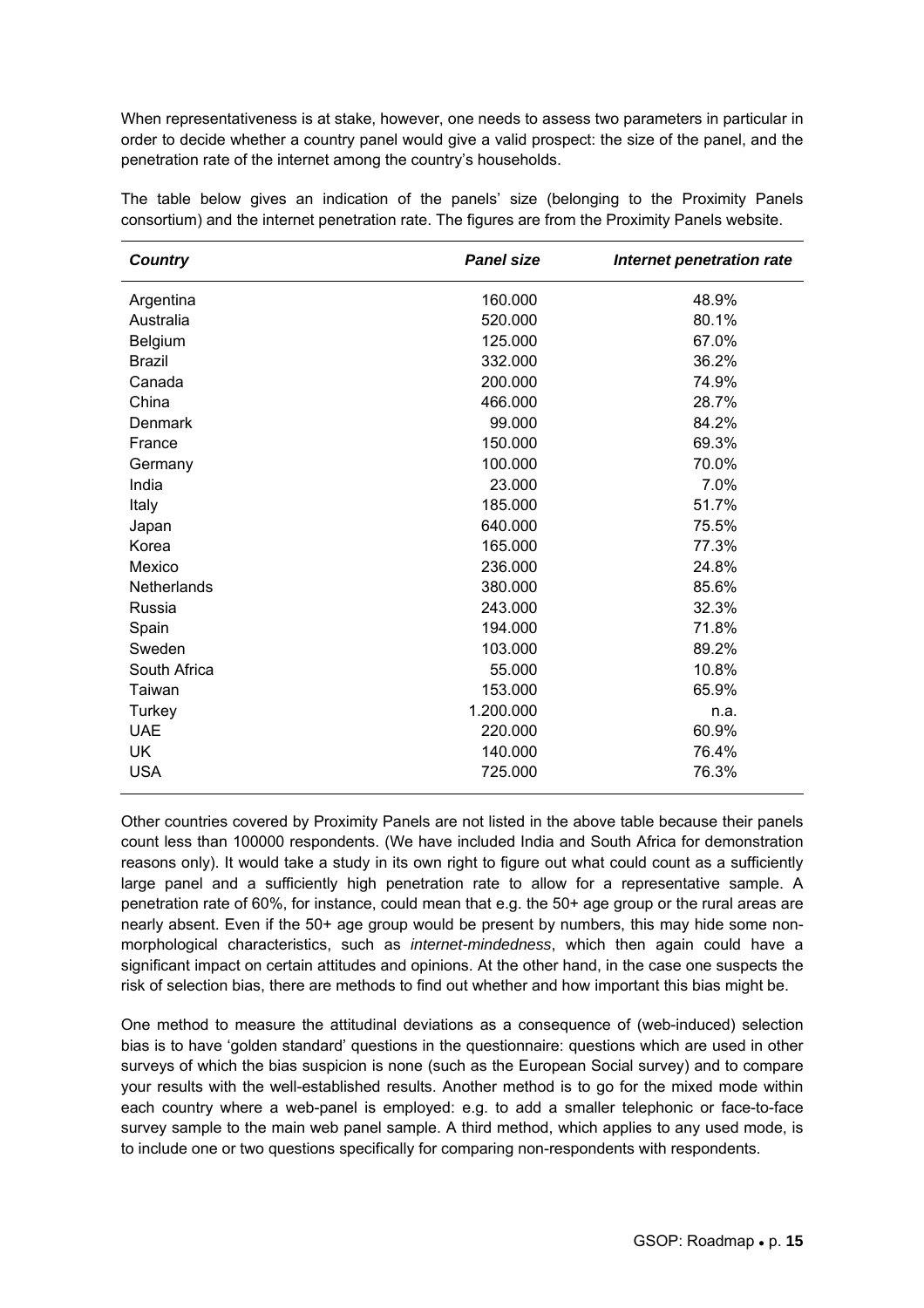When representativeness is at stake, however, one needs to assess two parameters in particular in order to decide whether a country panel would give a valid prospect: the size of the panel, and the penetration rate of the internet among the country's households.

| <b>Country</b>     | <b>Panel size</b> | Internet penetration rate |
|--------------------|-------------------|---------------------------|
| Argentina          | 160.000           | 48.9%                     |
| Australia          | 520.000           | 80.1%                     |
| Belgium            | 125.000           | 67.0%                     |
| <b>Brazil</b>      | 332.000           | 36.2%                     |
| Canada             | 200.000           | 74.9%                     |
| China              | 466.000           | 28.7%                     |
| Denmark            | 99.000            | 84.2%                     |
| France             | 150.000           | 69.3%                     |
| Germany            | 100.000           | 70.0%                     |
| India              | 23.000            | 7.0%                      |
| Italy              | 185.000           | 51.7%                     |
| Japan              | 640.000           | 75.5%                     |
| Korea              | 165.000           | 77.3%                     |
| Mexico             | 236.000           | 24.8%                     |
| <b>Netherlands</b> | 380.000           | 85.6%                     |
| Russia             | 243.000           | 32.3%                     |
| Spain              | 194.000           | 71.8%                     |
| Sweden             | 103.000           | 89.2%                     |
| South Africa       | 55.000            | 10.8%                     |
| Taiwan             | 153.000           | 65.9%                     |
| Turkey             | 1.200.000         | n.a.                      |
| <b>UAE</b>         | 220.000           | 60.9%                     |
| <b>UK</b>          | 140.000           | 76.4%                     |
| <b>USA</b>         | 725.000           | 76.3%                     |

The table below gives an indication of the panels' size (belonging to the Proximity Panels consortium) and the internet penetration rate. The figures are from the Proximity Panels website.

Other countries covered by Proximity Panels are not listed in the above table because their panels count less than 100000 respondents. (We have included India and South Africa for demonstration reasons only). It would take a study in its own right to figure out what could count as a sufficiently large panel and a sufficiently high penetration rate to allow for a representative sample. A penetration rate of 60%, for instance, could mean that e.g. the 50+ age group or the rural areas are nearly absent. Even if the 50+ age group would be present by numbers, this may hide some nonmorphological characteristics, such as *internet-mindedness*, which then again could have a significant impact on certain attitudes and opinions. At the other hand, in the case one suspects the risk of selection bias, there are methods to find out whether and how important this bias might be.

One method to measure the attitudinal deviations as a consequence of (web-induced) selection bias is to have 'golden standard' questions in the questionnaire: questions which are used in other surveys of which the bias suspicion is none (such as the European Social survey) and to compare your results with the well-established results. Another method is to go for the mixed mode within each country where a web-panel is employed: e.g. to add a smaller telephonic or face-to-face survey sample to the main web panel sample. A third method, which applies to any used mode, is to include one or two questions specifically for comparing non-respondents with respondents.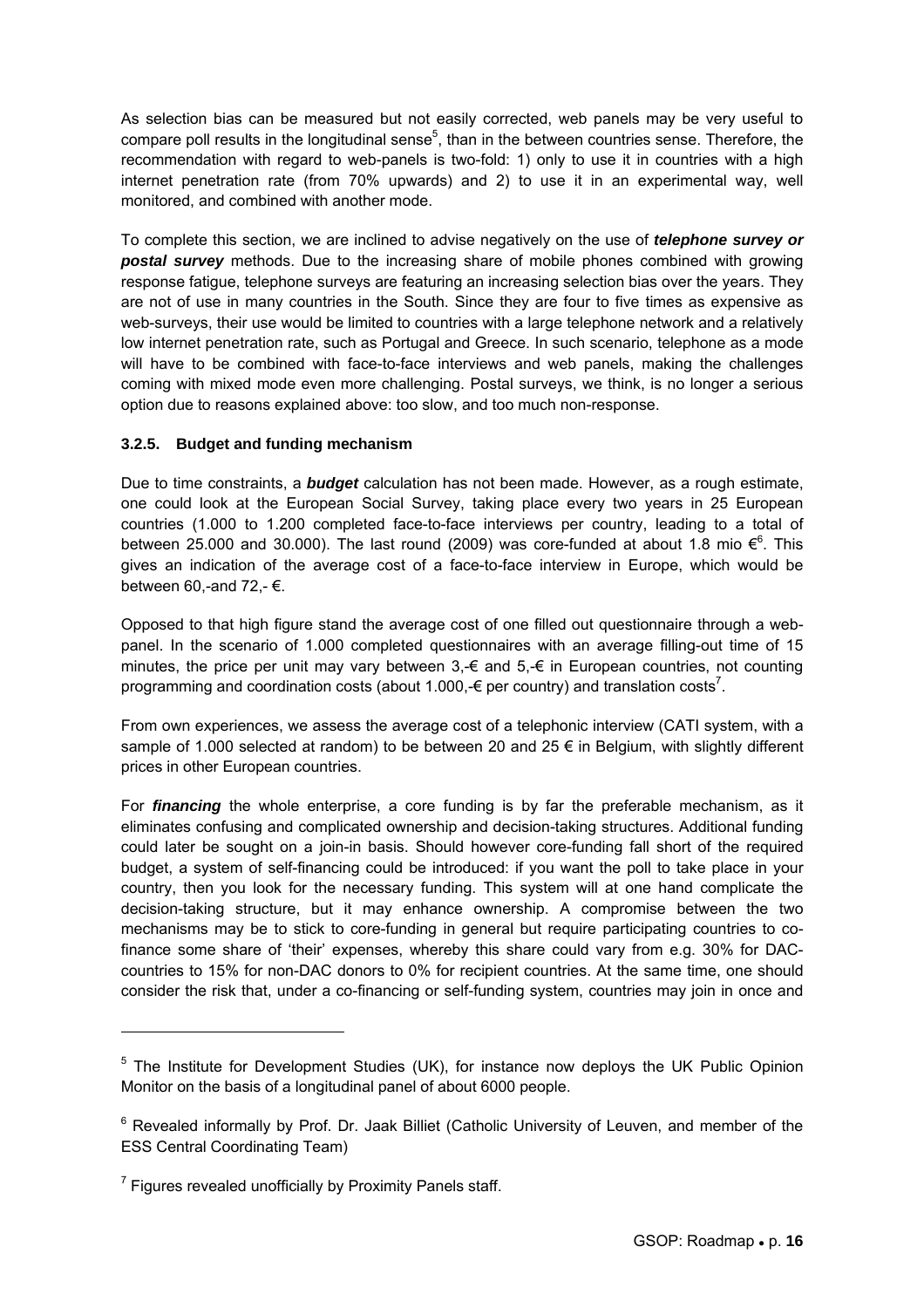As selection bias can be measured but not easily corrected, web panels may be very useful to compare poll results in the longitudinal sense<sup>5</sup>, than in the between countries sense. Therefore, the recommendation with regard to web-panels is two-fold: 1) only to use it in countries with a high internet penetration rate (from 70% upwards) and 2) to use it in an experimental way, well monitored, and combined with another mode.

To complete this section, we are inclined to advise negatively on the use of *telephone survey or postal survey* methods. Due to the increasing share of mobile phones combined with growing response fatigue, telephone surveys are featuring an increasing selection bias over the years. They are not of use in many countries in the South. Since they are four to five times as expensive as web-surveys, their use would be limited to countries with a large telephone network and a relatively low internet penetration rate, such as Portugal and Greece. In such scenario, telephone as a mode will have to be combined with face-to-face interviews and web panels, making the challenges coming with mixed mode even more challenging. Postal surveys, we think, is no longer a serious option due to reasons explained above: too slow, and too much non-response.

#### **3.2.5. Budget and funding mechanism**

Due to time constraints, a *budget* calculation has not been made. However, as a rough estimate, one could look at the European Social Survey, taking place every two years in 25 European countries (1.000 to 1.200 completed face-to-face interviews per country, leading to a total of between 25.000 and 30.000). The last round (2009) was core-funded at about 1.8 mio  $\epsilon^6$ . This gives an indication of the average cost of a face-to-face interview in Europe, which would be between 60,-and 72,- $\epsilon$ .

Opposed to that high figure stand the average cost of one filled out questionnaire through a webpanel. In the scenario of 1.000 completed questionnaires with an average filling-out time of 15 minutes, the price per unit may vary between  $3,-\epsilon$  and  $5,-\epsilon$  in European countries, not counting programming and coordination costs (about 1.000,- $\epsilon$  per country) and translation costs<sup>7</sup>.

From own experiences, we assess the average cost of a telephonic interview (CATI system, with a sample of 1.000 selected at random) to be between 20 and 25  $\epsilon$  in Belgium, with slightly different prices in other European countries.

For *financing* the whole enterprise, a core funding is by far the preferable mechanism, as it eliminates confusing and complicated ownership and decision-taking structures. Additional funding could later be sought on a join-in basis. Should however core-funding fall short of the required budget, a system of self-financing could be introduced: if you want the poll to take place in your country, then you look for the necessary funding. This system will at one hand complicate the decision-taking structure, but it may enhance ownership. A compromise between the two mechanisms may be to stick to core-funding in general but require participating countries to cofinance some share of 'their' expenses, whereby this share could vary from e.g. 30% for DACcountries to 15% for non-DAC donors to 0% for recipient countries. At the same time, one should consider the risk that, under a co-financing or self-funding system, countries may join in once and

l

 $5$  The Institute for Development Studies (UK), for instance now deploys the UK Public Opinion Monitor on the basis of a longitudinal panel of about 6000 people.

<sup>&</sup>lt;sup>6</sup> Revealed informally by Prof. Dr. Jaak Billiet (Catholic University of Leuven, and member of the ESS Central Coordinating Team)

<sup>&</sup>lt;sup>7</sup> Figures revealed unofficially by Proximity Panels staff.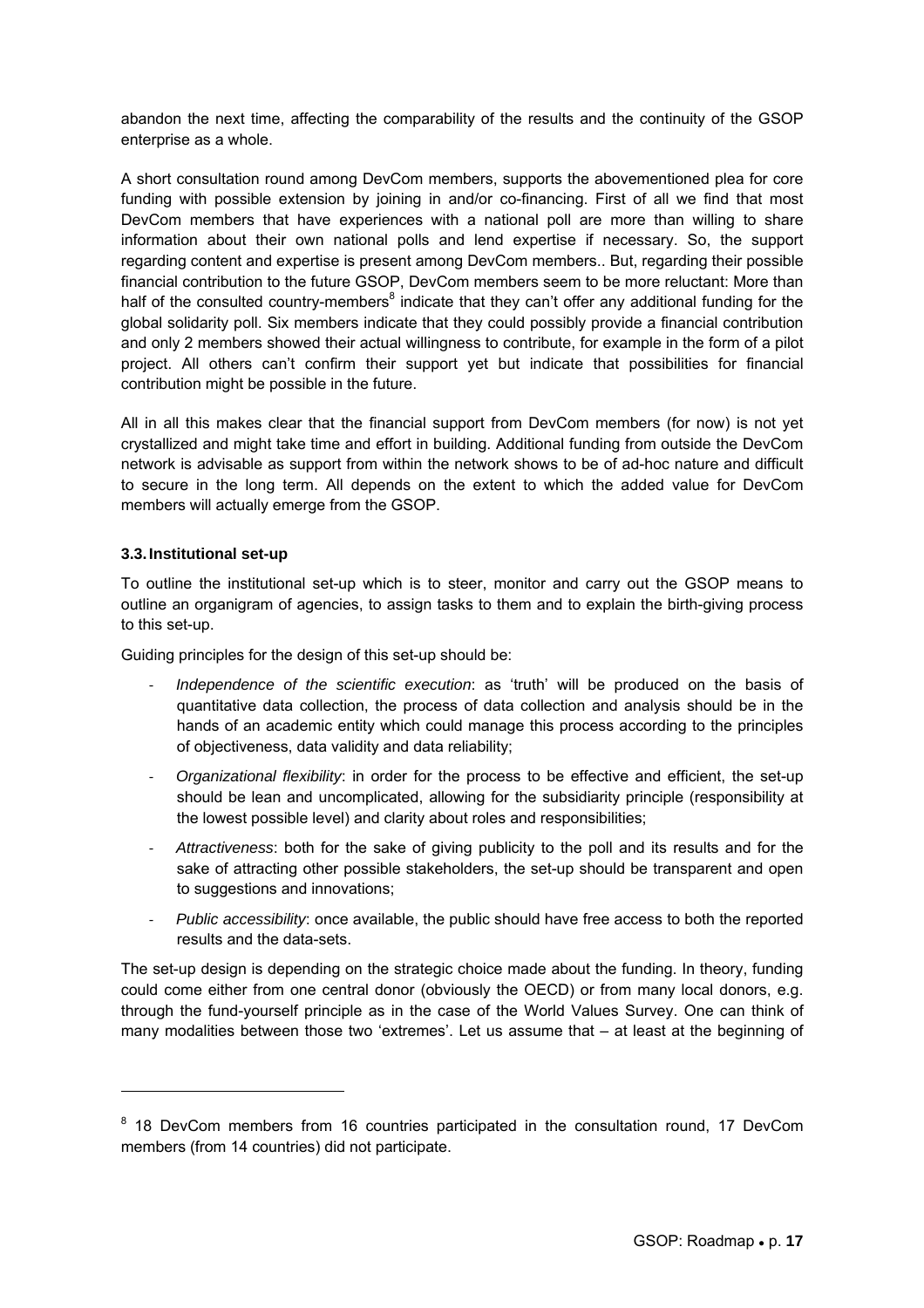abandon the next time, affecting the comparability of the results and the continuity of the GSOP enterprise as a whole.

A short consultation round among DevCom members, supports the abovementioned plea for core funding with possible extension by joining in and/or co-financing. First of all we find that most DevCom members that have experiences with a national poll are more than willing to share information about their own national polls and lend expertise if necessary. So, the support regarding content and expertise is present among DevCom members.. But, regarding their possible financial contribution to the future GSOP, DevCom members seem to be more reluctant: More than half of the consulted country-members<sup>8</sup> indicate that they can't offer any additional funding for the global solidarity poll. Six members indicate that they could possibly provide a financial contribution and only 2 members showed their actual willingness to contribute, for example in the form of a pilot project. All others can't confirm their support yet but indicate that possibilities for financial contribution might be possible in the future.

All in all this makes clear that the financial support from DevCom members (for now) is not yet crystallized and might take time and effort in building. Additional funding from outside the DevCom network is advisable as support from within the network shows to be of ad-hoc nature and difficult to secure in the long term. All depends on the extent to which the added value for DevCom members will actually emerge from the GSOP.

#### **3.3. Institutional set-up**

 $\overline{a}$ 

To outline the institutional set-up which is to steer, monitor and carry out the GSOP means to outline an organigram of agencies, to assign tasks to them and to explain the birth-giving process to this set-up.

Guiding principles for the design of this set-up should be:

- ‐ *Independence of the scientific execution*: as 'truth' will be produced on the basis of quantitative data collection, the process of data collection and analysis should be in the hands of an academic entity which could manage this process according to the principles of objectiveness, data validity and data reliability;
- ‐ *Organizational flexibility*: in order for the process to be effective and efficient, the set-up should be lean and uncomplicated, allowing for the subsidiarity principle (responsibility at the lowest possible level) and clarity about roles and responsibilities;
- ‐ *Attractiveness*: both for the sake of giving publicity to the poll and its results and for the sake of attracting other possible stakeholders, the set-up should be transparent and open to suggestions and innovations;
- ‐ *Public accessibility*: once available, the public should have free access to both the reported results and the data-sets.

The set-up design is depending on the strategic choice made about the funding. In theory, funding could come either from one central donor (obviously the OECD) or from many local donors, e.g. through the fund-yourself principle as in the case of the World Values Survey. One can think of many modalities between those two 'extremes'. Let us assume that – at least at the beginning of

<sup>&</sup>lt;sup>8</sup> 18 DevCom members from 16 countries participated in the consultation round, 17 DevCom members (from 14 countries) did not participate.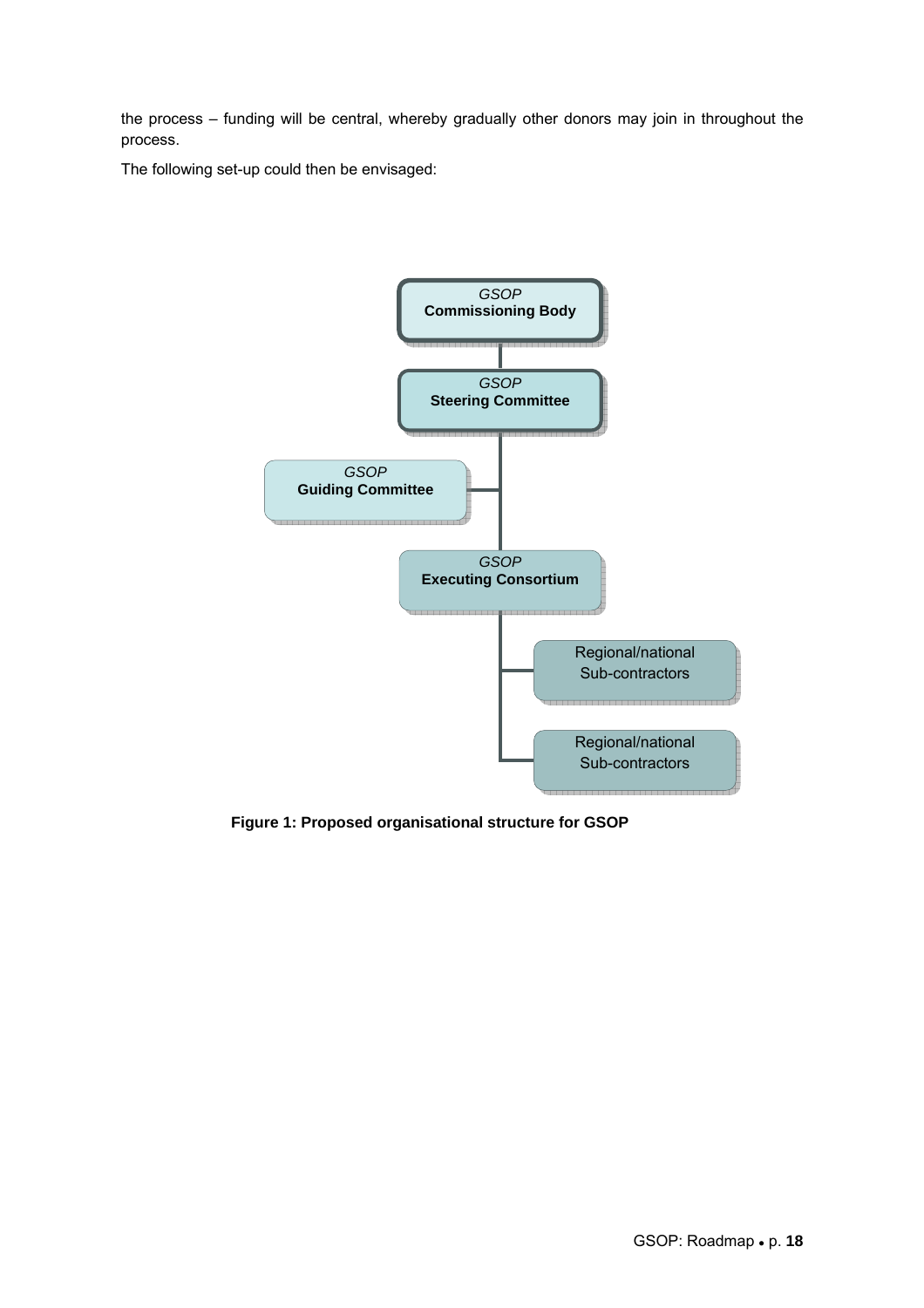the process – funding will be central, whereby gradually other donors may join in throughout the process.

The following set-up could then be envisaged:



 **Figure 1: Proposed organisational structure for GSOP**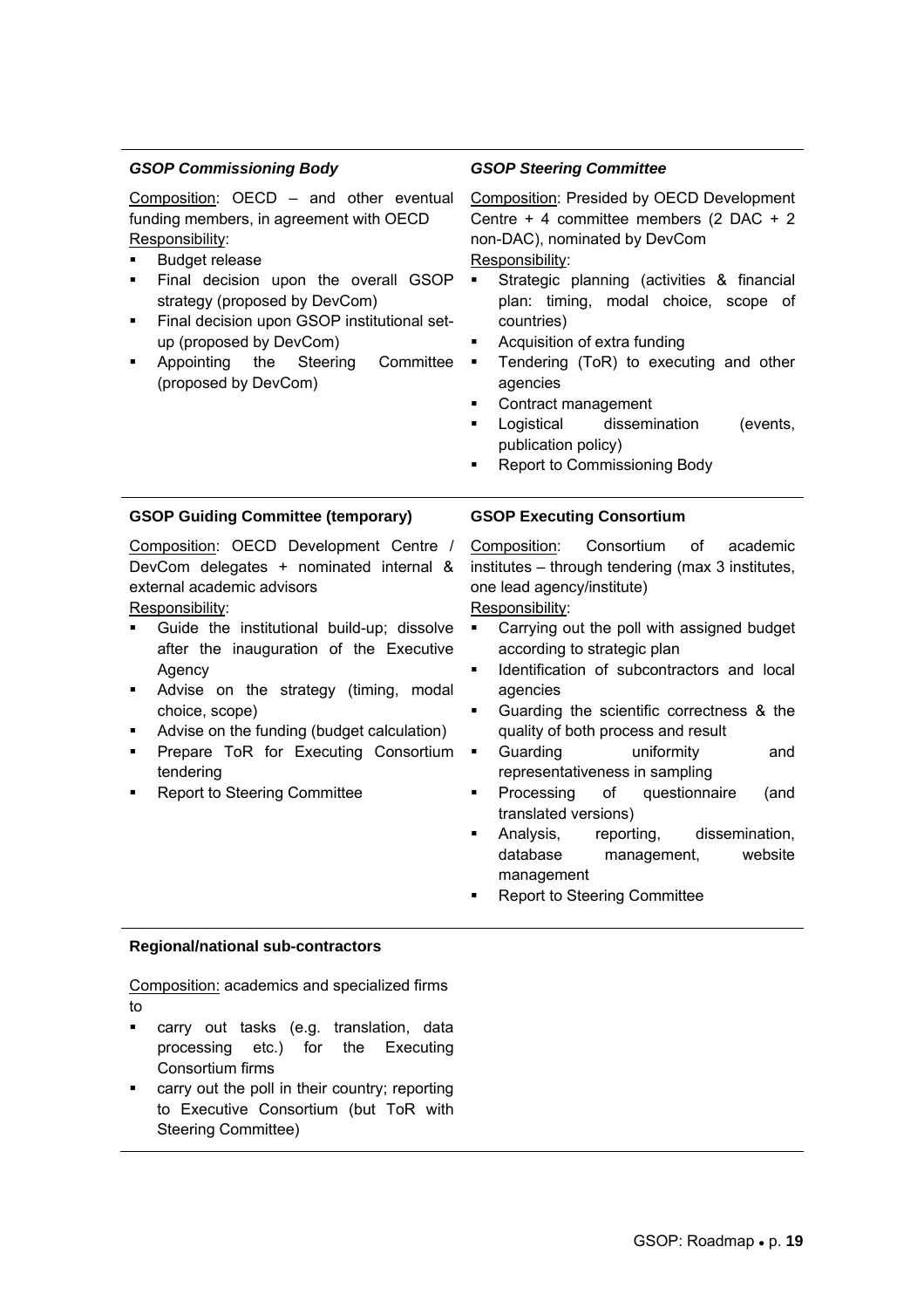#### *GSOP Commissioning Body*  Composition: OECD – and other eventual funding members, in agreement with OECD Responsibility: Budget release Final decision upon the overall GSOP strategy (proposed by DevCom) **Final decision upon GSOP institutional set**up (proposed by DevCom) Appointing the Steering Committee  $\blacksquare$ (proposed by DevCom) *GSOP Steering Committee*  Composition: Presided by OECD Development Centre + 4 committee members (2 DAC + 2 non-DAC), nominated by DevCom Responsibility: Strategic planning (activities & financial plan: timing, modal choice, scope of countries) Acquisition of extra funding Tendering (ToR) to executing and other agencies Contract management Logistical dissemination (events, publication policy) Report to Commissioning Body **GSOP Guiding Committee (temporary)**  Composition: OECD Development Centre / DevCom delegates + nominated internal & external academic advisors Responsibility: Guide the institutional build-up; dissolve after the inauguration of the Executive Agency **Advise on the strategy (timing, modal** choice, scope) Advise on the funding (budget calculation) Prepare ToR for Executing Consortium . tendering Report to Steering Committee **GSOP Executing Consortium**  Composition: Consortium of academic institutes – through tendering (max 3 institutes, one lead agency/institute) Responsibility: Carrying out the poll with assigned budget according to strategic plan Identification of subcontractors and local agencies Guarding the scientific correctness & the quality of both process and result Guarding uniformity and representativeness in sampling Processing of questionnaire (and translated versions) Analysis, reporting, dissemination, database management, website management Report to Steering Committee

#### **Regional/national sub-contractors**

Composition: academics and specialized firms to

- carry out tasks (e.g. translation, data processing etc.) for the Executing Consortium firms
- carry out the poll in their country; reporting to Executive Consortium (but ToR with Steering Committee)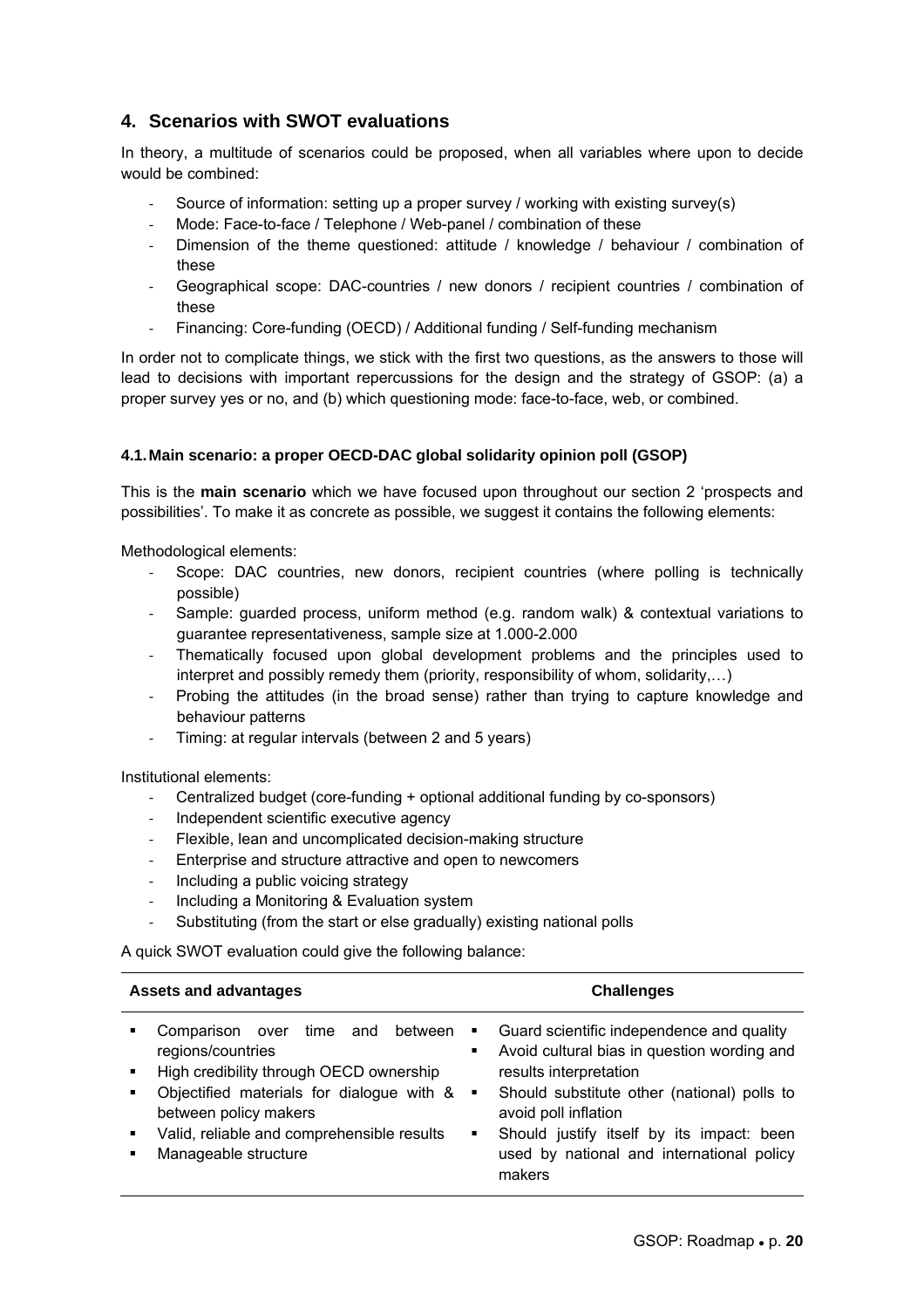### **4. Scenarios with SWOT evaluations**

In theory, a multitude of scenarios could be proposed, when all variables where upon to decide would be combined:

- ‐ Source of information: setting up a proper survey / working with existing survey(s)
- Mode: Face-to-face / Telephone / Web-panel / combination of these
- Dimension of the theme questioned: attitude / knowledge / behaviour / combination of these
- Geographical scope: DAC-countries / new donors / recipient countries / combination of these
- Financing: Core-funding (OECD) / Additional funding / Self-funding mechanism

In order not to complicate things, we stick with the first two questions, as the answers to those will lead to decisions with important repercussions for the design and the strategy of GSOP: (a) a proper survey yes or no, and (b) which questioning mode: face-to-face, web, or combined.

#### **4.1. Main scenario: a proper OECD-DAC global solidarity opinion poll (GSOP)**

This is the **main scenario** which we have focused upon throughout our section 2 'prospects and possibilities'. To make it as concrete as possible, we suggest it contains the following elements:

Methodological elements:

- Scope: DAC countries, new donors, recipient countries (where polling is technically possible)
- Sample: guarded process, uniform method (e.g. random walk) & contextual variations to guarantee representativeness, sample size at 1.000-2.000
- ‐ Thematically focused upon global development problems and the principles used to interpret and possibly remedy them (priority, responsibility of whom, solidarity,…)
- ‐ Probing the attitudes (in the broad sense) rather than trying to capture knowledge and behaviour patterns
- ‐ Timing: at regular intervals (between 2 and 5 years)

Institutional elements:

- ‐ Centralized budget (core-funding + optional additional funding by co-sponsors)
- ‐ Independent scientific executive agency
- ‐ Flexible, lean and uncomplicated decision-making structure
- ‐ Enterprise and structure attractive and open to newcomers
- ‐ Including a public voicing strategy
- ‐ Including a Monitoring & Evaluation system
- ‐ Substituting (from the start or else gradually) existing national polls

A quick SWOT evaluation could give the following balance:

| <b>Assets and advantages</b>                                                                                                                                                                                                                   | <b>Challenges</b>                                                                                                                                                                                                                                                                                            |
|------------------------------------------------------------------------------------------------------------------------------------------------------------------------------------------------------------------------------------------------|--------------------------------------------------------------------------------------------------------------------------------------------------------------------------------------------------------------------------------------------------------------------------------------------------------------|
| Comparison over time and between<br>regions/countries<br>High credibility through OECD ownership<br>Objectified materials for dialogue with & .<br>between policy makers<br>Valid, reliable and comprehensible results<br>Manageable structure | Guard scientific independence and quality<br>٠<br>Avoid cultural bias in question wording and<br>٠<br>results interpretation<br>Should substitute other (national) polls to<br>avoid poll inflation<br>Should justify itself by its impact: been<br>٠<br>used by national and international policy<br>makers |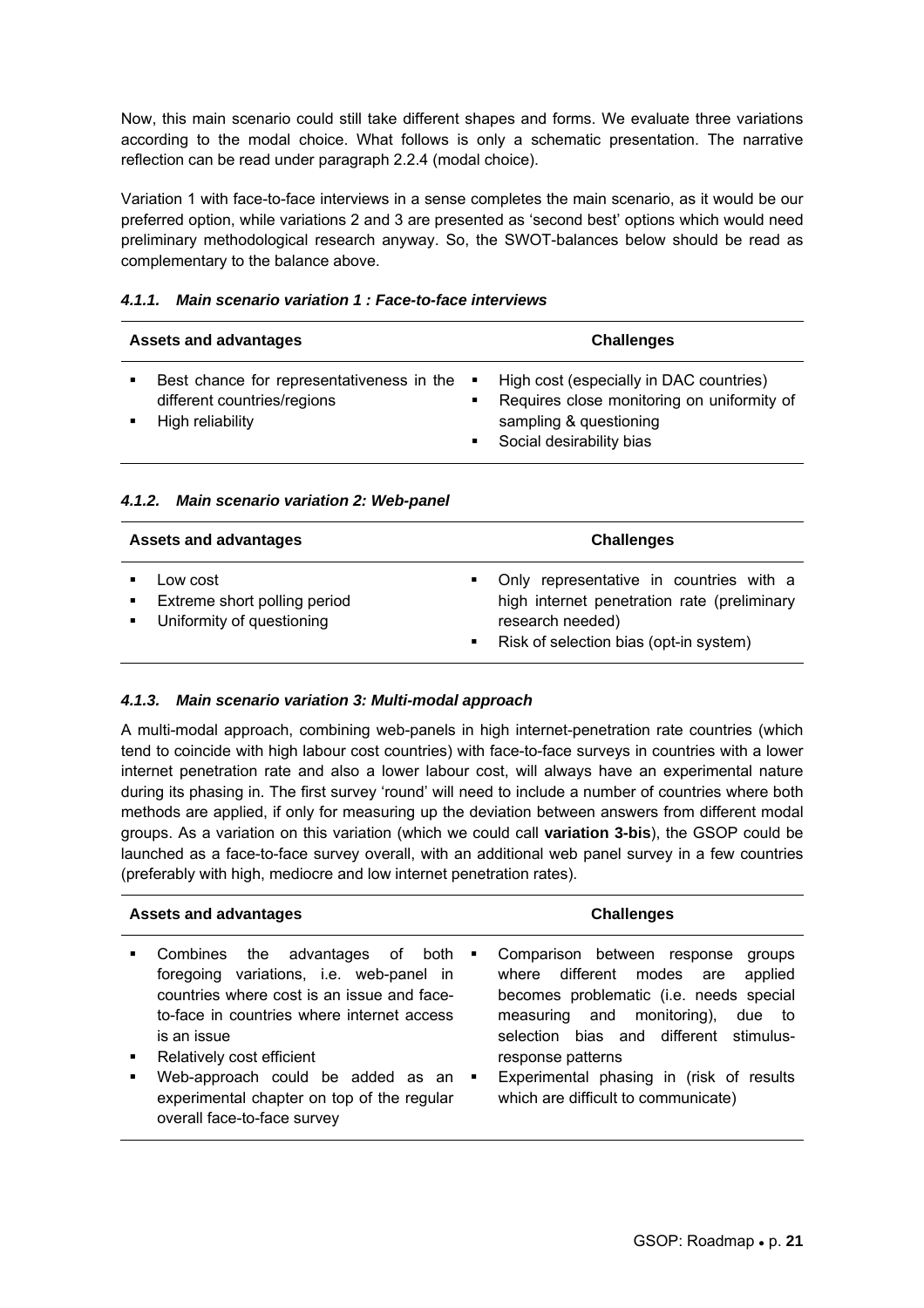Now, this main scenario could still take different shapes and forms. We evaluate three variations according to the modal choice. What follows is only a schematic presentation. The narrative reflection can be read under paragraph 2.2.4 (modal choice).

Variation 1 with face-to-face interviews in a sense completes the main scenario, as it would be our preferred option, while variations 2 and 3 are presented as 'second best' options which would need preliminary methodological research anyway. So, the SWOT-balances below should be read as complementary to the balance above.

| <b>Assets and advantages</b>                                                                 | <b>Challenges</b>                                                                                                                                                                            |
|----------------------------------------------------------------------------------------------|----------------------------------------------------------------------------------------------------------------------------------------------------------------------------------------------|
| Best chance for representativeness in the<br>different countries/regions<br>High reliability | High cost (especially in DAC countries)<br>$\mathbf{H}^{\mathrm{max}}$<br>Requires close monitoring on uniformity of<br>$\blacksquare$<br>sampling & questioning<br>Social desirability bias |

#### *4.1.1. Main scenario variation 1 : Face-to-face interviews*

#### *4.1.2. Main scenario variation 2: Web-panel*

| <b>Assets and advantages</b> |                                                                       |                                | <b>Challenges</b>                                                                                                                                    |
|------------------------------|-----------------------------------------------------------------------|--------------------------------|------------------------------------------------------------------------------------------------------------------------------------------------------|
|                              | Low cost<br>Extreme short polling period<br>Uniformity of questioning | $\mathbf{m}$<br>$\mathbf{m}$ . | Only representative in countries with a<br>high internet penetration rate (preliminary<br>research needed)<br>Risk of selection bias (opt-in system) |

#### *4.1.3. Main scenario variation 3: Multi-modal approach*

A multi-modal approach, combining web-panels in high internet-penetration rate countries (which tend to coincide with high labour cost countries) with face-to-face surveys in countries with a lower internet penetration rate and also a lower labour cost, will always have an experimental nature during its phasing in. The first survey 'round' will need to include a number of countries where both methods are applied, if only for measuring up the deviation between answers from different modal groups. As a variation on this variation (which we could call **variation 3-bis**), the GSOP could be launched as a face-to-face survey overall, with an additional web panel survey in a few countries (preferably with high, mediocre and low internet penetration rates).

| <b>Assets and advantages</b>                                                                                                                                                                                                                                                                                                                                                                          | <b>Challenges</b>                                                                                                                                                                                                                                                                                                                 |
|-------------------------------------------------------------------------------------------------------------------------------------------------------------------------------------------------------------------------------------------------------------------------------------------------------------------------------------------------------------------------------------------------------|-----------------------------------------------------------------------------------------------------------------------------------------------------------------------------------------------------------------------------------------------------------------------------------------------------------------------------------|
| the advantages of<br>Combines<br>both<br>$\blacksquare$<br>foregoing variations, i.e. web-panel in<br>countries where cost is an issue and face-<br>to-face in countries where internet access<br>is an issue<br>Relatively cost efficient<br>$\blacksquare$<br>Web-approach could be added as an<br>٠<br>$\blacksquare$<br>experimental chapter on top of the regular<br>overall face-to-face survey | Comparison between response<br>groups<br>where different<br>modes<br>applied<br>are<br>becomes problematic (i.e. needs special<br>monitoring),<br>and<br>measuring<br>due to<br>bias and different stimulus-<br>selection<br>response patterns<br>Experimental phasing in (risk of results<br>which are difficult to communicate) |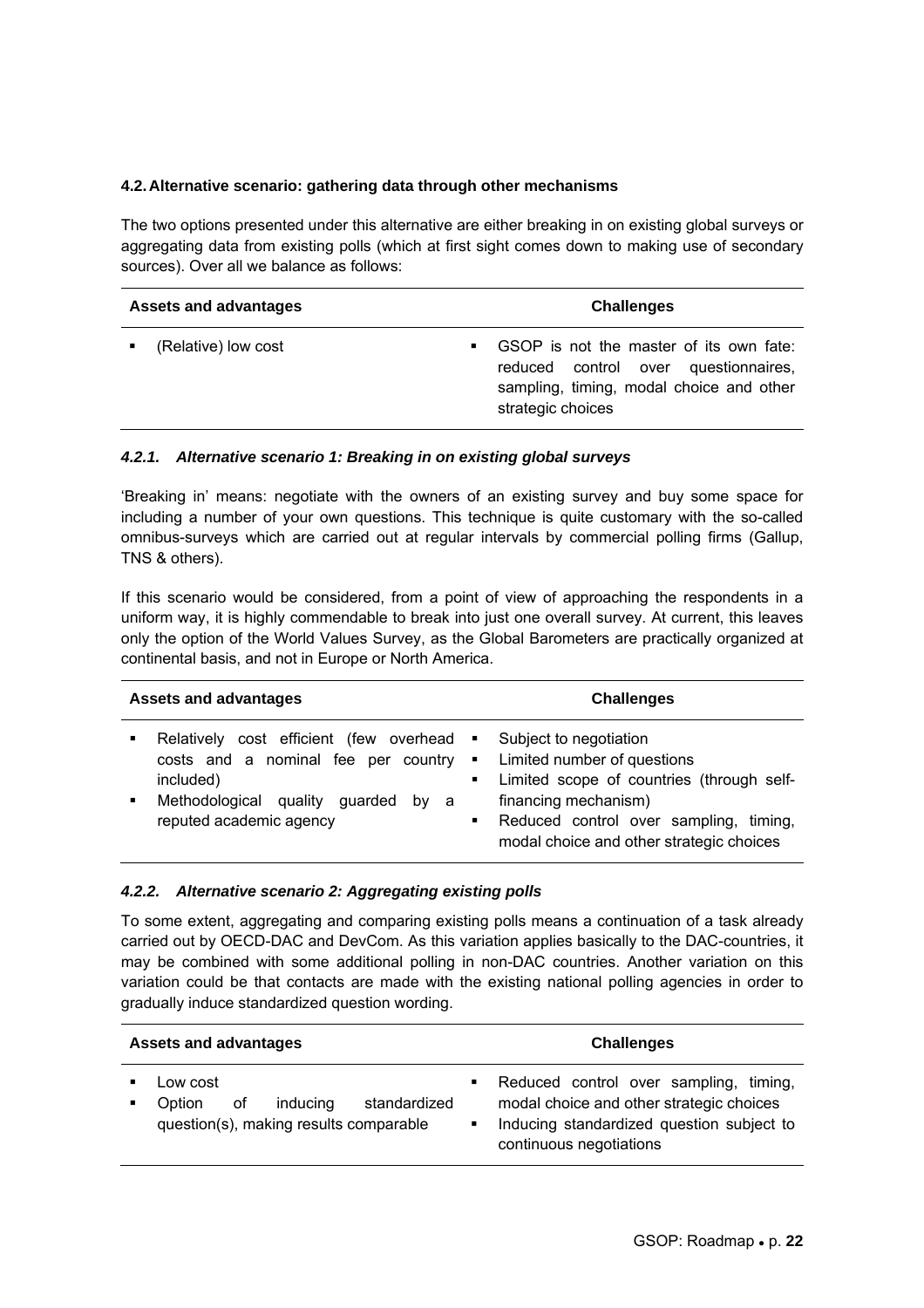#### **4.2. Alternative scenario: gathering data through other mechanisms**

The two options presented under this alternative are either breaking in on existing global surveys or aggregating data from existing polls (which at first sight comes down to making use of secondary sources). Over all we balance as follows:

| <b>Assets and advantages</b> |                     | <b>Challenges</b> |                                                                                                                                                  |
|------------------------------|---------------------|-------------------|--------------------------------------------------------------------------------------------------------------------------------------------------|
|                              | (Relative) low cost |                   | GSOP is not the master of its own fate:<br>reduced control over questionnaires,<br>sampling, timing, modal choice and other<br>strategic choices |

#### *4.2.1. Alternative scenario 1: Breaking in on existing global surveys*

'Breaking in' means: negotiate with the owners of an existing survey and buy some space for including a number of your own questions. This technique is quite customary with the so-called omnibus-surveys which are carried out at regular intervals by commercial polling firms (Gallup, TNS & others).

If this scenario would be considered, from a point of view of approaching the respondents in a uniform way, it is highly commendable to break into just one overall survey. At current, this leaves only the option of the World Values Survey, as the Global Barometers are practically organized at continental basis, and not in Europe or North America.

| <b>Assets and advantages</b> |                                                                                                                                                                     | <b>Challenges</b>                                     |                                                                                                                                                                                                                  |
|------------------------------|---------------------------------------------------------------------------------------------------------------------------------------------------------------------|-------------------------------------------------------|------------------------------------------------------------------------------------------------------------------------------------------------------------------------------------------------------------------|
|                              | Relatively cost efficient (few overhead<br>costs and a nominal fee per country<br>included)<br>Methodological quality<br>guarded<br>by a<br>reputed academic agency | $\mathbf{H}$<br>$\blacksquare$<br>$\blacksquare$<br>٠ | Subject to negotiation<br>Limited number of questions<br>Limited scope of countries (through self-<br>financing mechanism)<br>Reduced control over sampling, timing,<br>modal choice and other strategic choices |

#### *4.2.2. Alternative scenario 2: Aggregating existing polls*

To some extent, aggregating and comparing existing polls means a continuation of a task already carried out by OECD-DAC and DevCom. As this variation applies basically to the DAC-countries, it may be combined with some additional polling in non-DAC countries. Another variation on this variation could be that contacts are made with the existing national polling agencies in order to gradually induce standardized question wording.

| <b>Assets and advantages</b> |                                                                                                | <b>Challenges</b> |                                                                                                                                                            |
|------------------------------|------------------------------------------------------------------------------------------------|-------------------|------------------------------------------------------------------------------------------------------------------------------------------------------------|
|                              | Low cost<br>inducing<br>standardized<br>οf<br>Option<br>question(s), making results comparable | ٠<br>٠            | Reduced control over sampling, timing,<br>modal choice and other strategic choices<br>Inducing standardized question subject to<br>continuous negotiations |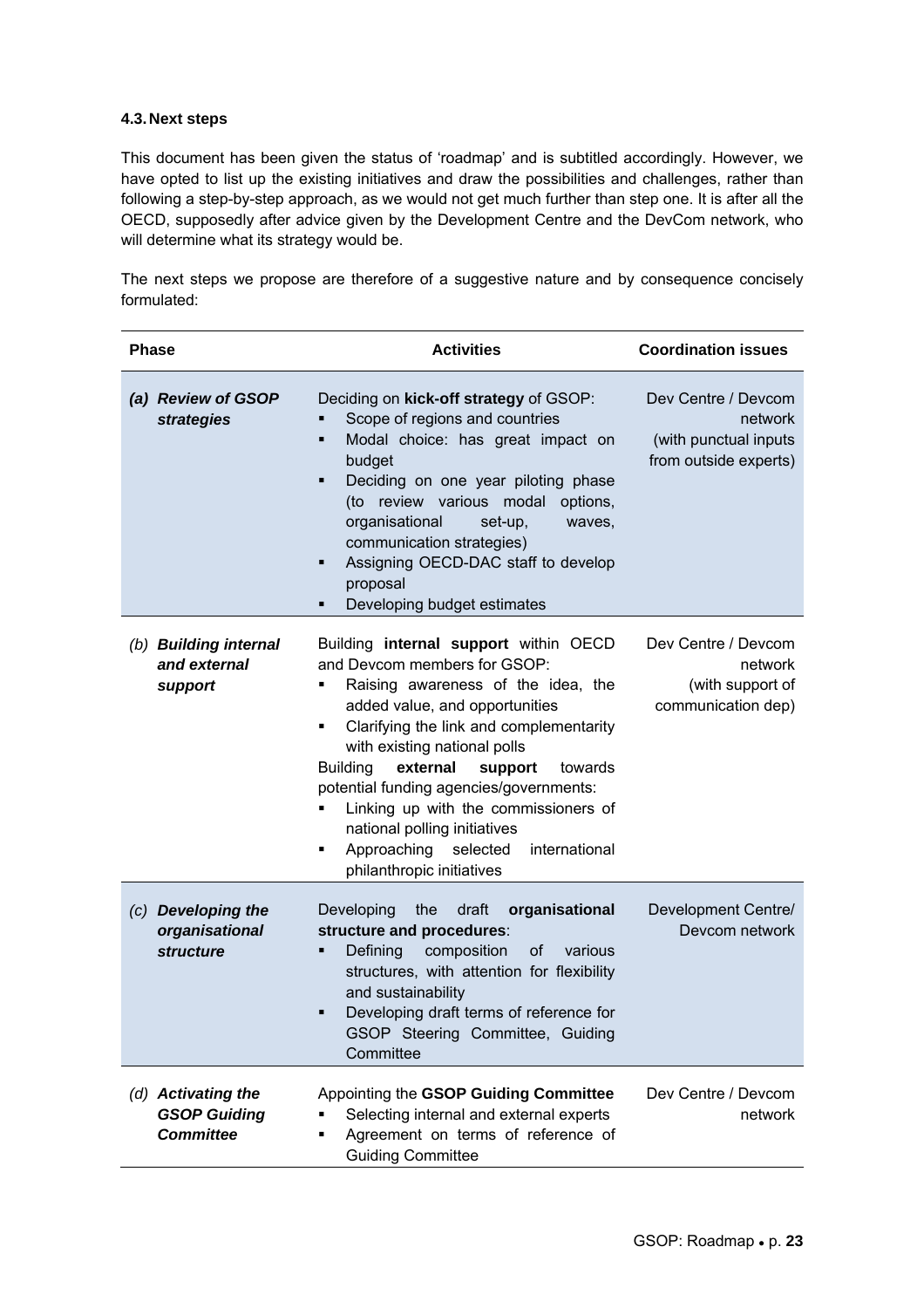#### **4.3. Next steps**

This document has been given the status of 'roadmap' and is subtitled accordingly. However, we have opted to list up the existing initiatives and draw the possibilities and challenges, rather than following a step-by-step approach, as we would not get much further than step one. It is after all the OECD, supposedly after advice given by the Development Centre and the DevCom network, who will determine what its strategy would be.

The next steps we propose are therefore of a suggestive nature and by consequence concisely formulated:

| <b>Phase</b>                                                  | <b>Activities</b>                                                                                                                                                                                                                                                                                                                                                                                                                                                                          | <b>Coordination issues</b>                                                       |
|---------------------------------------------------------------|--------------------------------------------------------------------------------------------------------------------------------------------------------------------------------------------------------------------------------------------------------------------------------------------------------------------------------------------------------------------------------------------------------------------------------------------------------------------------------------------|----------------------------------------------------------------------------------|
| (a) Review of GSOP<br>strategies                              | Deciding on kick-off strategy of GSOP:<br>Scope of regions and countries<br>Modal choice: has great impact on<br>п<br>budget<br>Deciding on one year piloting phase<br>٠<br>(to review various modal options,<br>organisational<br>set-up,<br>waves,<br>communication strategies)<br>Assigning OECD-DAC staff to develop<br>٠<br>proposal<br>Developing budget estimates<br>٠                                                                                                              | Dev Centre / Devcom<br>network<br>(with punctual inputs<br>from outside experts) |
| (b) Building internal<br>and external<br>support              | Building internal support within OECD<br>and Devcom members for GSOP:<br>Raising awareness of the idea, the<br>٠<br>added value, and opportunities<br>Clarifying the link and complementarity<br>٠<br>with existing national polls<br><b>Building</b><br>external<br>support<br>towards<br>potential funding agencies/governments:<br>Linking up with the commissioners of<br>٠<br>national polling initiatives<br>Approaching selected<br>international<br>٠<br>philanthropic initiatives | Dev Centre / Devcom<br>network<br>(with support of<br>communication dep)         |
| (c) Developing the<br>organisational<br><b>structure</b>      | organisational<br>Developing<br>the<br>draft<br>structure and procedures:<br>composition<br>Defining<br><b>of</b><br>various<br>٠<br>structures, with attention for flexibility<br>and sustainability<br>Developing draft terms of reference for<br>٠<br>GSOP Steering Committee, Guiding<br>Committee                                                                                                                                                                                     | Development Centre/<br>Devcom network                                            |
| (d) Activating the<br><b>GSOP Guiding</b><br><b>Committee</b> | Appointing the GSOP Guiding Committee<br>Selecting internal and external experts<br>٠<br>Agreement on terms of reference of<br>٠<br><b>Guiding Committee</b>                                                                                                                                                                                                                                                                                                                               | Dev Centre / Devcom<br>network                                                   |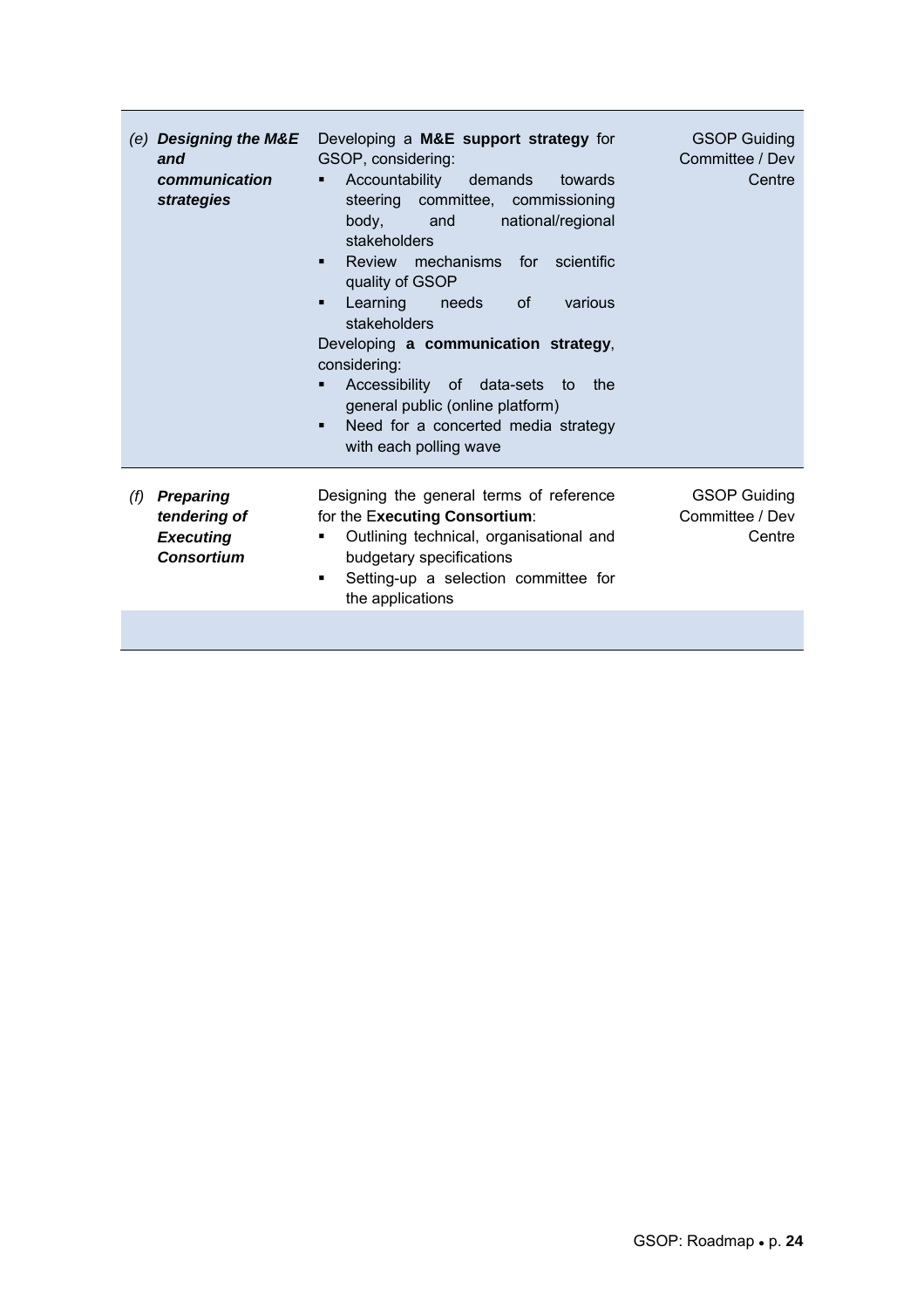|     | (e) Designing the M&E<br>and<br>communication<br>strategies               | Developing a M&E support strategy for<br>GSOP, considering:<br>Accountability demands<br>towards<br>٠<br>steering committee, commissioning<br>body,<br>national/regional<br>and<br>stakeholders<br>Review mechanisms for<br>scientific<br>quality of GSOP<br>Learning needs<br>0f<br>various<br>stakeholders<br>Developing a communication strategy,<br>considering:<br>Accessibility of data-sets to<br>the<br>٠<br>general public (online platform)<br>Need for a concerted media strategy<br>٠<br>with each polling wave | <b>GSOP Guiding</b><br>Committee / Dev<br>Centre |
|-----|---------------------------------------------------------------------------|-----------------------------------------------------------------------------------------------------------------------------------------------------------------------------------------------------------------------------------------------------------------------------------------------------------------------------------------------------------------------------------------------------------------------------------------------------------------------------------------------------------------------------|--------------------------------------------------|
| (f) | <b>Preparing</b><br>tendering of<br><b>Executing</b><br><b>Consortium</b> | Designing the general terms of reference<br>for the Executing Consortium:<br>Outlining technical, organisational and<br>budgetary specifications<br>Setting-up a selection committee for<br>п.<br>the applications                                                                                                                                                                                                                                                                                                          | <b>GSOP Guiding</b><br>Committee / Dev<br>Centre |
|     |                                                                           |                                                                                                                                                                                                                                                                                                                                                                                                                                                                                                                             |                                                  |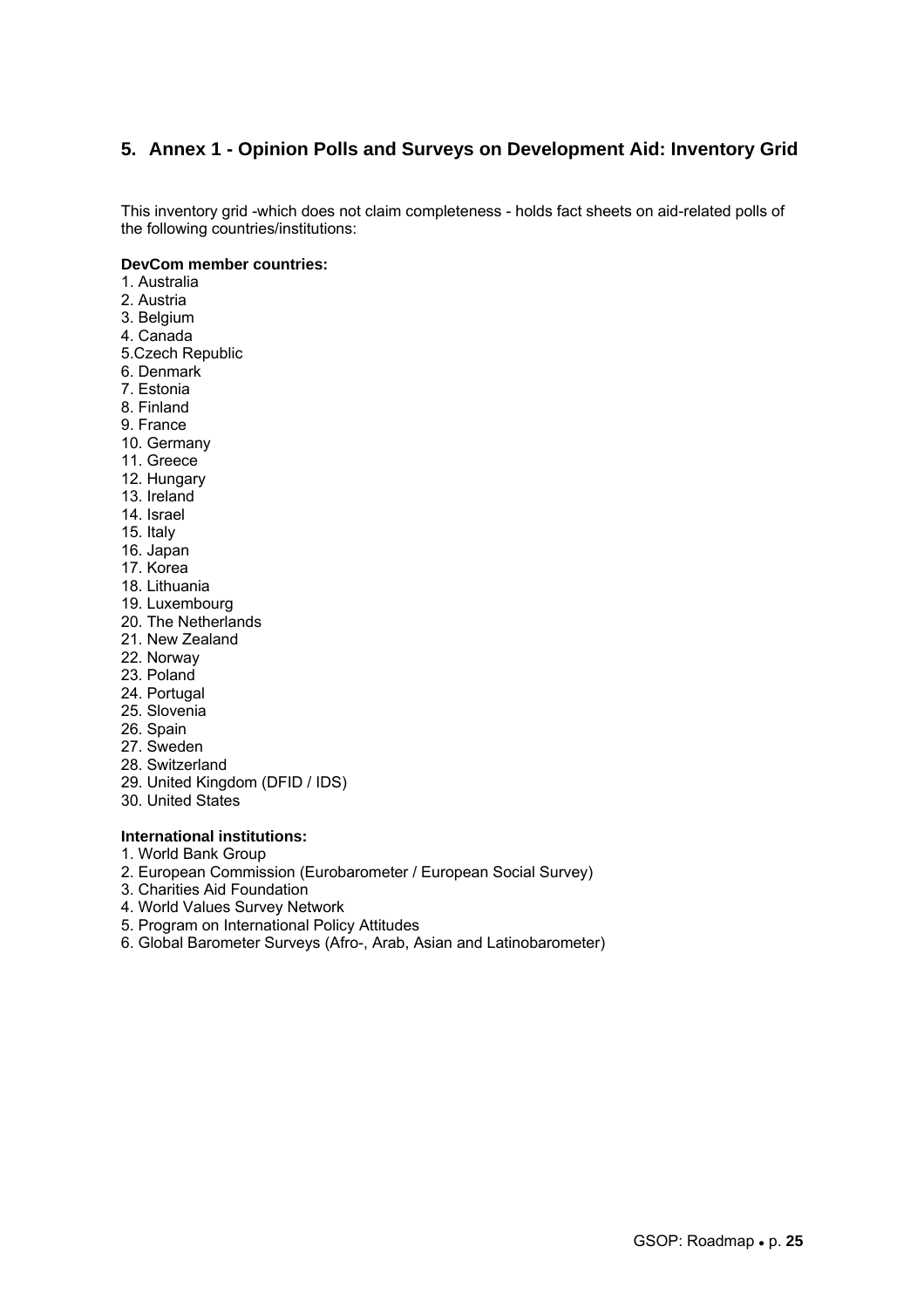### **5. Annex 1 - Opinion Polls and Surveys on Development Aid: Inventory Grid**

This inventory grid -which does not claim completeness - holds fact sheets on aid-related polls of the following countries/institutions:

#### **DevCom member countries:**

- 1. Australia
- 2. Austria
- 3. Belgium
- 4. Canada
- 5.Czech Republic
- 6. Denmark
- 7. Estonia
- 8. Finland
- 9. France
- 10. Germany
- 11. Greece
- 12. Hungary
- 13. Ireland
- 14. Israel
- 15. Italy
- 16. Japan
- 17. Korea
- 18. Lithuania
- 19. Luxembourg
- 20. The Netherlands
- 21. New Zealand
- 22. Norway
- 23. Poland
- 24. Portugal
- 25. Slovenia
- 26. Spain
- 27. Sweden
- 28. Switzerland
- 29. United Kingdom (DFID / IDS)
- 30. United States

#### **International institutions:**

- 1. World Bank Group
- 2. European Commission (Eurobarometer / European Social Survey)
- 3. Charities Aid Foundation
- 4. World Values Survey Network
- 5. Program on International Policy Attitudes
- 6. Global Barometer Surveys (Afro-, Arab, Asian and Latinobarometer)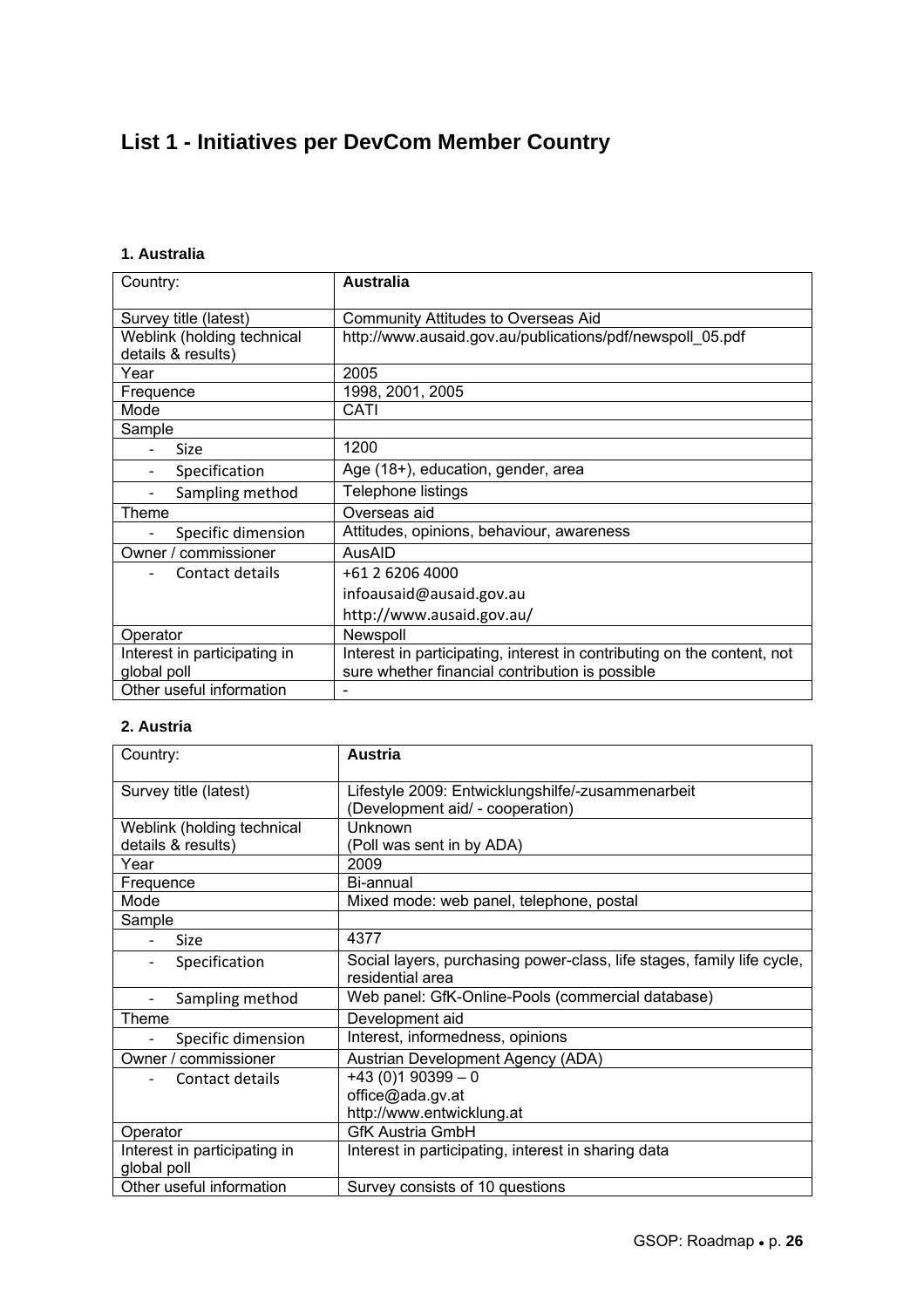## **List 1 - Initiatives per DevCom Member Country**

### **1. Australia**

| Country:                     | <b>Australia</b>                                                        |
|------------------------------|-------------------------------------------------------------------------|
| Survey title (latest)        | Community Attitudes to Overseas Aid                                     |
| Weblink (holding technical   | http://www.ausaid.gov.au/publications/pdf/newspoll 05.pdf               |
| details & results)           |                                                                         |
| Year                         | 2005                                                                    |
| Frequence                    | 1998, 2001, 2005                                                        |
| Mode                         | CATI                                                                    |
| Sample                       |                                                                         |
| Size                         | 1200                                                                    |
| Specification                | Age (18+), education, gender, area                                      |
| Sampling method              | Telephone listings                                                      |
| Theme                        | Overseas aid                                                            |
| Specific dimension           | Attitudes, opinions, behaviour, awareness                               |
| Owner / commissioner         | AusAID                                                                  |
| Contact details              | +61 2 6206 4000                                                         |
|                              | infoausaid@ausaid.gov.au                                                |
|                              | http://www.ausaid.gov.au/                                               |
| Operator                     | Newspoll                                                                |
| Interest in participating in | Interest in participating, interest in contributing on the content, not |
| global poll                  | sure whether financial contribution is possible                         |
| Other useful information     |                                                                         |

### **2. Austria**

| Country:                                    | <b>Austria</b>                                                         |
|---------------------------------------------|------------------------------------------------------------------------|
| Survey title (latest)                       | Lifestyle 2009: Entwicklungshilfe/-zusammenarbeit                      |
|                                             | (Development aid/ - cooperation)                                       |
| Weblink (holding technical                  | Unknown                                                                |
| details & results)                          | (Poll was sent in by ADA)                                              |
| Year                                        | 2009                                                                   |
| Frequence                                   | Bi-annual                                                              |
| Mode                                        | Mixed mode: web panel, telephone, postal                               |
| Sample                                      |                                                                        |
| Size                                        | 4377                                                                   |
| Specification<br>-                          | Social layers, purchasing power-class, life stages, family life cycle, |
|                                             | residential area                                                       |
| Sampling method<br>$\overline{\phantom{a}}$ | Web panel: GfK-Online-Pools (commercial database)                      |
| Theme                                       | Development aid                                                        |
| Specific dimension                          | Interest, informedness, opinions                                       |
| Owner / commissioner                        | Austrian Development Agency (ADA)                                      |
| Contact details                             | $+43(0)190399 - 0$                                                     |
|                                             | office@ada.gv.at                                                       |
|                                             | http://www.entwicklung.at                                              |
| Operator                                    | <b>GfK Austria GmbH</b>                                                |
| Interest in participating in                | Interest in participating, interest in sharing data                    |
| global poll                                 |                                                                        |
| Other useful information                    | Survey consists of 10 questions                                        |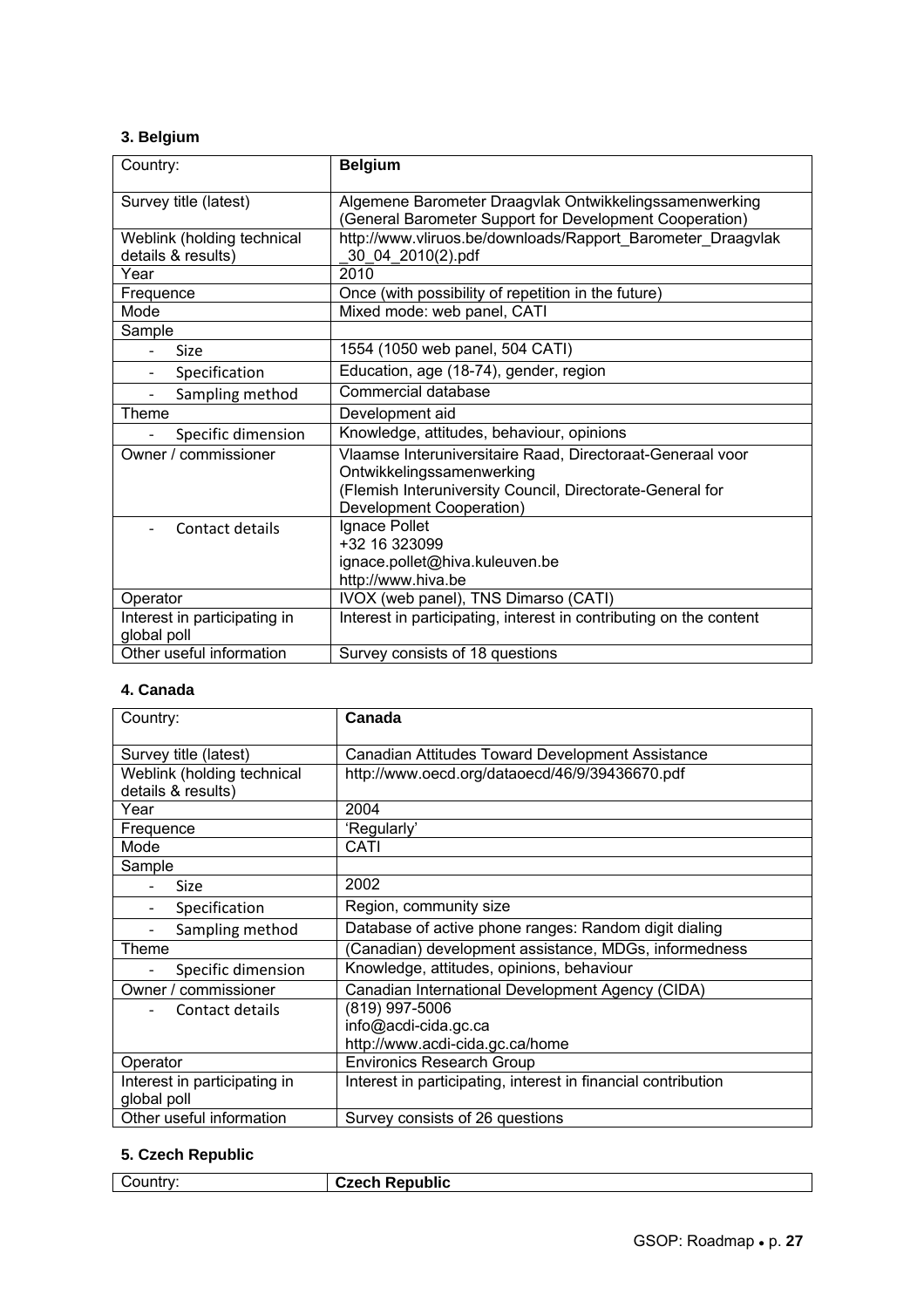### **3. Belgium**

| Country:                                         | <b>Belgium</b>                                                                                                    |
|--------------------------------------------------|-------------------------------------------------------------------------------------------------------------------|
| Survey title (latest)                            | Algemene Barometer Draagvlak Ontwikkelingssamenwerking<br>(General Barometer Support for Development Cooperation) |
| Weblink (holding technical<br>details & results) | http://www.vliruos.be/downloads/Rapport Barometer Draagvlak<br>30 04 2010(2).pdf                                  |
| Year                                             | 2010                                                                                                              |
| Frequence                                        | Once (with possibility of repetition in the future)                                                               |
| Mode                                             | Mixed mode: web panel, CATI                                                                                       |
| Sample                                           |                                                                                                                   |
| <b>Size</b>                                      | 1554 (1050 web panel, 504 CATI)                                                                                   |
| Specification                                    | Education, age (18-74), gender, region                                                                            |
| Sampling method<br>$\overline{\phantom{a}}$      | Commercial database                                                                                               |
| Theme                                            | Development aid                                                                                                   |
| Specific dimension                               | Knowledge, attitudes, behaviour, opinions                                                                         |
| Owner / commissioner                             | Vlaamse Interuniversitaire Raad, Directoraat-Generaal voor                                                        |
|                                                  | Ontwikkelingssamenwerking                                                                                         |
|                                                  | (Flemish Interuniversity Council, Directorate-General for                                                         |
|                                                  | Development Cooperation)                                                                                          |
| Contact details                                  | Ignace Pollet                                                                                                     |
|                                                  | +32 16 323099                                                                                                     |
|                                                  | ignace.pollet@hiva.kuleuven.be                                                                                    |
|                                                  | http://www.hiva.be                                                                                                |
| Operator                                         | IVOX (web panel), TNS Dimarso (CATI)                                                                              |
| Interest in participating in                     | Interest in participating, interest in contributing on the content                                                |
| global poll                                      |                                                                                                                   |
| Other useful information                         | Survey consists of 18 questions                                                                                   |

### **4. Canada**

| Country:                                         | Canada                                                        |
|--------------------------------------------------|---------------------------------------------------------------|
| Survey title (latest)                            | Canadian Attitudes Toward Development Assistance              |
| Weblink (holding technical<br>details & results) | http://www.oecd.org/dataoecd/46/9/39436670.pdf                |
| Year                                             | 2004                                                          |
| Frequence                                        | 'Regularly'                                                   |
| Mode                                             | CATI                                                          |
| Sample                                           |                                                               |
| <b>Size</b>                                      | 2002                                                          |
| Specification                                    | Region, community size                                        |
| Sampling method                                  | Database of active phone ranges: Random digit dialing         |
| Theme                                            | (Canadian) development assistance, MDGs, informedness         |
| Specific dimension                               | Knowledge, attitudes, opinions, behaviour                     |
| Owner / commissioner                             | Canadian International Development Agency (CIDA)              |
| Contact details                                  | (819) 997-5006                                                |
|                                                  | info@acdi-cida.gc.ca                                          |
|                                                  | http://www.acdi-cida.gc.ca/home                               |
| Operator                                         | <b>Environics Research Group</b>                              |
| Interest in participating in                     | Interest in participating, interest in financial contribution |
| global poll                                      |                                                               |
| Other useful information                         | Survey consists of 26 questions                               |

### **5. Czech Republic**

| …ntr∵<br>. | .<br>Czech Republic<br><b>ULCUI.</b> |
|------------|--------------------------------------|
|            |                                      |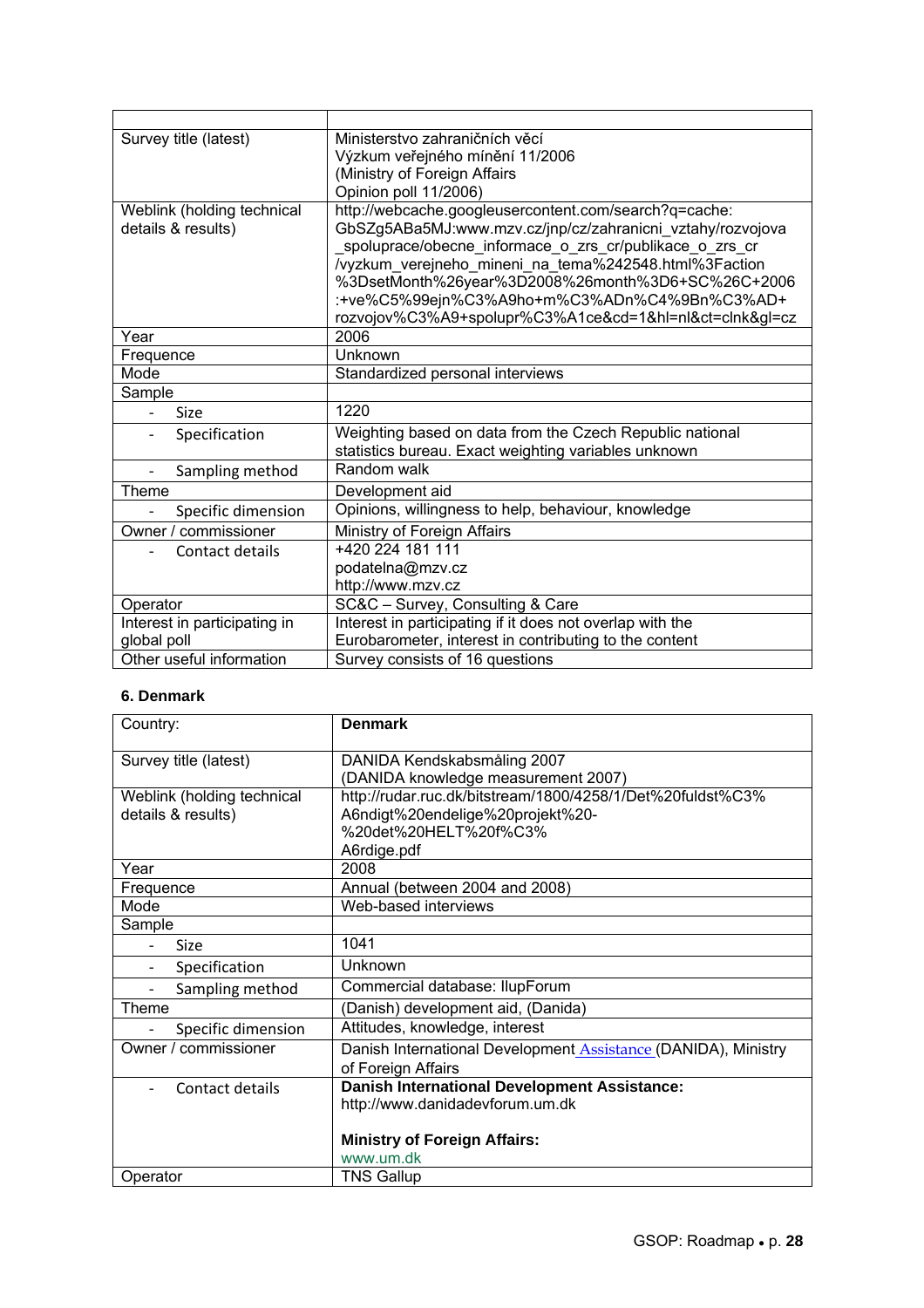| Survey title (latest)        | Ministerstvo zahraničních věcí                                                                                    |
|------------------------------|-------------------------------------------------------------------------------------------------------------------|
|                              | Výzkum veřejného mínění 11/2006                                                                                   |
|                              | (Ministry of Foreign Affairs                                                                                      |
|                              | Opinion poll 11/2006)                                                                                             |
| Weblink (holding technical   | http://webcache.googleusercontent.com/search?q=cache:                                                             |
| details & results)           | GbSZg5ABa5MJ:www.mzv.cz/jnp/cz/zahranicni_vztahy/rozvojova                                                        |
|                              | _spoluprace/obecne_informace_o_zrs_cr/publikace_o_zrs_cr<br>/vyzkum_verejneho_mineni_na_tema%242548.html%3Faction |
|                              | %3DsetMonth%26year%3D2008%26month%3D6+SC%26C+2006                                                                 |
|                              | :+ve%C5%99ejn%C3%A9ho+m%C3%ADn%C4%9Bn%C3%AD+                                                                      |
|                              | rozvojov%C3%A9+spolupr%C3%A1ce&cd=1&hl=nl&ct=clnk≷=cz                                                             |
| Year                         | 2006                                                                                                              |
| Frequence                    | Unknown                                                                                                           |
| Mode                         | Standardized personal interviews                                                                                  |
| Sample                       |                                                                                                                   |
| Size                         | 1220                                                                                                              |
| Specification                | Weighting based on data from the Czech Republic national                                                          |
|                              | statistics bureau. Exact weighting variables unknown                                                              |
| Sampling method              | Random walk                                                                                                       |
| Theme                        | Development aid                                                                                                   |
| Specific dimension           | Opinions, willingness to help, behaviour, knowledge                                                               |
| Owner / commissioner         | Ministry of Foreign Affairs                                                                                       |
| Contact details              | +420 224 181 111                                                                                                  |
|                              | podatelna@mzv.cz                                                                                                  |
|                              | http://www.mzv.cz                                                                                                 |
| Operator                     | SC&C - Survey, Consulting & Care                                                                                  |
| Interest in participating in | Interest in participating if it does not overlap with the                                                         |
| global poll                  | Eurobarometer, interest in contributing to the content                                                            |
| Other useful information     | Survey consists of 16 questions                                                                                   |

#### **6. Denmark**

| Country:                   | <b>Denmark</b>                                                        |
|----------------------------|-----------------------------------------------------------------------|
| Survey title (latest)      | DANIDA Kendskabsmåling 2007                                           |
|                            | (DANIDA knowledge measurement 2007)                                   |
| Weblink (holding technical | http://rudar.ruc.dk/bitstream/1800/4258/1/Det%20fuldst%C3%            |
| details & results)         | A6ndigt%20endelige%20projekt%20-                                      |
|                            | %20det%20HELT%20f%C3%                                                 |
|                            | A6rdige.pdf                                                           |
| Year                       | 2008                                                                  |
| Frequence                  | Annual (between 2004 and 2008)                                        |
| Mode                       | Web-based interviews                                                  |
| Sample                     |                                                                       |
| Size                       | 1041                                                                  |
| Specification              | Unknown                                                               |
| Sampling method            | Commercial database: IlupForum                                        |
| Theme                      | (Danish) development aid, (Danida)                                    |
| Specific dimension         | Attitudes, knowledge, interest                                        |
| Owner / commissioner       | Danish International Development <b>Assistance</b> (DANIDA), Ministry |
|                            | of Foreign Affairs                                                    |
| Contact details            | <b>Danish International Development Assistance:</b>                   |
|                            | http://www.danidadevforum.um.dk                                       |
|                            |                                                                       |
|                            | <b>Ministry of Foreign Affairs:</b>                                   |
|                            | www.um.dk                                                             |
| Operator                   | <b>TNS Gallup</b>                                                     |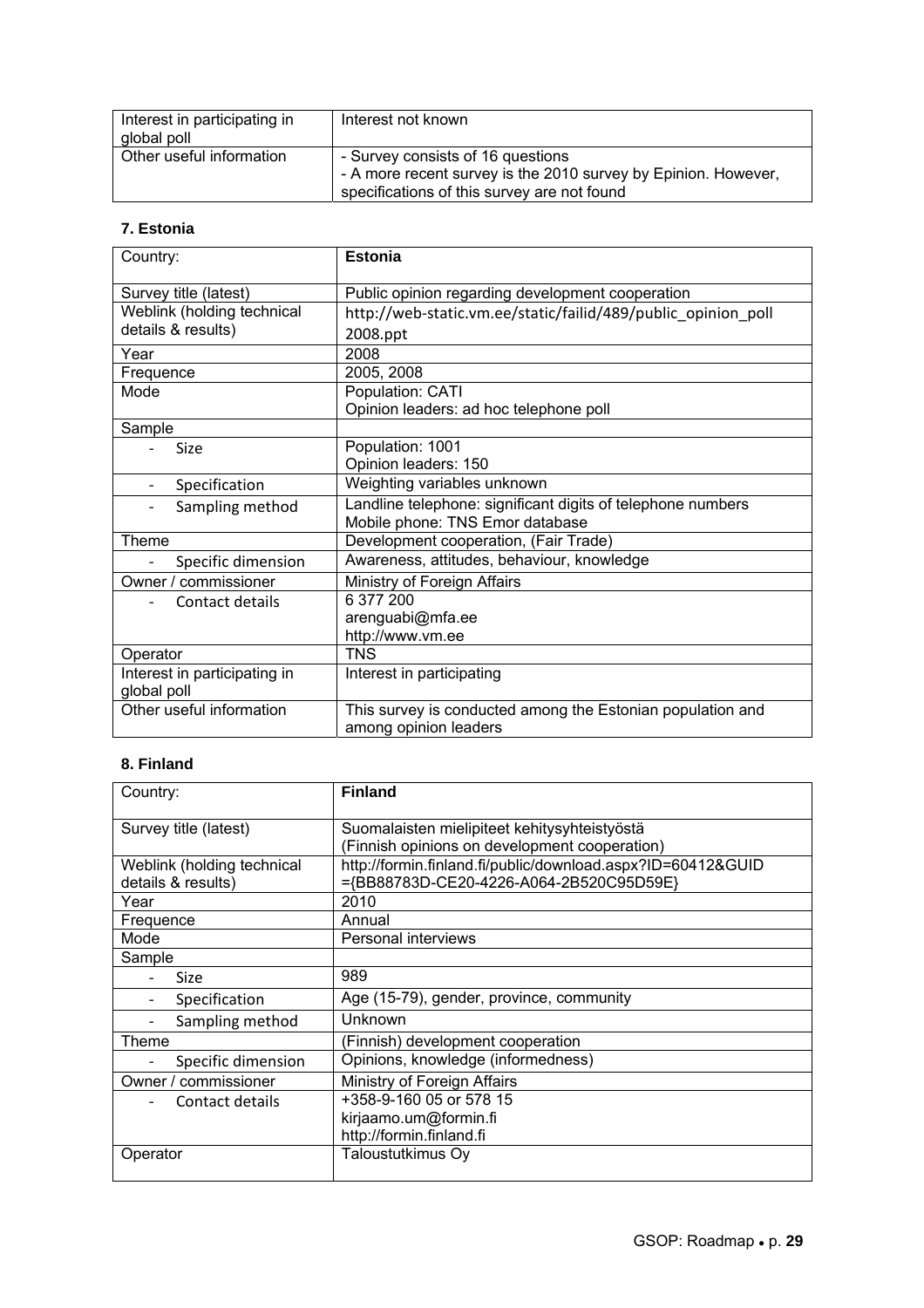| Interest in participating in<br>global poll | Interest not known                                                                                                                                 |
|---------------------------------------------|----------------------------------------------------------------------------------------------------------------------------------------------------|
| Other useful information                    | - Survey consists of 16 questions<br>- A more recent survey is the 2010 survey by Epinion. However,<br>specifications of this survey are not found |

### **7. Estonia**

| Country:                                    | <b>Estonia</b>                                                |
|---------------------------------------------|---------------------------------------------------------------|
| Survey title (latest)                       | Public opinion regarding development cooperation              |
| Weblink (holding technical                  | http://web-static.vm.ee/static/failid/489/public opinion poll |
| details & results)                          | 2008.ppt                                                      |
| Year                                        | 2008                                                          |
| Frequence                                   | 2005, 2008                                                    |
| Mode                                        | Population: CATI                                              |
|                                             | Opinion leaders: ad hoc telephone poll                        |
| Sample                                      |                                                               |
| Size                                        | Population: 1001                                              |
|                                             | Opinion leaders: 150                                          |
| Specification<br>$\overline{\phantom{a}}$   | Weighting variables unknown                                   |
| Sampling method<br>$\overline{\phantom{a}}$ | Landline telephone: significant digits of telephone numbers   |
|                                             | Mobile phone: TNS Emor database                               |
| Theme                                       | Development cooperation, (Fair Trade)                         |
| Specific dimension                          | Awareness, attitudes, behaviour, knowledge                    |
| Owner / commissioner                        | Ministry of Foreign Affairs                                   |
| Contact details                             | 6 377 200                                                     |
|                                             | arenguabi@mfa.ee                                              |
|                                             | http://www.vm.ee                                              |
| Operator                                    | TNS                                                           |
| Interest in participating in                | Interest in participating                                     |
| global poll                                 |                                                               |
| Other useful information                    | This survey is conducted among the Estonian population and    |
|                                             | among opinion leaders                                         |

### **8. Finland**

| Country:                   | <b>Finland</b>                                              |
|----------------------------|-------------------------------------------------------------|
| Survey title (latest)      | Suomalaisten mielipiteet kehitysyhteistyöstä                |
|                            | (Finnish opinions on development cooperation)               |
| Weblink (holding technical | http://formin.finland.fi/public/download.aspx?ID=60412&GUID |
| details & results)         | ={BB88783D-CE20-4226-A064-2B520C95D59E}                     |
| Year                       | 2010                                                        |
| Frequence                  | Annual                                                      |
| Mode                       | Personal interviews                                         |
| Sample                     |                                                             |
| Size                       | 989                                                         |
| Specification              | Age (15-79), gender, province, community                    |
| Sampling method            | Unknown                                                     |
| Theme                      | (Finnish) development cooperation                           |
| Specific dimension         | Opinions, knowledge (informedness)                          |
| Owner / commissioner       | Ministry of Foreign Affairs                                 |
| Contact details            | +358-9-160 05 or 578 15                                     |
|                            | kirjaamo.um@formin.fi                                       |
|                            | http://formin.finland.fi                                    |
| Operator                   | Taloustutkimus Oy                                           |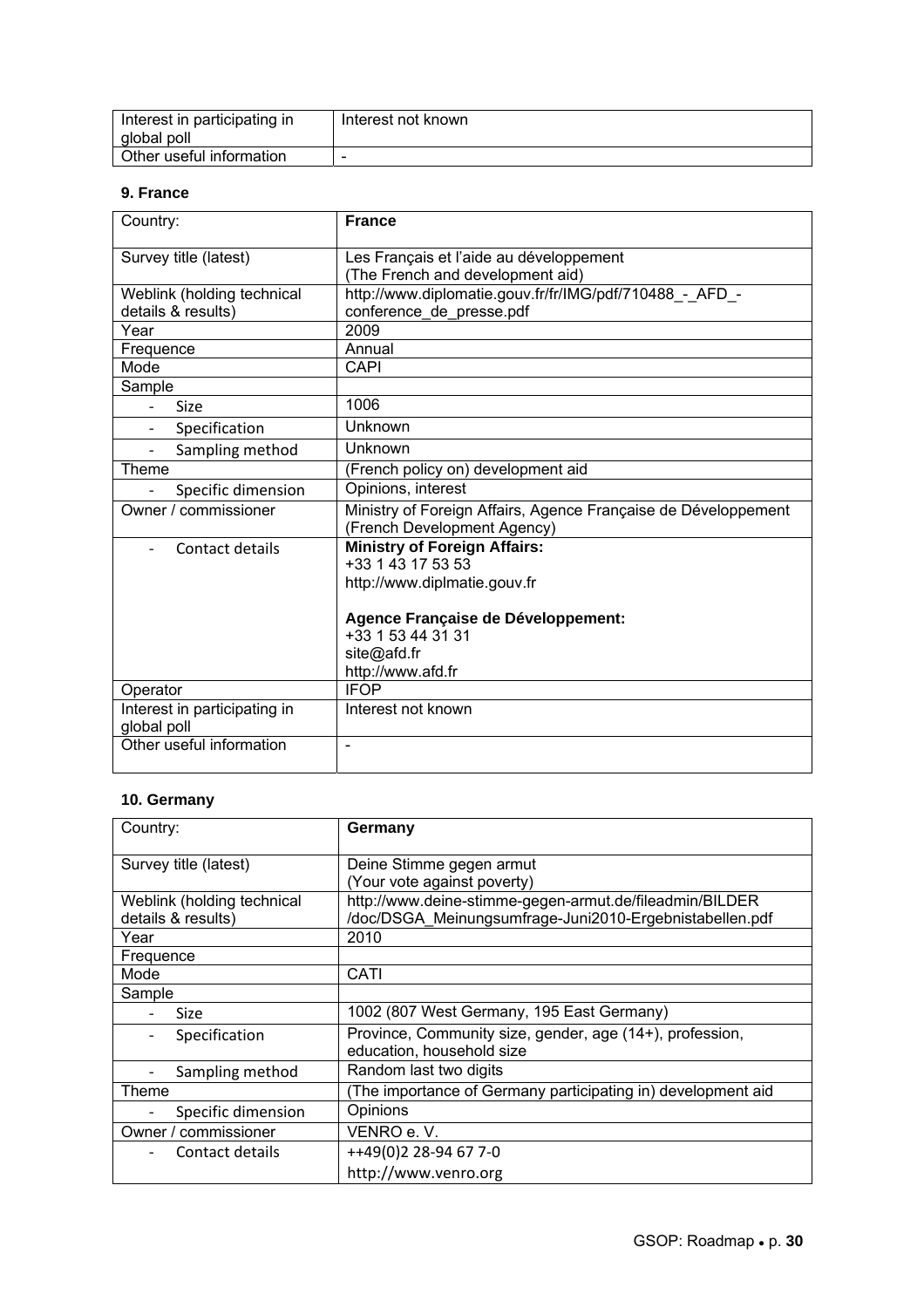| Interest in participating in | Interest not known |
|------------------------------|--------------------|
| global poll                  |                    |
| Other useful information     | -                  |

#### **9. France**

| Country:                                    | <b>France</b>                                                  |
|---------------------------------------------|----------------------------------------------------------------|
| Survey title (latest)                       | Les Français et l'aide au développement                        |
|                                             | (The French and development aid)                               |
| Weblink (holding technical                  | http://www.diplomatie.gouv.fr/fr/IMG/pdf/710488_-_AFD_-        |
| details & results)                          | conference de presse.pdf                                       |
| Year                                        | 2009                                                           |
| Frequence                                   | Annual                                                         |
| Mode                                        | <b>CAPI</b>                                                    |
| Sample                                      |                                                                |
| Size                                        | 1006                                                           |
| Specification                               | Unknown                                                        |
| Sampling method<br>$\overline{\phantom{0}}$ | Unknown                                                        |
| Theme                                       | (French policy on) development aid                             |
| Specific dimension                          | Opinions, interest                                             |
| Owner / commissioner                        | Ministry of Foreign Affairs, Agence Française de Développement |
|                                             | (French Development Agency)                                    |
| Contact details                             | <b>Ministry of Foreign Affairs:</b>                            |
|                                             | +33 1 43 17 53 53                                              |
|                                             | http://www.diplmatie.gouv.fr                                   |
|                                             | Agence Française de Développement:                             |
|                                             | +33 1 53 44 31 31                                              |
|                                             | site@afd.fr                                                    |
|                                             | http://www.afd.fr                                              |
| Operator                                    | <b>IFOP</b>                                                    |
| Interest in participating in                | Interest not known                                             |
| global poll                                 |                                                                |
| Other useful information                    |                                                                |
|                                             |                                                                |

### **10. Germany**

| Country:                   | Germany                                                                               |
|----------------------------|---------------------------------------------------------------------------------------|
| Survey title (latest)      | Deine Stimme gegen armut                                                              |
|                            | (Your vote against poverty)                                                           |
| Weblink (holding technical | http://www.deine-stimme-gegen-armut.de/fileadmin/BILDER                               |
| details & results)         | /doc/DSGA Meinungsumfrage-Juni2010-Ergebnistabellen.pdf                               |
| Year                       | 2010                                                                                  |
| Frequence                  |                                                                                       |
| Mode                       | CATI                                                                                  |
| Sample                     |                                                                                       |
| <b>Size</b>                | 1002 (807 West Germany, 195 East Germany)                                             |
| Specification              | Province, Community size, gender, age (14+), profession,<br>education, household size |
| Sampling method            | Random last two digits                                                                |
| Theme                      | (The importance of Germany participating in) development aid                          |
| Specific dimension         | Opinions                                                                              |
| Owner / commissioner       | VENRO e.V.                                                                            |
| Contact details            | ++49(0)2 28-94 67 7-0                                                                 |
|                            | http://www.venro.org                                                                  |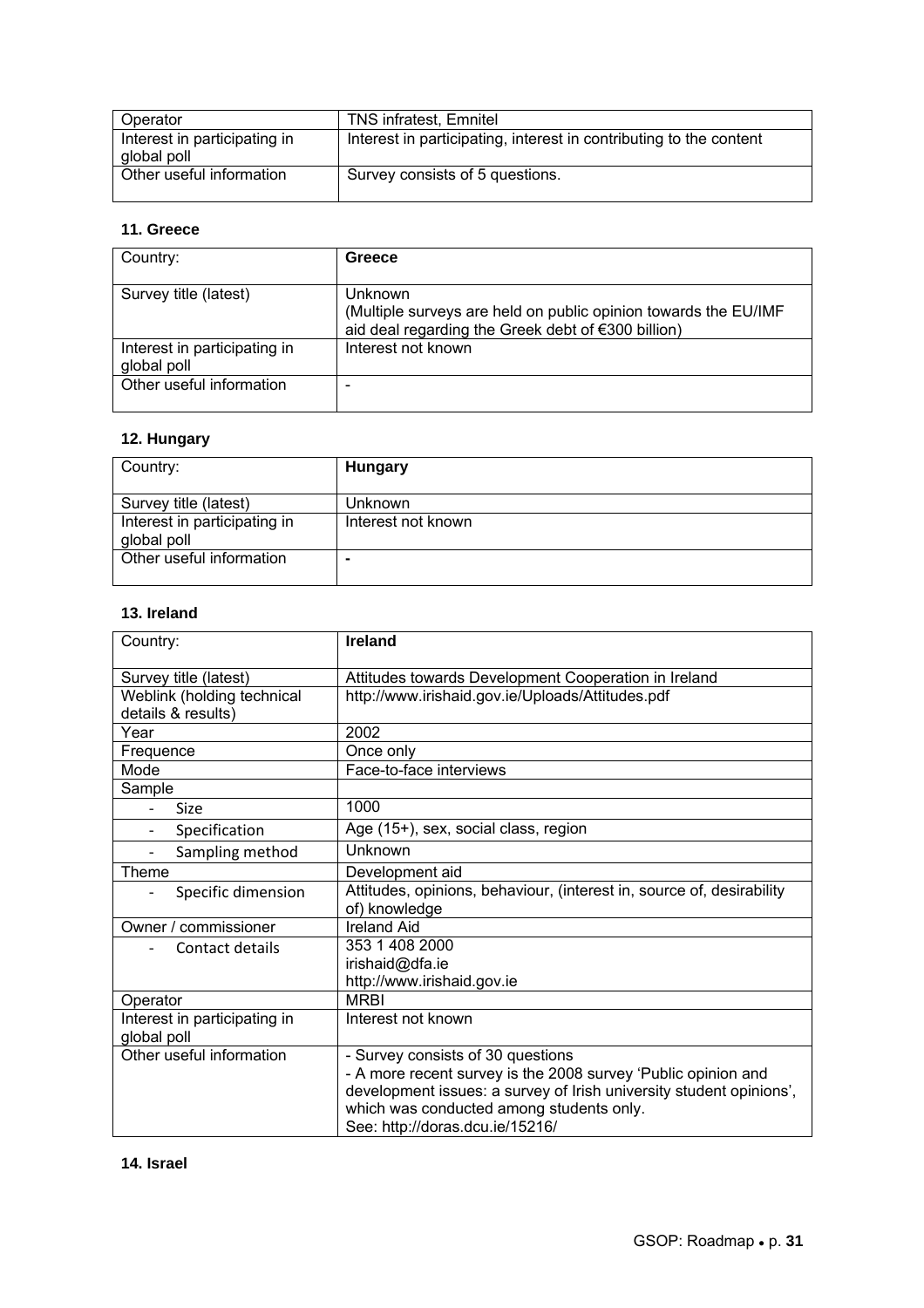| Operator                     | <b>TNS infratest, Emnitel</b>                                      |
|------------------------------|--------------------------------------------------------------------|
| Interest in participating in | Interest in participating, interest in contributing to the content |
| global poll                  |                                                                    |
| Other useful information     | Survey consists of 5 questions.                                    |

#### **11. Greece**

| Country:                                    | Greece                                                                                                                                  |
|---------------------------------------------|-----------------------------------------------------------------------------------------------------------------------------------------|
| Survey title (latest)                       | <b>Unknown</b><br>(Multiple surveys are held on public opinion towards the EU/IMF<br>aid deal regarding the Greek debt of €300 billion) |
| Interest in participating in<br>global poll | Interest not known                                                                                                                      |
| Other useful information                    |                                                                                                                                         |

### **12. Hungary**

| Country:                                    | Hungary            |
|---------------------------------------------|--------------------|
| Survey title (latest)                       | Unknown            |
| Interest in participating in<br>global poll | Interest not known |
| Other useful information                    |                    |

### **13. Ireland**

| Country:                     | <b>Ireland</b>                                                        |
|------------------------------|-----------------------------------------------------------------------|
| Survey title (latest)        | Attitudes towards Development Cooperation in Ireland                  |
| Weblink (holding technical   | http://www.irishaid.gov.ie/Uploads/Attitudes.pdf                      |
| details & results)           |                                                                       |
| Year                         | 2002                                                                  |
| Frequence                    | Once only                                                             |
| Mode                         | Face-to-face interviews                                               |
| Sample                       |                                                                       |
| <b>Size</b>                  | 1000                                                                  |
| Specification                | Age (15+), sex, social class, region                                  |
| Sampling method              | Unknown                                                               |
| Theme                        | Development aid                                                       |
| Specific dimension           | Attitudes, opinions, behaviour, (interest in, source of, desirability |
|                              | of) knowledge                                                         |
| Owner / commissioner         | <b>Ireland Aid</b>                                                    |
| Contact details              | 353 1 408 2000                                                        |
|                              | irishaid@dfa.ie                                                       |
|                              | http://www.irishaid.gov.ie                                            |
| Operator                     | <b>MRBI</b>                                                           |
| Interest in participating in | Interest not known                                                    |
| global poll                  |                                                                       |
| Other useful information     | - Survey consists of 30 questions                                     |
|                              | - A more recent survey is the 2008 survey 'Public opinion and         |
|                              | development issues: a survey of Irish university student opinions',   |
|                              | which was conducted among students only.                              |
|                              | See: http://doras.dcu.ie/15216/                                       |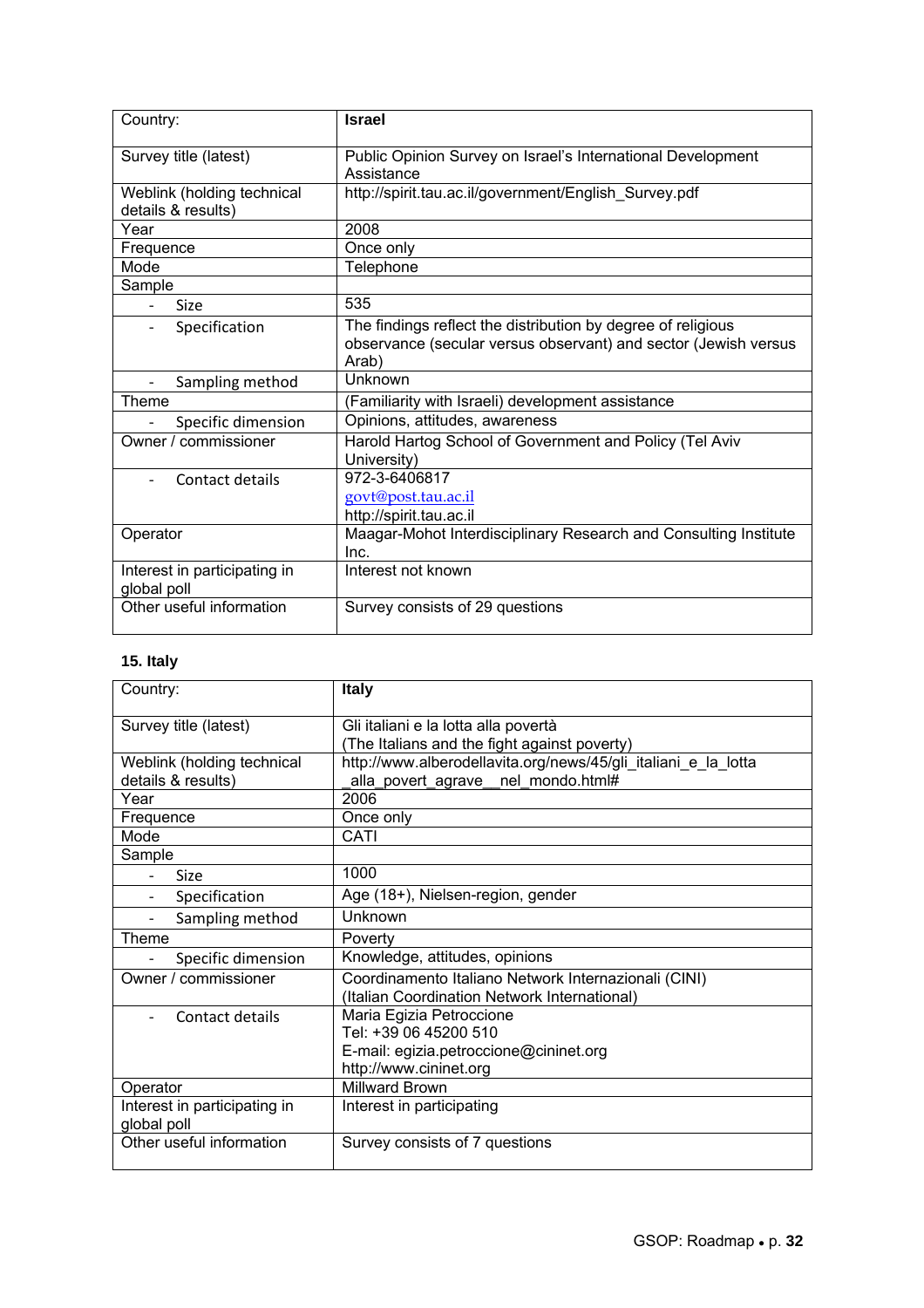| Country:                                         | <b>Israel</b>                                                                                                                            |
|--------------------------------------------------|------------------------------------------------------------------------------------------------------------------------------------------|
| Survey title (latest)                            | Public Opinion Survey on Israel's International Development<br>Assistance                                                                |
| Weblink (holding technical<br>details & results) | http://spirit.tau.ac.il/government/English_Survey.pdf                                                                                    |
| Year                                             | 2008                                                                                                                                     |
| Frequence                                        | Once only                                                                                                                                |
| Mode                                             | Telephone                                                                                                                                |
| Sample                                           |                                                                                                                                          |
| Size                                             | 535                                                                                                                                      |
| Specification<br>$\overline{\phantom{0}}$        | The findings reflect the distribution by degree of religious<br>observance (secular versus observant) and sector (Jewish versus<br>Arab) |
| Sampling method                                  | Unknown                                                                                                                                  |
| Theme                                            | (Familiarity with Israeli) development assistance                                                                                        |
| Specific dimension                               | Opinions, attitudes, awareness                                                                                                           |
| Owner / commissioner                             | Harold Hartog School of Government and Policy (Tel Aviv<br>University)                                                                   |
| Contact details                                  | 972-3-6406817<br>govt@post.tau.ac.il<br>http://spirit.tau.ac.il                                                                          |
| Operator                                         | Maagar-Mohot Interdisciplinary Research and Consulting Institute<br>Inc.                                                                 |
| Interest in participating in<br>global poll      | Interest not known                                                                                                                       |
| Other useful information                         | Survey consists of 29 questions                                                                                                          |

### **15. Italy**

| Country:                                    | <b>Italy</b>                                                   |
|---------------------------------------------|----------------------------------------------------------------|
| Survey title (latest)                       | Gli italiani e la lotta alla povertà                           |
|                                             | (The Italians and the fight against poverty)                   |
| Weblink (holding technical                  | http://www.alberodellavita.org/news/45/gli italiani e la lotta |
| details & results)                          | alla_povert_agrave__nel_mondo.html#                            |
| Year                                        | 2006                                                           |
| Frequence                                   | Once only                                                      |
| Mode                                        | CATI                                                           |
| Sample                                      |                                                                |
| Size                                        | 1000                                                           |
| Specification                               | Age (18+), Nielsen-region, gender                              |
| Sampling method                             | Unknown                                                        |
| Theme                                       | Poverty                                                        |
| Specific dimension                          | Knowledge, attitudes, opinions                                 |
| Owner / commissioner                        | Coordinamento Italiano Network Internazionali (CINI)           |
|                                             | (Italian Coordination Network International)                   |
| Contact details                             | Maria Egizia Petroccione                                       |
|                                             | Tel: +39 06 45200 510                                          |
|                                             | E-mail: egizia.petroccione@cininet.org                         |
|                                             | http://www.cininet.org                                         |
| Operator                                    | <b>Millward Brown</b>                                          |
| Interest in participating in<br>global poll | Interest in participating                                      |
| Other useful information                    | Survey consists of 7 questions                                 |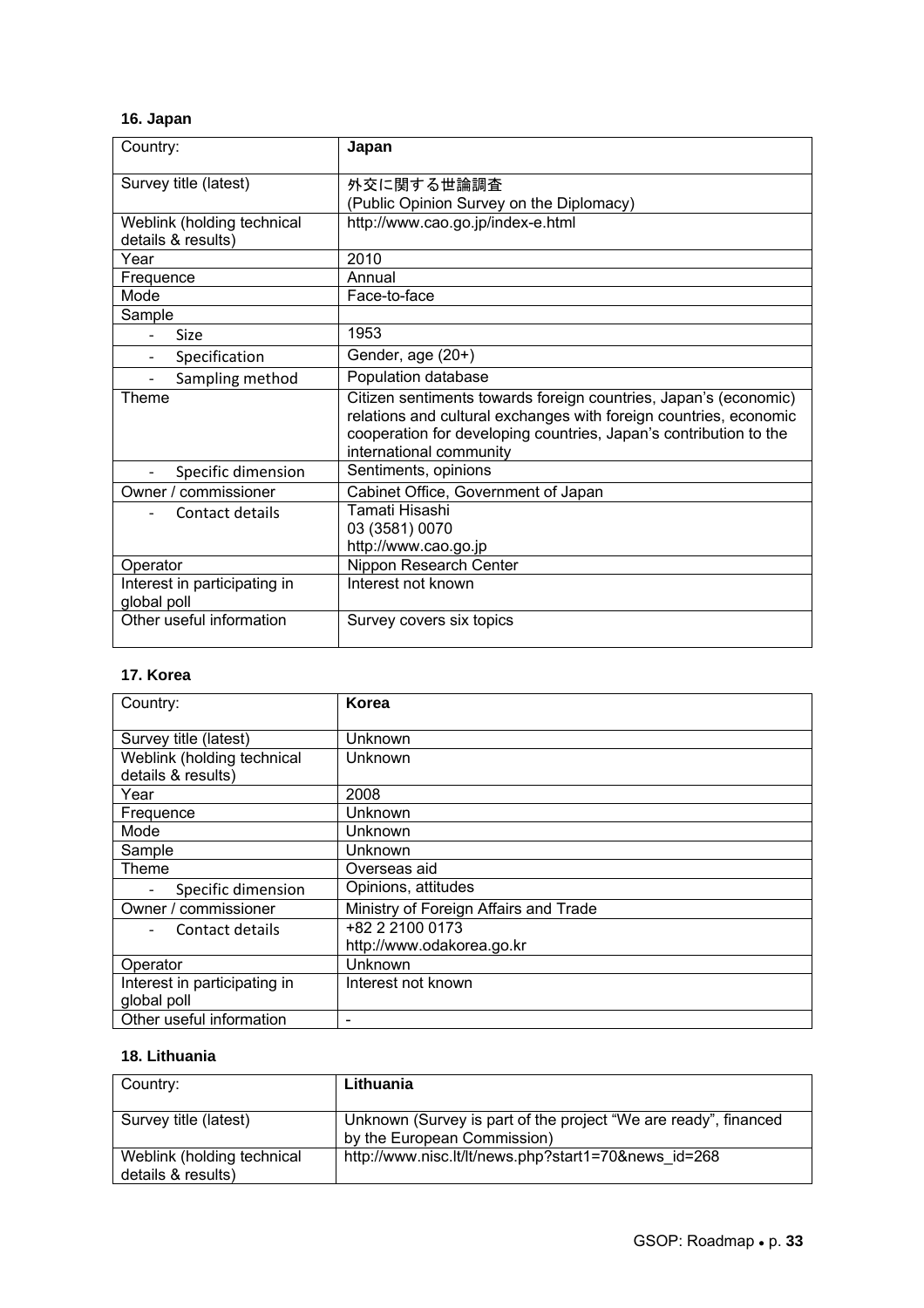### **16. Japan**

| Country:                                    | Japan                                                                                        |
|---------------------------------------------|----------------------------------------------------------------------------------------------|
| Survey title (latest)                       | 外交に関する世論調査                                                                                   |
|                                             | (Public Opinion Survey on the Diplomacy)                                                     |
| Weblink (holding technical                  | http://www.cao.go.jp/index-e.html                                                            |
| details & results)                          |                                                                                              |
| Year                                        | 2010                                                                                         |
| Frequence                                   | Annual                                                                                       |
| Mode                                        | Face-to-face                                                                                 |
| Sample                                      |                                                                                              |
| Size                                        | 1953                                                                                         |
| Specification                               | Gender, age (20+)                                                                            |
| Sampling method                             | Population database                                                                          |
| Theme                                       | Citizen sentiments towards foreign countries, Japan's (economic)                             |
|                                             | relations and cultural exchanges with foreign countries, economic                            |
|                                             | cooperation for developing countries, Japan's contribution to the<br>international community |
| Specific dimension                          | Sentiments, opinions                                                                         |
| Owner / commissioner                        | Cabinet Office, Government of Japan                                                          |
| Contact details                             | Tamati Hisashi                                                                               |
|                                             | 03 (3581) 0070                                                                               |
|                                             | http://www.cao.go.jp                                                                         |
| Operator                                    | Nippon Research Center                                                                       |
| Interest in participating in<br>global poll | Interest not known                                                                           |
| Other useful information                    | Survey covers six topics                                                                     |

### **17. Korea**

| Country:                     | Korea                                 |
|------------------------------|---------------------------------------|
|                              |                                       |
| Survey title (latest)        | Unknown                               |
| Weblink (holding technical   | Unknown                               |
| details & results)           |                                       |
| Year                         | 2008                                  |
| Frequence                    | Unknown                               |
| Mode                         | Unknown                               |
| Sample                       | Unknown                               |
| <b>Theme</b>                 | Overseas aid                          |
| Specific dimension           | Opinions, attitudes                   |
| Owner / commissioner         | Ministry of Foreign Affairs and Trade |
| Contact details              | +82 2 2100 0173                       |
|                              | http://www.odakorea.go.kr             |
| Operator                     | Unknown                               |
| Interest in participating in | Interest not known                    |
| global poll                  |                                       |
| Other useful information     |                                       |

### **18. Lithuania**

| Country:                                         | Lithuania                                                                                      |
|--------------------------------------------------|------------------------------------------------------------------------------------------------|
| Survey title (latest)                            | Unknown (Survey is part of the project "We are ready", financed<br>by the European Commission) |
| Weblink (holding technical<br>details & results) | http://www.nisc.lt/lt/news.php?start1=70&news_id=268                                           |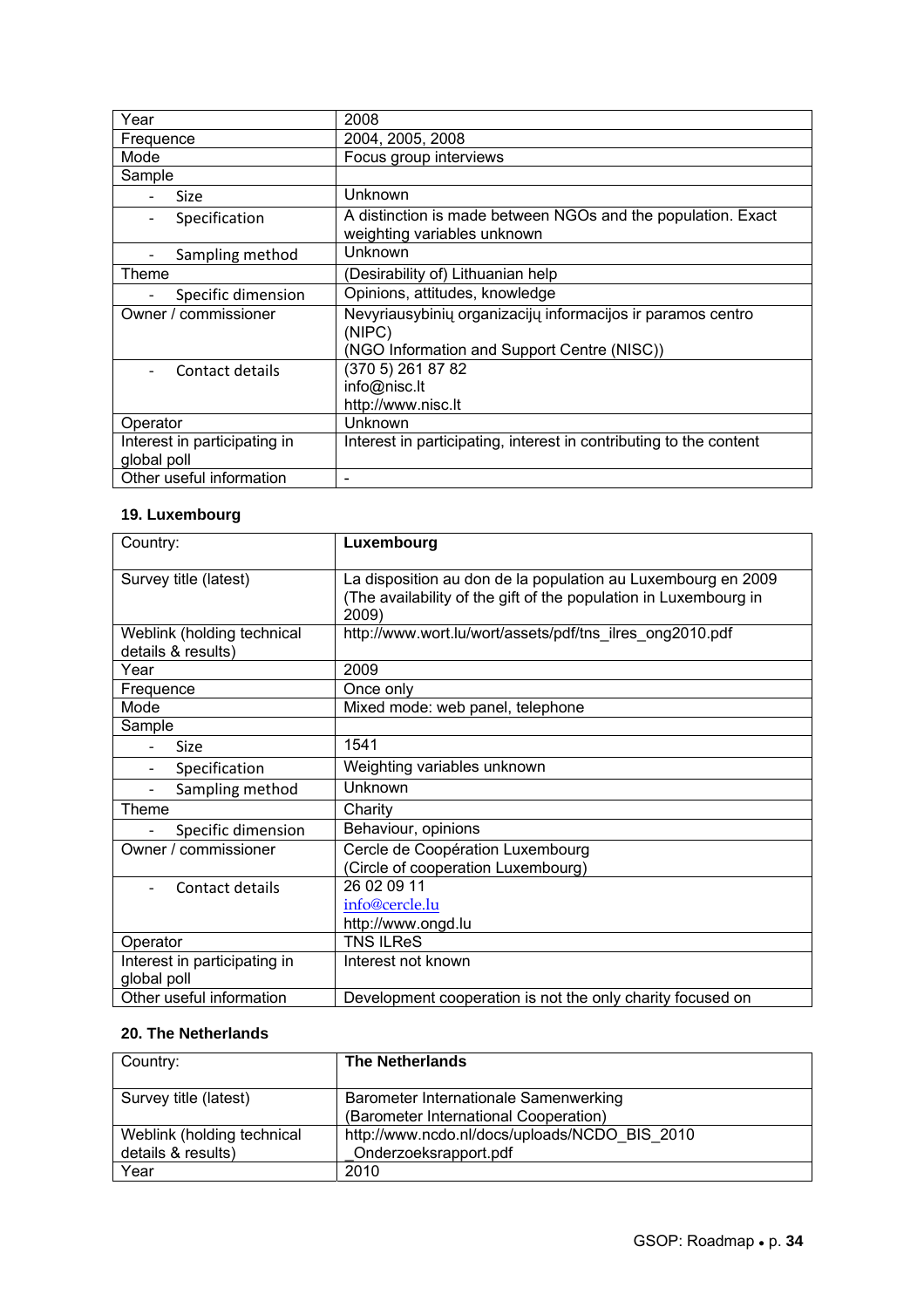| Year                                        | 2008                                                                                                                 |
|---------------------------------------------|----------------------------------------------------------------------------------------------------------------------|
| Frequence                                   | 2004, 2005, 2008                                                                                                     |
| Mode                                        | Focus group interviews                                                                                               |
| Sample                                      |                                                                                                                      |
| Size                                        | Unknown                                                                                                              |
| Specification                               | A distinction is made between NGOs and the population. Exact<br>weighting variables unknown                          |
| Sampling method                             | Unknown                                                                                                              |
| Theme                                       | (Desirability of) Lithuanian help                                                                                    |
| Specific dimension                          | Opinions, attitudes, knowledge                                                                                       |
| Owner / commissioner                        | Nevyriausybinių organizacijų informacijos ir paramos centro<br>(NIPC)<br>(NGO Information and Support Centre (NISC)) |
| Contact details                             | (370 5) 261 87 82<br>info@nisc.lt<br>http://www.nisc.lt                                                              |
| Operator                                    | Unknown                                                                                                              |
| Interest in participating in<br>global poll | Interest in participating, interest in contributing to the content                                                   |
| Other useful information                    |                                                                                                                      |

### **19. Luxembourg**

| Country:                                         | Luxembourg                                                                                                                                |
|--------------------------------------------------|-------------------------------------------------------------------------------------------------------------------------------------------|
| Survey title (latest)                            | La disposition au don de la population au Luxembourg en 2009<br>(The availability of the gift of the population in Luxembourg in<br>2009) |
| Weblink (holding technical<br>details & results) | http://www.wort.lu/wort/assets/pdf/tns_ilres_ong2010.pdf                                                                                  |
| Year                                             | 2009                                                                                                                                      |
| Frequence                                        | Once only                                                                                                                                 |
| Mode                                             | Mixed mode: web panel, telephone                                                                                                          |
| Sample                                           |                                                                                                                                           |
| Size                                             | 1541                                                                                                                                      |
| Specification                                    | Weighting variables unknown                                                                                                               |
| Sampling method                                  | Unknown                                                                                                                                   |
| Theme                                            | Charity                                                                                                                                   |
| Specific dimension                               | Behaviour, opinions                                                                                                                       |
| Owner / commissioner                             | Cercle de Coopération Luxembourg<br>(Circle of cooperation Luxembourg)                                                                    |
| Contact details                                  | 26 02 09 11                                                                                                                               |
|                                                  | info@cercle.lu                                                                                                                            |
|                                                  | http://www.ongd.lu                                                                                                                        |
| Operator                                         | <b>TNS ILReS</b>                                                                                                                          |
| Interest in participating in<br>global poll      | Interest not known                                                                                                                        |
| Other useful information                         | Development cooperation is not the only charity focused on                                                                                |

### **20. The Netherlands**

| Country:                   | <b>The Netherlands</b>                        |
|----------------------------|-----------------------------------------------|
| Survey title (latest)      | Barometer Internationale Samenwerking         |
|                            | (Barometer International Cooperation)         |
| Weblink (holding technical | http://www.ncdo.nl/docs/uploads/NCDO BIS 2010 |
| details & results)         | Onderzoeksrapport.pdf                         |
| Year                       | 2010                                          |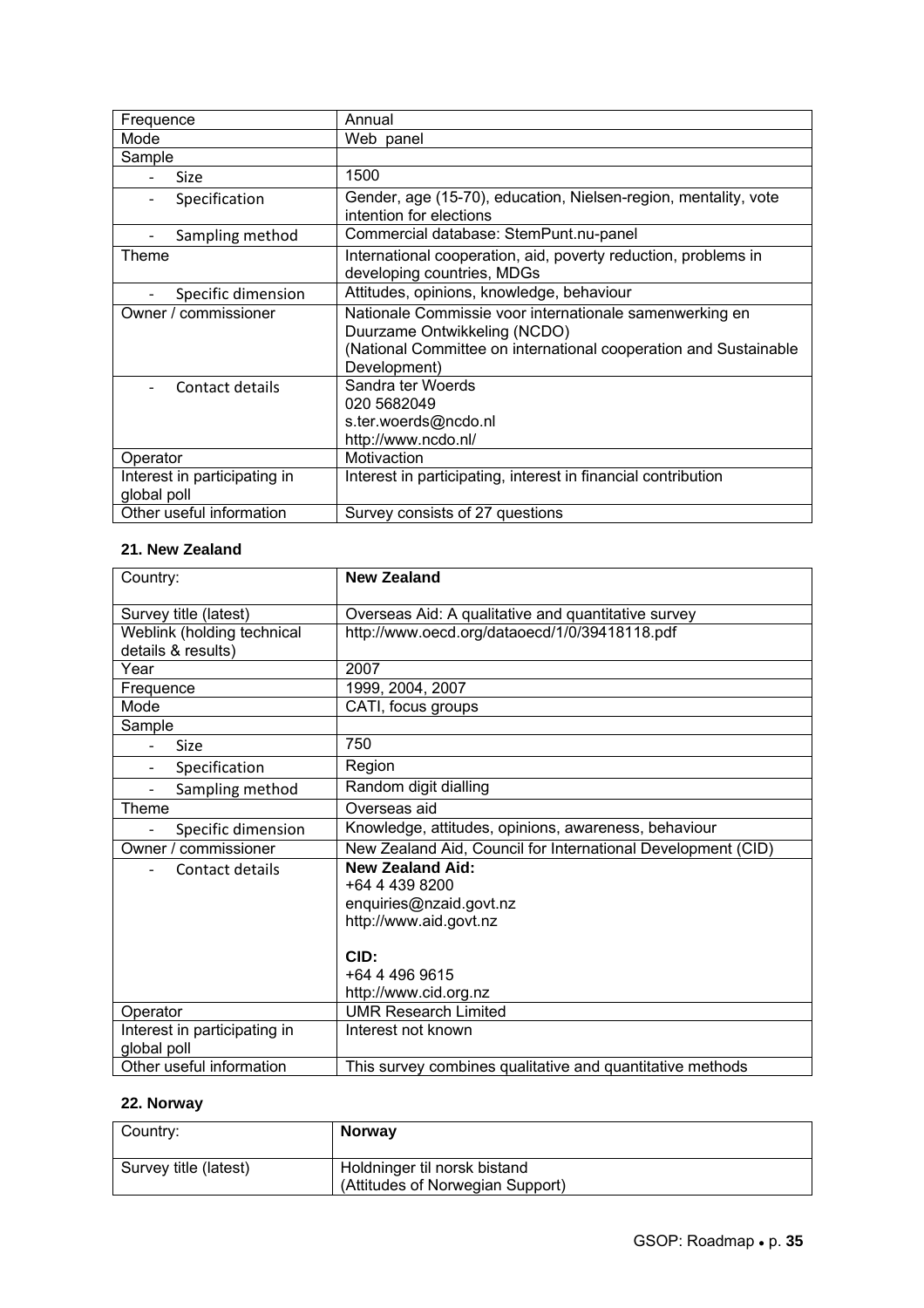| Frequence                                   | Annual                                                                                                                                                                      |
|---------------------------------------------|-----------------------------------------------------------------------------------------------------------------------------------------------------------------------------|
| Mode                                        | Web panel                                                                                                                                                                   |
| Sample                                      |                                                                                                                                                                             |
| <b>Size</b>                                 | 1500                                                                                                                                                                        |
| Specification<br>$\qquad \qquad -$          | Gender, age (15-70), education, Nielsen-region, mentality, vote<br>intention for elections                                                                                  |
| Sampling method                             | Commercial database: StemPunt.nu-panel                                                                                                                                      |
| Theme                                       | International cooperation, aid, poverty reduction, problems in<br>developing countries, MDGs                                                                                |
| Specific dimension                          | Attitudes, opinions, knowledge, behaviour                                                                                                                                   |
| Owner / commissioner                        | Nationale Commissie voor internationale samenwerking en<br>Duurzame Ontwikkeling (NCDO)<br>(National Committee on international cooperation and Sustainable<br>Development) |
| Contact details                             | Sandra ter Woerds<br>020 5682049<br>s.ter.woerds@ncdo.nl<br>http://www.ncdo.nl/                                                                                             |
| Operator                                    | Motivaction                                                                                                                                                                 |
| Interest in participating in<br>global poll | Interest in participating, interest in financial contribution                                                                                                               |
| Other useful information                    | Survey consists of 27 questions                                                                                                                                             |

### **21. New Zealand**

| Country:                     | <b>New Zealand</b>                                           |
|------------------------------|--------------------------------------------------------------|
| Survey title (latest)        | Overseas Aid: A qualitative and quantitative survey          |
| Weblink (holding technical   | http://www.oecd.org/dataoecd/1/0/39418118.pdf                |
| details & results)           |                                                              |
| Year                         | 2007                                                         |
| Frequence                    | 1999. 2004. 2007                                             |
| Mode                         | CATI, focus groups                                           |
| Sample                       |                                                              |
| Size                         | 750                                                          |
| Specification                | Region                                                       |
| Sampling method              | Random digit dialling                                        |
| Theme                        | Overseas aid                                                 |
| Specific dimension           | Knowledge, attitudes, opinions, awareness, behaviour         |
| Owner / commissioner         | New Zealand Aid, Council for International Development (CID) |
| Contact details              | <b>New Zealand Aid:</b>                                      |
|                              | +64 4 439 8200                                               |
|                              | enquiries@nzaid.govt.nz                                      |
|                              | http://www.aid.govt.nz                                       |
|                              |                                                              |
|                              | CID:                                                         |
|                              | +64 4 496 9615                                               |
|                              | http://www.cid.org.nz                                        |
| Operator                     | <b>UMR Research Limited</b>                                  |
| Interest in participating in | Interest not known                                           |
| global poll                  |                                                              |
| Other useful information     | This survey combines qualitative and quantitative methods    |

### **22. Norway**

| Country:              | <b>Norway</b>                                                    |
|-----------------------|------------------------------------------------------------------|
| Survey title (latest) | Holdninger til norsk bistand<br>(Attitudes of Norwegian Support) |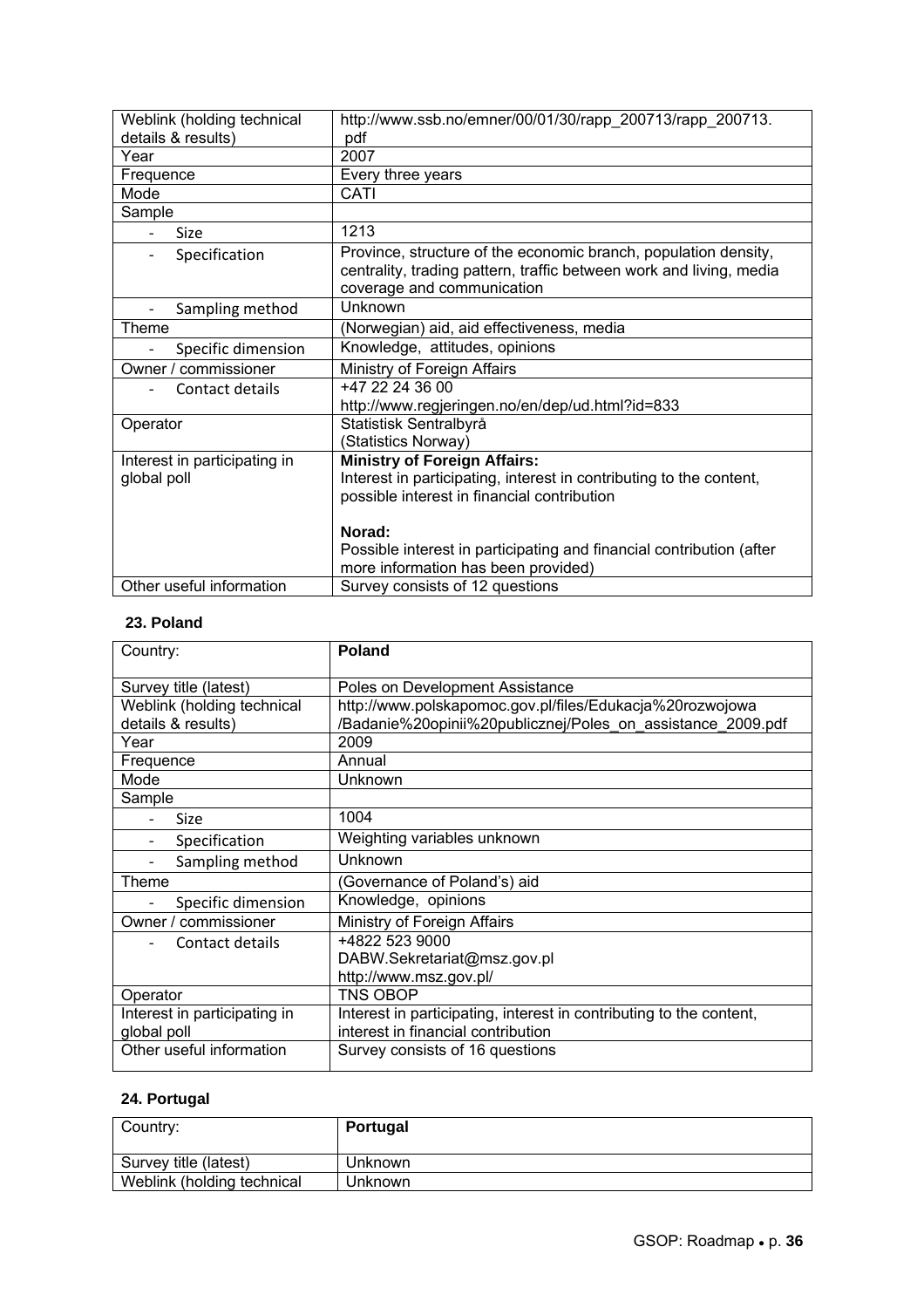| Weblink (holding technical   | http://www.ssb.no/emner/00/01/30/rapp_200713/rapp_200713.                                                                                                            |
|------------------------------|----------------------------------------------------------------------------------------------------------------------------------------------------------------------|
| details & results)           | pdf                                                                                                                                                                  |
| Year                         | 2007                                                                                                                                                                 |
| Frequence                    | Every three years                                                                                                                                                    |
| Mode                         | CATI                                                                                                                                                                 |
| Sample                       |                                                                                                                                                                      |
| <b>Size</b>                  | 1213                                                                                                                                                                 |
| Specification<br>-           | Province, structure of the economic branch, population density,<br>centrality, trading pattern, traffic between work and living, media<br>coverage and communication |
| Sampling method              | <b>Unknown</b>                                                                                                                                                       |
| Theme                        | (Norwegian) aid, aid effectiveness, media                                                                                                                            |
| Specific dimension           | Knowledge, attitudes, opinions                                                                                                                                       |
| Owner / commissioner         | Ministry of Foreign Affairs                                                                                                                                          |
| Contact details              | +47 22 24 36 00                                                                                                                                                      |
|                              | http://www.regjeringen.no/en/dep/ud.html?id=833                                                                                                                      |
| Operator                     | Statistisk Sentralbyrå                                                                                                                                               |
|                              | (Statistics Norway)                                                                                                                                                  |
| Interest in participating in | <b>Ministry of Foreign Affairs:</b>                                                                                                                                  |
| global poll                  | Interest in participating, interest in contributing to the content,                                                                                                  |
|                              | possible interest in financial contribution                                                                                                                          |
|                              |                                                                                                                                                                      |
|                              | Norad:                                                                                                                                                               |
|                              | Possible interest in participating and financial contribution (after                                                                                                 |
|                              | more information has been provided)                                                                                                                                  |
| Other useful information     | Survey consists of 12 questions                                                                                                                                      |

### **23. Poland**

| Country:                     | <b>Poland</b>                                                       |
|------------------------------|---------------------------------------------------------------------|
| Survey title (latest)        | Poles on Development Assistance                                     |
| Weblink (holding technical   | http://www.polskapomoc.gov.pl/files/Edukacja%20rozwojowa            |
| details & results)           | /Badanie%20opinii%20publicznej/Poles on assistance 2009.pdf         |
| Year                         | 2009                                                                |
| Frequence                    | Annual                                                              |
| Mode                         | Unknown                                                             |
| Sample                       |                                                                     |
| <b>Size</b>                  | 1004                                                                |
| Specification                | Weighting variables unknown                                         |
| Sampling method              | Unknown                                                             |
| Theme                        | Governance of Poland's) aid                                         |
| Specific dimension           | Knowledge, opinions                                                 |
| Owner / commissioner         | Ministry of Foreign Affairs                                         |
| Contact details              | +4822 523 9000                                                      |
|                              | DABW.Sekretariat@msz.gov.pl                                         |
|                              | http://www.msz.gov.pl/                                              |
| Operator                     | <b>TNS OBOP</b>                                                     |
| Interest in participating in | Interest in participating, interest in contributing to the content, |
| global poll                  | interest in financial contribution                                  |
| Other useful information     | Survey consists of 16 questions                                     |

### **24. Portugal**

| Country:                   | Portugal |
|----------------------------|----------|
| Survey title (latest)      | Unknown  |
| Weblink (holding technical | Unknown  |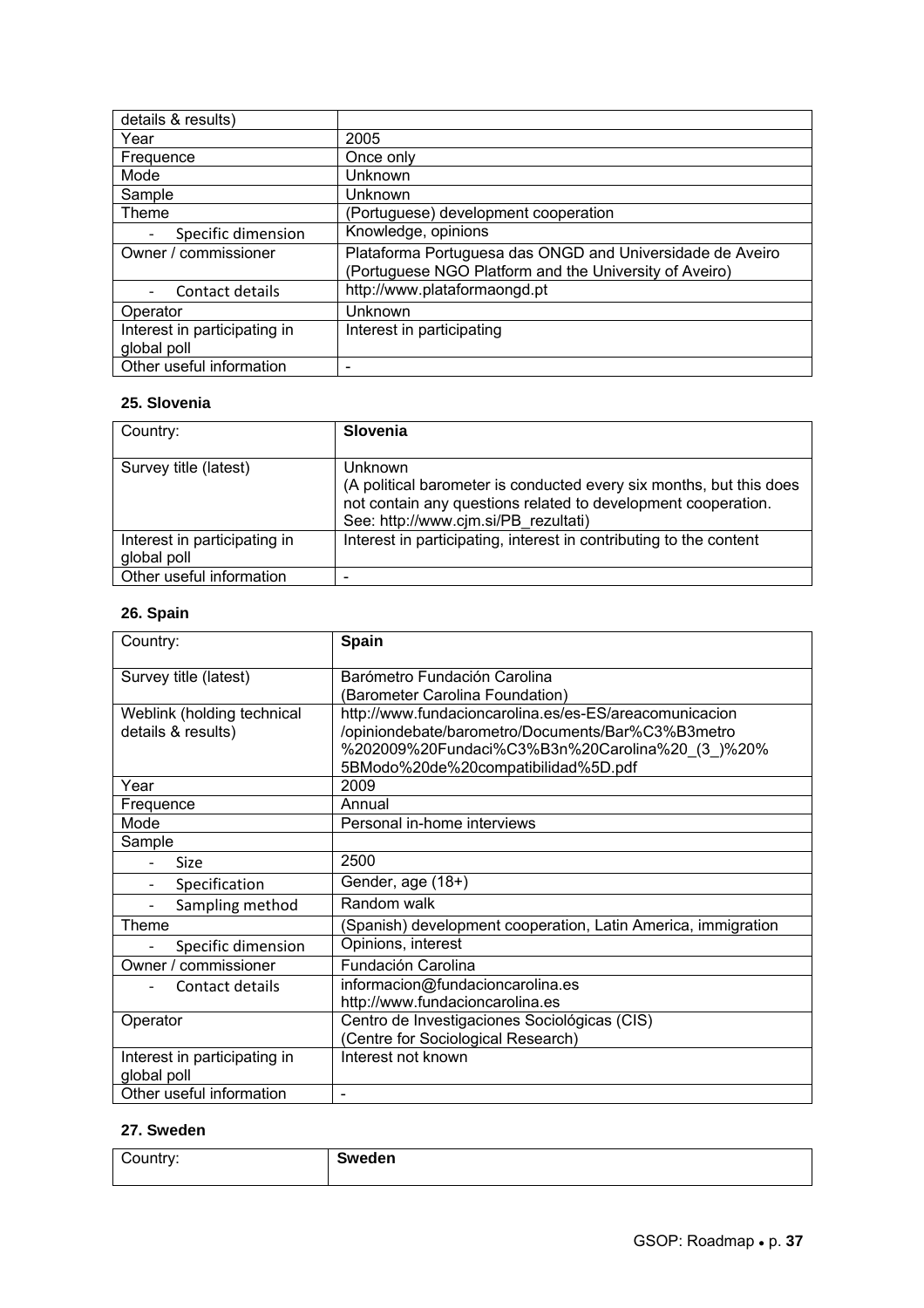| details & results)           |                                                           |
|------------------------------|-----------------------------------------------------------|
| Year                         | 2005                                                      |
| Frequence                    | Once only                                                 |
| Mode                         | Unknown                                                   |
| Sample                       | Unknown                                                   |
| Theme                        | (Portuguese) development cooperation                      |
| Specific dimension           | Knowledge, opinions                                       |
| Owner / commissioner         | Plataforma Portuguesa das ONGD and Universidade de Aveiro |
|                              | (Portuguese NGO Platform and the University of Aveiro)    |
| Contact details              | http://www.plataformaongd.pt                              |
| Operator                     | Unknown                                                   |
| Interest in participating in | Interest in participating                                 |
| global poll                  |                                                           |
| Other useful information     |                                                           |

### **25. Slovenia**

| Country:                                    | Slovenia                                                                                                                                                                                |
|---------------------------------------------|-----------------------------------------------------------------------------------------------------------------------------------------------------------------------------------------|
| Survey title (latest)                       | Unknown<br>(A political barometer is conducted every six months, but this does<br>not contain any questions related to development cooperation.<br>See: http://www.cjm.si/PB rezultati) |
| Interest in participating in<br>global poll | Interest in participating, interest in contributing to the content                                                                                                                      |
| Other useful information                    |                                                                                                                                                                                         |

### **26. Spain**

| Country:                     | Spain                                                         |
|------------------------------|---------------------------------------------------------------|
| Survey title (latest)        | Barómetro Fundación Carolina                                  |
|                              | (Barometer Carolina Foundation)                               |
| Weblink (holding technical   | http://www.fundacioncarolina.es/es-ES/areacomunicacion        |
| details & results)           | /opiniondebate/barometro/Documents/Bar%C3%B3metro             |
|                              | %202009%20Fundaci%C3%B3n%20Carolina%20_(3_)%20%               |
|                              | 5BModo%20de%20compatibilidad%5D.pdf                           |
| Year                         | 2009                                                          |
| Frequence                    | Annual                                                        |
| Mode                         | Personal in-home interviews                                   |
| Sample                       |                                                               |
| Size                         | 2500                                                          |
| Specification                | Gender, age (18+)                                             |
| Sampling method              | Random walk                                                   |
| Theme                        | (Spanish) development cooperation, Latin America, immigration |
| Specific dimension           | Opinions, interest                                            |
| Owner / commissioner         | Fundación Carolina                                            |
| Contact details              | informacion@fundacioncarolina.es                              |
|                              | http://www.fundacioncarolina.es                               |
| Operator                     | Centro de Investigaciones Sociológicas (CIS)                  |
|                              | (Centre for Sociological Research)                            |
| Interest in participating in | Interest not known                                            |
| global poll                  |                                                               |
| Other useful information     | $\overline{\phantom{a}}$                                      |

### **27. Sweden**

| $\sim$<br>Country: | Sweden |
|--------------------|--------|
|                    |        |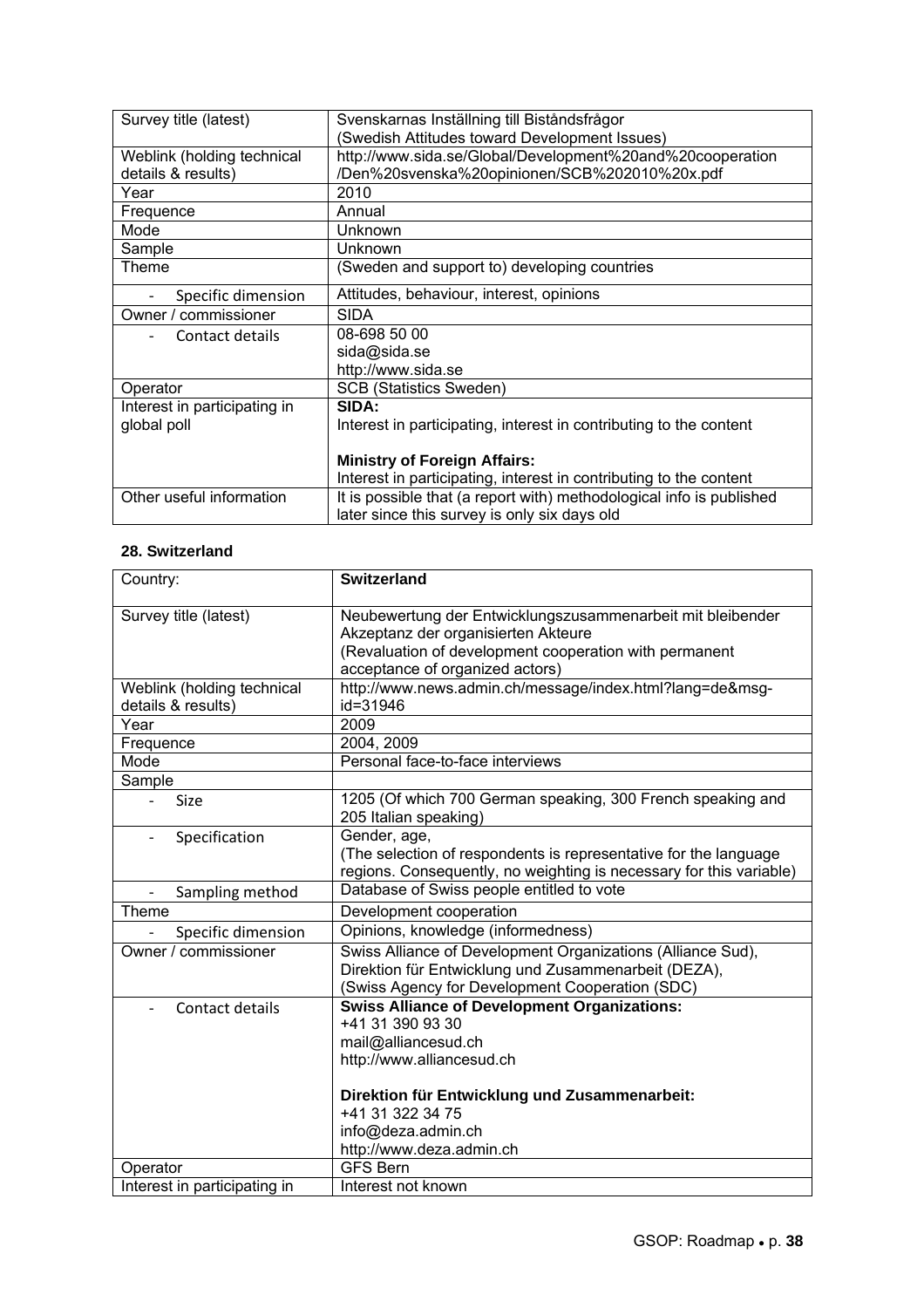| Survey title (latest)        | Svenskarnas Inställning till Biståndsfrågor                          |
|------------------------------|----------------------------------------------------------------------|
|                              | (Swedish Attitudes toward Development Issues)                        |
| Weblink (holding technical   | http://www.sida.se/Global/Development%20and%20cooperation            |
| details & results)           | /Den%20svenska%20opinionen/SCB%202010%20x.pdf                        |
| Year                         | 2010                                                                 |
| Frequence                    | Annual                                                               |
| Mode                         | Unknown                                                              |
| Sample                       | <b>Unknown</b>                                                       |
| Theme                        | (Sweden and support to) developing countries                         |
| Specific dimension           | Attitudes, behaviour, interest, opinions                             |
| Owner / commissioner         | <b>SIDA</b>                                                          |
| Contact details              | 08-698 50 00                                                         |
|                              | sida@sida.se                                                         |
|                              | http://www.sida.se                                                   |
| Operator                     | <b>SCB (Statistics Sweden)</b>                                       |
| Interest in participating in | SIDA:                                                                |
| global poll                  | Interest in participating, interest in contributing to the content   |
|                              |                                                                      |
|                              | <b>Ministry of Foreign Affairs:</b>                                  |
|                              | Interest in participating, interest in contributing to the content   |
| Other useful information     | It is possible that (a report with) methodological info is published |
|                              | later since this survey is only six days old                         |

### **28. Switzerland**

| Country:                                  | <b>Switzerland</b>                                                  |
|-------------------------------------------|---------------------------------------------------------------------|
| Survey title (latest)                     | Neubewertung der Entwicklungszusammenarbeit mit bleibender          |
|                                           | Akzeptanz der organisierten Akteure                                 |
|                                           | (Revaluation of development cooperation with permanent              |
|                                           | acceptance of organized actors)                                     |
| Weblink (holding technical                | http://www.news.admin.ch/message/index.html?lang=de&msg-            |
| details & results)                        | id=31946                                                            |
| Year                                      | 2009                                                                |
| Frequence                                 | 2004, 2009                                                          |
| Mode                                      | Personal face-to-face interviews                                    |
| Sample                                    |                                                                     |
| <b>Size</b>                               | 1205 (Of which 700 German speaking, 300 French speaking and         |
|                                           | 205 Italian speaking)                                               |
| Specification<br>$\overline{\phantom{0}}$ | Gender, age,                                                        |
|                                           | (The selection of respondents is representative for the language    |
|                                           | regions. Consequently, no weighting is necessary for this variable) |
| Sampling method<br>$\overline{a}$         | Database of Swiss people entitled to vote                           |
| Theme                                     | Development cooperation                                             |
| Specific dimension                        | Opinions, knowledge (informedness)                                  |
| Owner / commissioner                      | Swiss Alliance of Development Organizations (Alliance Sud),         |
|                                           | Direktion für Entwicklung und Zusammenarbeit (DEZA),                |
|                                           | (Swiss Agency for Development Cooperation (SDC)                     |
| Contact details                           | <b>Swiss Alliance of Development Organizations:</b>                 |
|                                           | +41 31 390 93 30                                                    |
|                                           | mail@alliancesud.ch                                                 |
|                                           | http://www.alliancesud.ch                                           |
|                                           | Direktion für Entwicklung und Zusammenarbeit:                       |
|                                           | +41 31 322 34 75                                                    |
|                                           | info@deza.admin.ch                                                  |
|                                           | http://www.deza.admin.ch                                            |
| Operator                                  | <b>GFS Bern</b>                                                     |
| Interest in participating in              | Interest not known                                                  |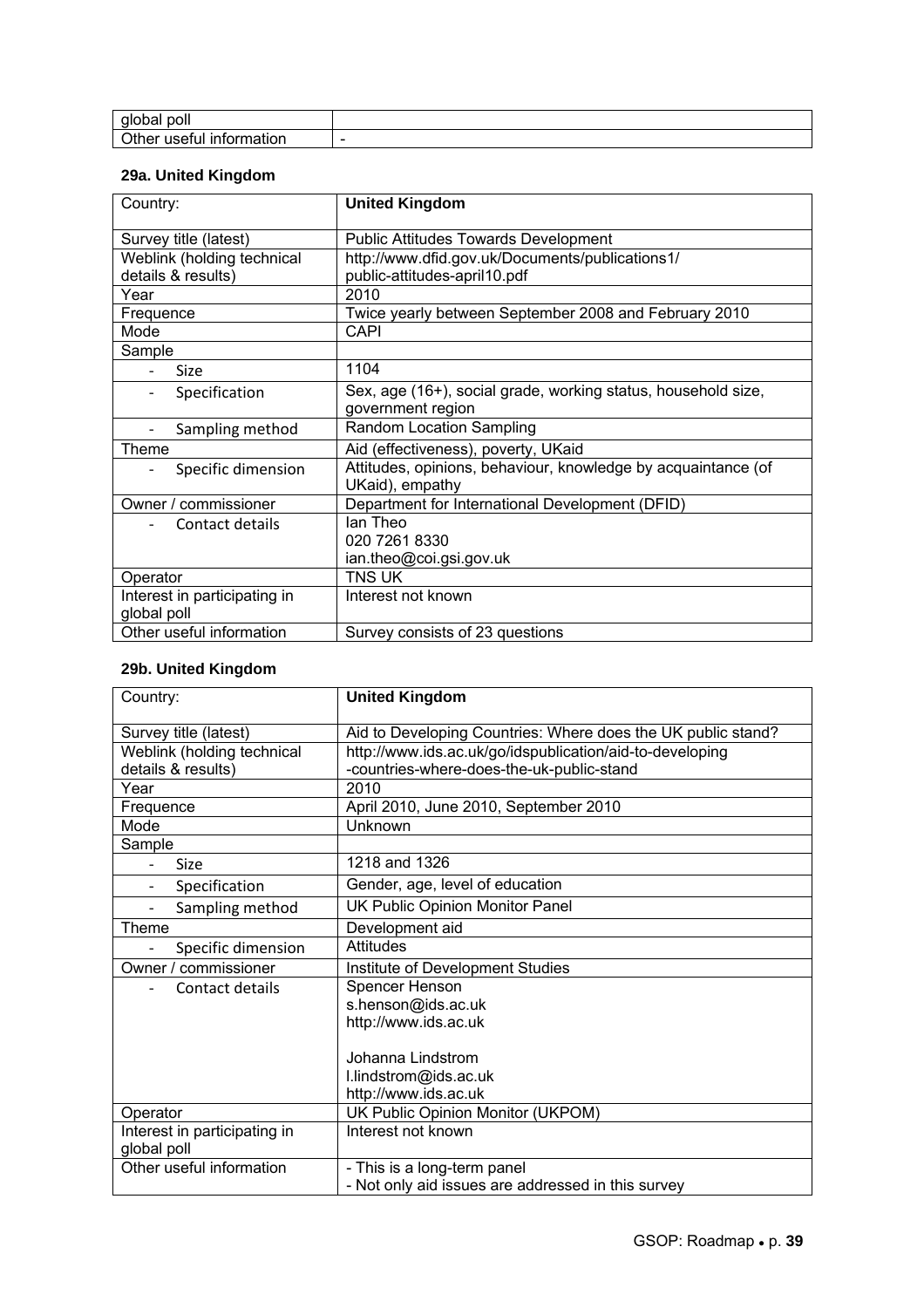| poli<br>gio<br>buai                        |                          |
|--------------------------------------------|--------------------------|
| ിther പ<br>usetul<br><b>INION</b><br>mauon | $\overline{\phantom{a}}$ |

### **29a. United Kingdom**

| Country:                     | <b>United Kingdom</b>                                         |
|------------------------------|---------------------------------------------------------------|
| Survey title (latest)        | <b>Public Attitudes Towards Development</b>                   |
| Weblink (holding technical   | http://www.dfid.gov.uk/Documents/publications1/               |
| details & results)           | public-attitudes-april10.pdf                                  |
| Year                         | 2010                                                          |
| Frequence                    | Twice yearly between September 2008 and February 2010         |
| Mode                         | <b>CAPI</b>                                                   |
| Sample                       |                                                               |
| Size                         | 1104                                                          |
| Specification<br>-           | Sex, age (16+), social grade, working status, household size, |
|                              | government region                                             |
| Sampling method              | Random Location Sampling                                      |
| Theme                        | Aid (effectiveness), poverty, UKaid                           |
| Specific dimension           | Attitudes, opinions, behaviour, knowledge by acquaintance (of |
|                              | UKaid), empathy                                               |
| Owner / commissioner         | Department for International Development (DFID)               |
| Contact details              | lan Theo                                                      |
|                              | 020 7261 8330                                                 |
|                              | ian.theo@coi.gsi.gov.uk                                       |
| Operator                     | TNS UK                                                        |
| Interest in participating in | Interest not known                                            |
| global poll                  |                                                               |
| Other useful information     | Survey consists of 23 questions                               |

### **29b. United Kingdom**

| Country:                                    | <b>United Kingdom</b>                                        |
|---------------------------------------------|--------------------------------------------------------------|
|                                             |                                                              |
| Survey title (latest)                       | Aid to Developing Countries: Where does the UK public stand? |
| Weblink (holding technical                  | http://www.ids.ac.uk/go/idspublication/aid-to-developing     |
| details & results)                          | -countries-where-does-the-uk-public-stand                    |
| Year                                        | 2010                                                         |
| Frequence                                   | April 2010, June 2010, September 2010                        |
| Mode                                        | Unknown                                                      |
| Sample                                      |                                                              |
| <b>Size</b>                                 | 1218 and 1326                                                |
| Specification                               | Gender, age, level of education                              |
| Sampling method<br>$\overline{\phantom{a}}$ | UK Public Opinion Monitor Panel                              |
| Theme                                       | Development aid                                              |
| Specific dimension                          | Attitudes                                                    |
| Owner / commissioner                        | Institute of Development Studies                             |
| Contact details                             | Spencer Henson                                               |
|                                             | s.henson@ids.ac.uk                                           |
|                                             | http://www.ids.ac.uk                                         |
|                                             |                                                              |
|                                             | Johanna Lindstrom                                            |
|                                             | I.lindstrom@ids.ac.uk                                        |
|                                             | http://www.ids.ac.uk                                         |
| Operator                                    | UK Public Opinion Monitor (UKPOM)                            |
| Interest in participating in                | Interest not known                                           |
| global poll                                 |                                                              |
| Other useful information                    | - This is a long-term panel                                  |
|                                             | - Not only aid issues are addressed in this survey           |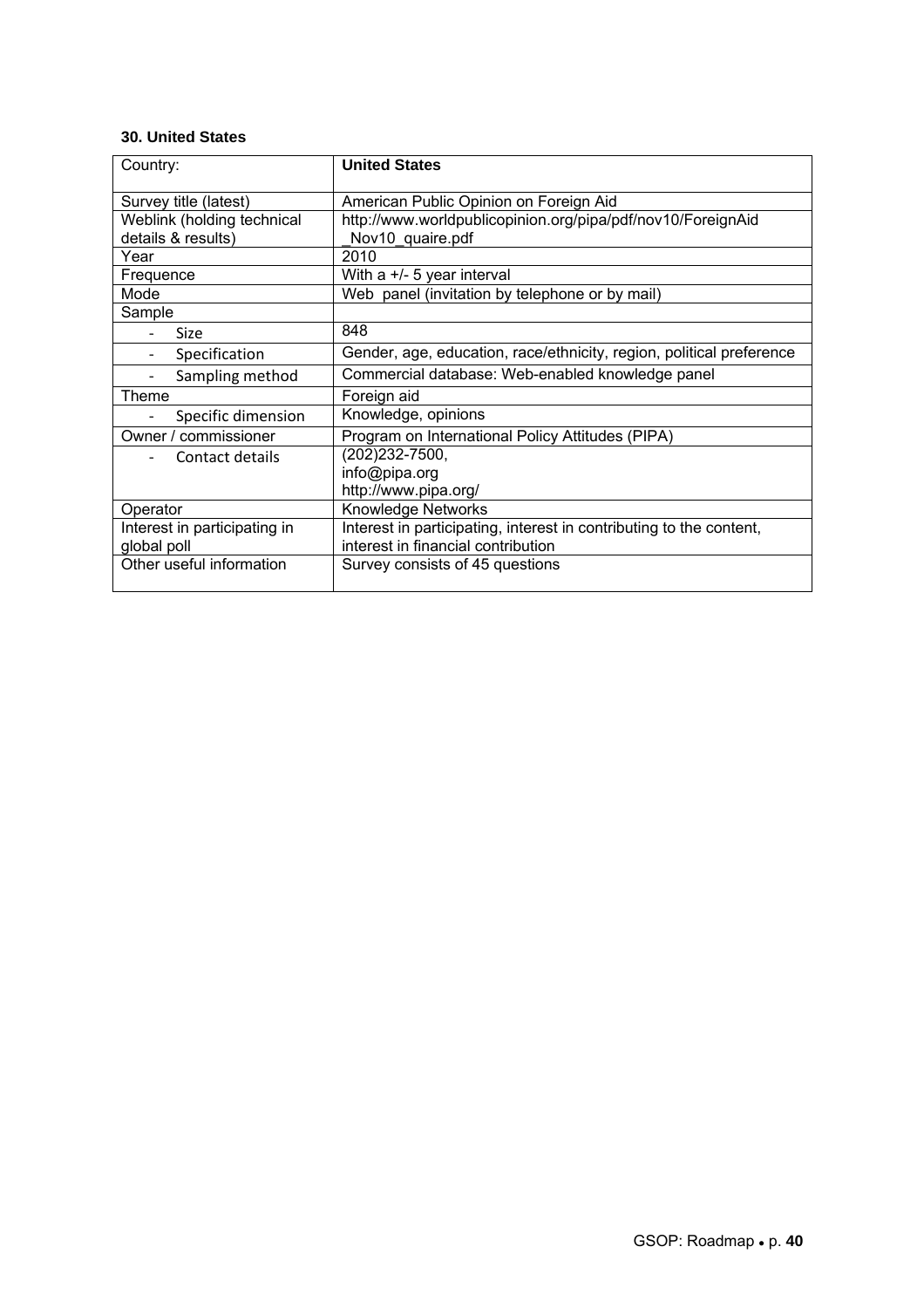#### **30. United States**

| Country:                     | <b>United States</b>                                                 |
|------------------------------|----------------------------------------------------------------------|
| Survey title (latest)        | American Public Opinion on Foreign Aid                               |
| Weblink (holding technical   | http://www.worldpublicopinion.org/pipa/pdf/nov10/ForeignAid          |
| details & results)           | Nov10 quaire.pdf                                                     |
| Year                         | 2010                                                                 |
| Frequence                    | With a +/- 5 year interval                                           |
| Mode                         | Web panel (invitation by telephone or by mail)                       |
| Sample                       |                                                                      |
| Size                         | 848                                                                  |
| Specification                | Gender, age, education, race/ethnicity, region, political preference |
| Sampling method              | Commercial database: Web-enabled knowledge panel                     |
| Theme                        | Foreign aid                                                          |
| Specific dimension           | Knowledge, opinions                                                  |
| Owner / commissioner         | Program on International Policy Attitudes (PIPA)                     |
| Contact details              | (202)232-7500,                                                       |
|                              | info@pipa.org                                                        |
|                              | http://www.pipa.org/                                                 |
| Operator                     | <b>Knowledge Networks</b>                                            |
| Interest in participating in | Interest in participating, interest in contributing to the content,  |
| global poll                  | interest in financial contribution                                   |
| Other useful information     | Survey consists of 45 questions                                      |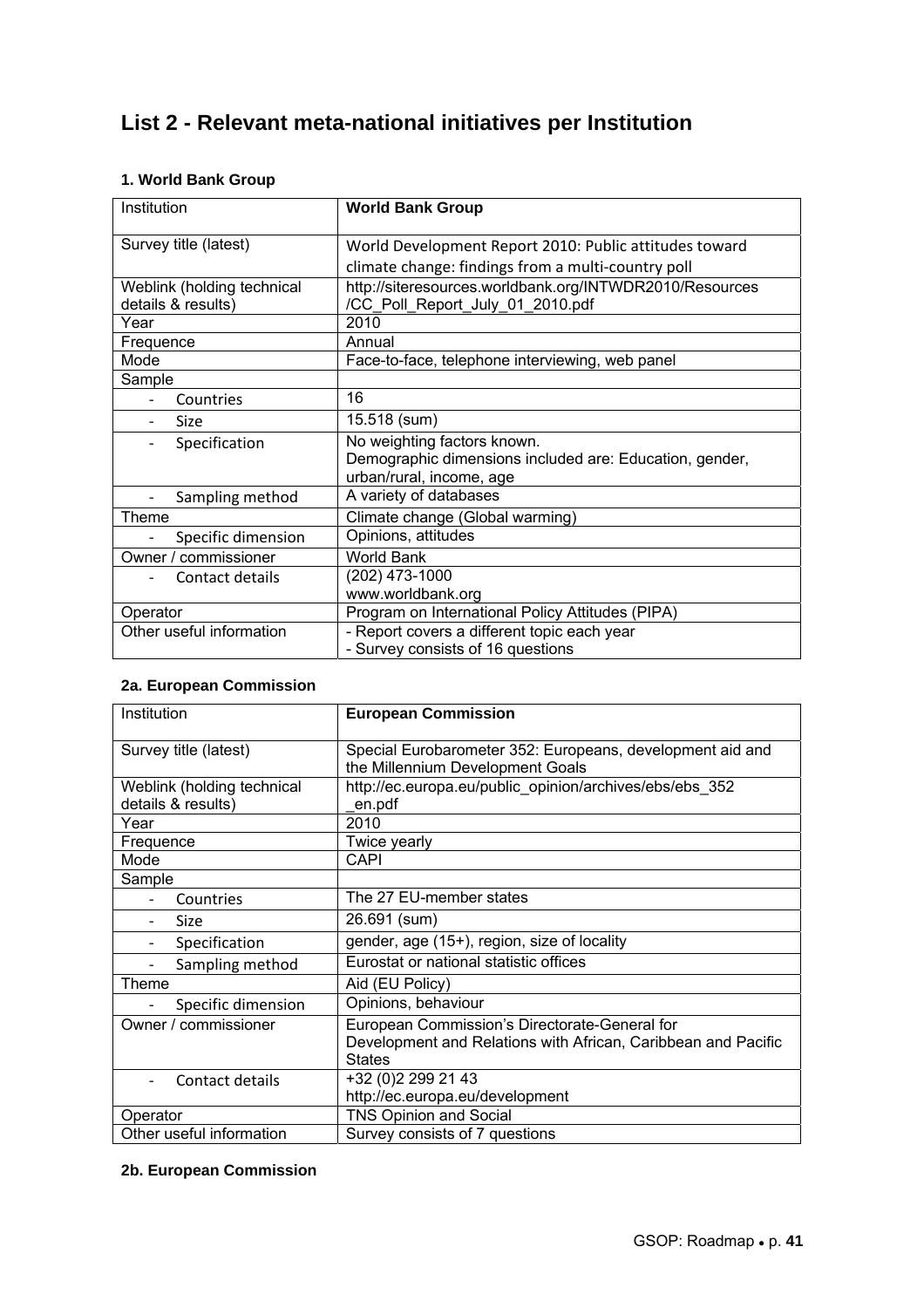## **List 2 - Relevant meta-national initiatives per Institution**

### **1. World Bank Group**

| Institution                | <b>World Bank Group</b>                                 |
|----------------------------|---------------------------------------------------------|
| Survey title (latest)      | World Development Report 2010: Public attitudes toward  |
|                            | climate change: findings from a multi-country poll      |
| Weblink (holding technical | http://siteresources.worldbank.org/INTWDR2010/Resources |
| details & results)         | /CC Poll Report July 01 2010.pdf                        |
| Year                       | 2010                                                    |
| Frequence                  | Annual                                                  |
| Mode                       | Face-to-face, telephone interviewing, web panel         |
| Sample                     |                                                         |
| Countries                  | 16                                                      |
| Size                       | 15.518 (sum)                                            |
| Specification              | No weighting factors known.                             |
|                            | Demographic dimensions included are: Education, gender, |
|                            | urban/rural, income, age                                |
| Sampling method            | A variety of databases                                  |
| Theme                      | Climate change (Global warming)                         |
| Specific dimension         | Opinions, attitudes                                     |
| Owner / commissioner       | World Bank                                              |
| Contact details            | (202) 473-1000                                          |
|                            | www.worldbank.org                                       |
| Operator                   | Program on International Policy Attitudes (PIPA)        |
| Other useful information   | - Report covers a different topic each year             |
|                            | - Survey consists of 16 questions                       |

### **2a. European Commission**

| Institution                | <b>European Commission</b>                                                                                                      |
|----------------------------|---------------------------------------------------------------------------------------------------------------------------------|
| Survey title (latest)      | Special Eurobarometer 352: Europeans, development aid and<br>the Millennium Development Goals                                   |
| Weblink (holding technical | http://ec.europa.eu/public_opinion/archives/ebs/ebs_352                                                                         |
| details & results)         | en.pdf                                                                                                                          |
| Year                       | 2010                                                                                                                            |
| Frequence                  | Twice yearly                                                                                                                    |
| Mode                       | <b>CAPI</b>                                                                                                                     |
| Sample                     |                                                                                                                                 |
| Countries                  | The 27 EU-member states                                                                                                         |
| <b>Size</b>                | 26.691 (sum)                                                                                                                    |
| Specification              | gender, age (15+), region, size of locality                                                                                     |
| Sampling method            | Eurostat or national statistic offices                                                                                          |
| Theme                      | Aid (EU Policy)                                                                                                                 |
| Specific dimension         | Opinions, behaviour                                                                                                             |
| Owner / commissioner       | European Commission's Directorate-General for<br>Development and Relations with African, Caribbean and Pacific<br><b>States</b> |
| Contact details            | +32 (0)2 299 21 43<br>http://ec.europa.eu/development                                                                           |
| Operator                   | <b>TNS Opinion and Social</b>                                                                                                   |
| Other useful information   | Survey consists of 7 questions                                                                                                  |

### **2b. European Commission**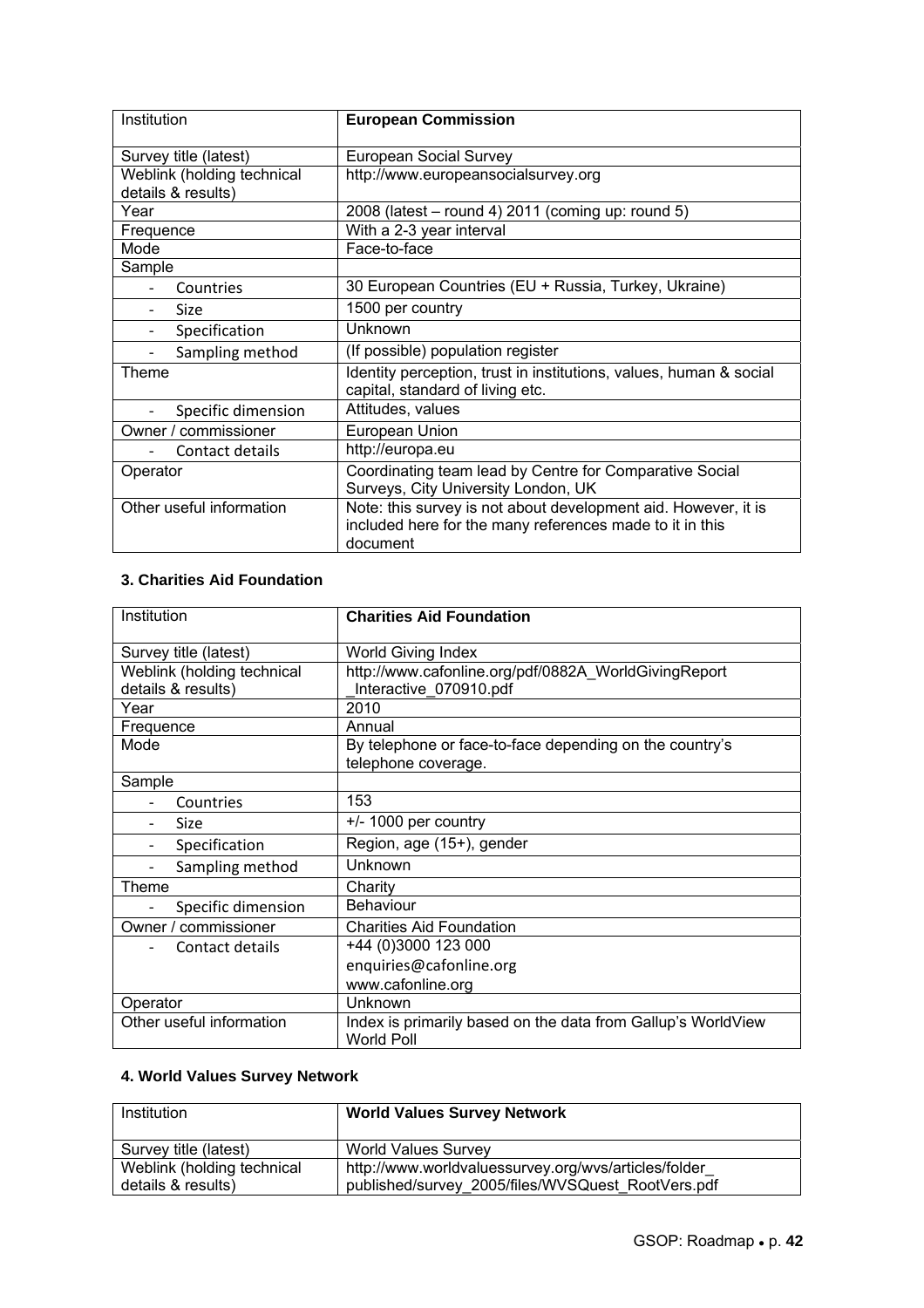| Institution                                      | <b>European Commission</b>                                                                                                             |
|--------------------------------------------------|----------------------------------------------------------------------------------------------------------------------------------------|
| Survey title (latest)                            | <b>European Social Survey</b>                                                                                                          |
| Weblink (holding technical<br>details & results) | http://www.europeansocialsurvey.org                                                                                                    |
| Year                                             | 2008 (latest – round 4) 2011 (coming up: round 5)                                                                                      |
| Frequence                                        | With a 2-3 year interval                                                                                                               |
| Mode                                             | Face-to-face                                                                                                                           |
| Sample                                           |                                                                                                                                        |
| Countries                                        | 30 European Countries (EU + Russia, Turkey, Ukraine)                                                                                   |
| <b>Size</b>                                      | 1500 per country                                                                                                                       |
| Specification                                    | Unknown                                                                                                                                |
| Sampling method                                  | (If possible) population register                                                                                                      |
| Theme                                            | Identity perception, trust in institutions, values, human & social<br>capital, standard of living etc.                                 |
| Specific dimension                               | Attitudes, values                                                                                                                      |
| Owner / commissioner                             | European Union                                                                                                                         |
| Contact details                                  | http://europa.eu                                                                                                                       |
| Operator                                         | Coordinating team lead by Centre for Comparative Social<br>Surveys, City University London, UK                                         |
| Other useful information                         | Note: this survey is not about development aid. However, it is<br>included here for the many references made to it in this<br>document |

### **3. Charities Aid Foundation**

| Institution                       | <b>Charities Aid Foundation</b>                                                   |
|-----------------------------------|-----------------------------------------------------------------------------------|
| Survey title (latest)             | <b>World Giving Index</b>                                                         |
| Weblink (holding technical        | http://www.cafonline.org/pdf/0882A_WorldGivingReport                              |
| details & results)                | Interactive 070910.pdf                                                            |
| Year                              | 2010                                                                              |
| Frequence                         | Annual                                                                            |
| Mode                              | By telephone or face-to-face depending on the country's                           |
|                                   | telephone coverage.                                                               |
| Sample                            |                                                                                   |
| Countries                         | 153                                                                               |
| Size                              | $+/- 1000$ per country                                                            |
| Specification                     | Region, age (15+), gender                                                         |
| Sampling method<br>$\overline{a}$ | Unknown                                                                           |
| Theme                             | Charity                                                                           |
| Specific dimension                | <b>Behaviour</b>                                                                  |
| Owner / commissioner              | <b>Charities Aid Foundation</b>                                                   |
| Contact details                   | +44 (0)3000 123 000                                                               |
|                                   | enquiries@cafonline.org                                                           |
|                                   | www.cafonline.org                                                                 |
| Operator                          | Unknown                                                                           |
| Other useful information          | Index is primarily based on the data from Gallup's WorldView<br><b>World Poll</b> |

### **4. World Values Survey Network**

| <b>World Values Survey Network</b>                                                                        |
|-----------------------------------------------------------------------------------------------------------|
| <b>World Values Survey</b>                                                                                |
| http://www.worldvaluessurvey.org/wvs/articles/folder<br>published/survey 2005/files/WVSQuest RootVers.pdf |
|                                                                                                           |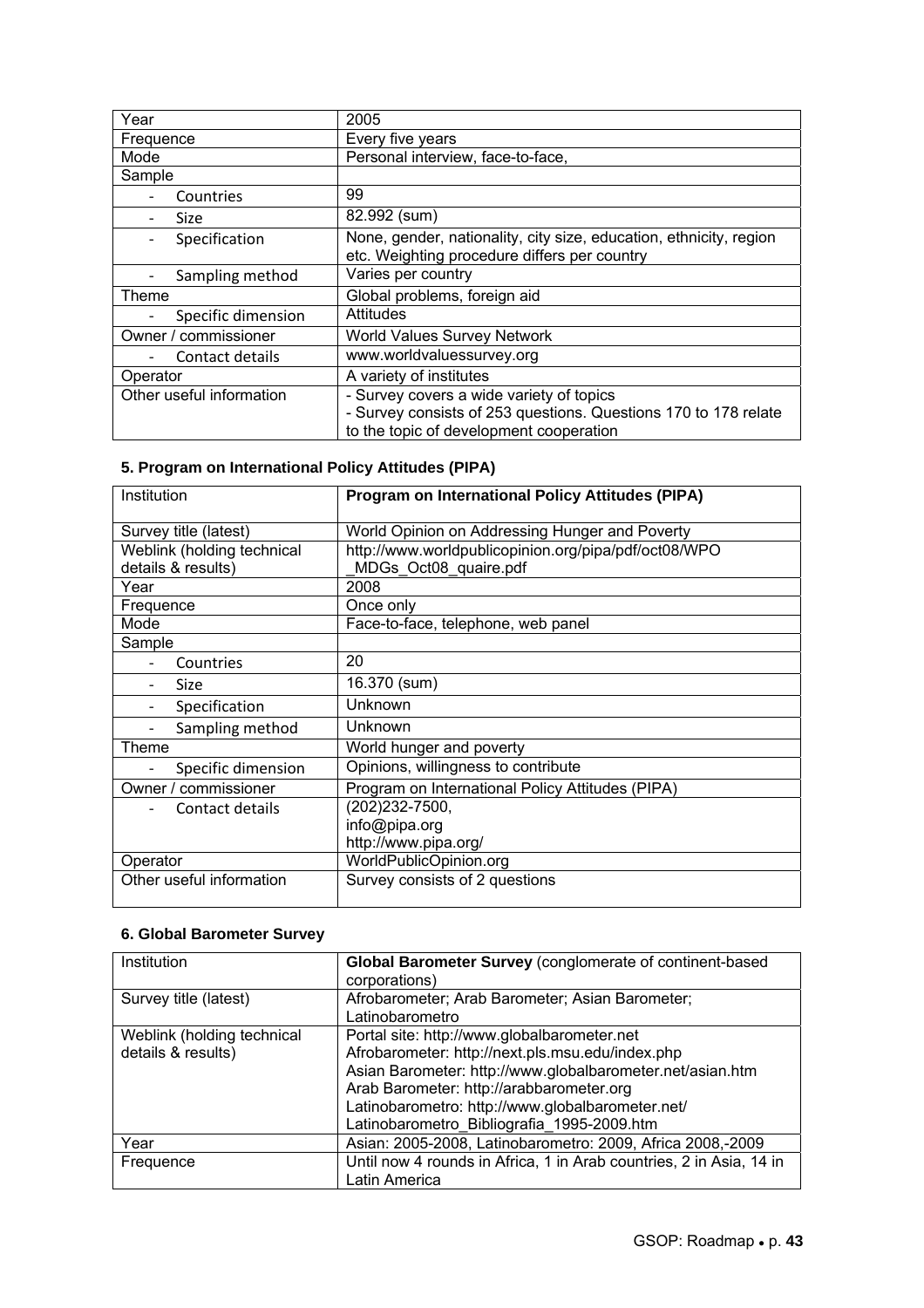| Year                     | 2005                                                                                                                                                   |
|--------------------------|--------------------------------------------------------------------------------------------------------------------------------------------------------|
| Frequence                | Every five years                                                                                                                                       |
| Mode                     | Personal interview, face-to-face,                                                                                                                      |
| Sample                   |                                                                                                                                                        |
| Countries                | 99                                                                                                                                                     |
| Size                     | 82.992 (sum)                                                                                                                                           |
| Specification            | None, gender, nationality, city size, education, ethnicity, region<br>etc. Weighting procedure differs per country                                     |
| Sampling method          | Varies per country                                                                                                                                     |
| Theme                    | Global problems, foreign aid                                                                                                                           |
| Specific dimension       | Attitudes                                                                                                                                              |
| Owner / commissioner     | <b>World Values Survey Network</b>                                                                                                                     |
| Contact details          | www.worldvaluessurvey.org                                                                                                                              |
| Operator                 | A variety of institutes                                                                                                                                |
| Other useful information | - Survey covers a wide variety of topics<br>- Survey consists of 253 questions. Questions 170 to 178 relate<br>to the topic of development cooperation |

### **5. Program on International Policy Attitudes (PIPA)**

| Institution                                      | <b>Program on International Policy Attitudes (PIPA)</b>                       |
|--------------------------------------------------|-------------------------------------------------------------------------------|
| Survey title (latest)                            | World Opinion on Addressing Hunger and Poverty                                |
| Weblink (holding technical<br>details & results) | http://www.worldpublicopinion.org/pipa/pdf/oct08/WPO<br>MDGs Oct08 quaire.pdf |
| Year                                             | 2008                                                                          |
| Frequence                                        | Once only                                                                     |
| Mode                                             | Face-to-face, telephone, web panel                                            |
| Sample                                           |                                                                               |
| Countries                                        | 20                                                                            |
| <b>Size</b>                                      | 16.370 (sum)                                                                  |
| Specification                                    | Unknown                                                                       |
| Sampling method                                  | Unknown                                                                       |
| Theme                                            | World hunger and poverty                                                      |
| Specific dimension                               | Opinions, willingness to contribute                                           |
| Owner / commissioner                             | Program on International Policy Attitudes (PIPA)                              |
| Contact details                                  | (202)232-7500,                                                                |
|                                                  | info@pipa.org                                                                 |
|                                                  | http://www.pipa.org/                                                          |
| Operator                                         | WorldPublicOpinion.org                                                        |
| Other useful information                         | Survey consists of 2 questions                                                |

### **6. Global Barometer Survey**

| Institution                | Global Barometer Survey (conglomerate of continent-based            |
|----------------------------|---------------------------------------------------------------------|
|                            | corporations)                                                       |
| Survey title (latest)      | Afrobarometer; Arab Barometer; Asian Barometer;                     |
|                            | Latinobarometro                                                     |
| Weblink (holding technical | Portal site: http://www.globalbarometer.net                         |
| details & results)         | Afrobarometer: http://next.pls.msu.edu/index.php                    |
|                            | Asian Barometer: http://www.globalbarometer.net/asian.htm           |
|                            | Arab Barometer: http://arabbarometer.org                            |
|                            | Latinobarometro: http://www.globalbarometer.net/                    |
|                            | Latinobarometro Bibliografia 1995-2009.htm                          |
| Year                       | Asian: 2005-2008, Latinobarometro: 2009, Africa 2008,-2009          |
| Frequence                  | Until now 4 rounds in Africa, 1 in Arab countries, 2 in Asia, 14 in |
|                            | Latin America                                                       |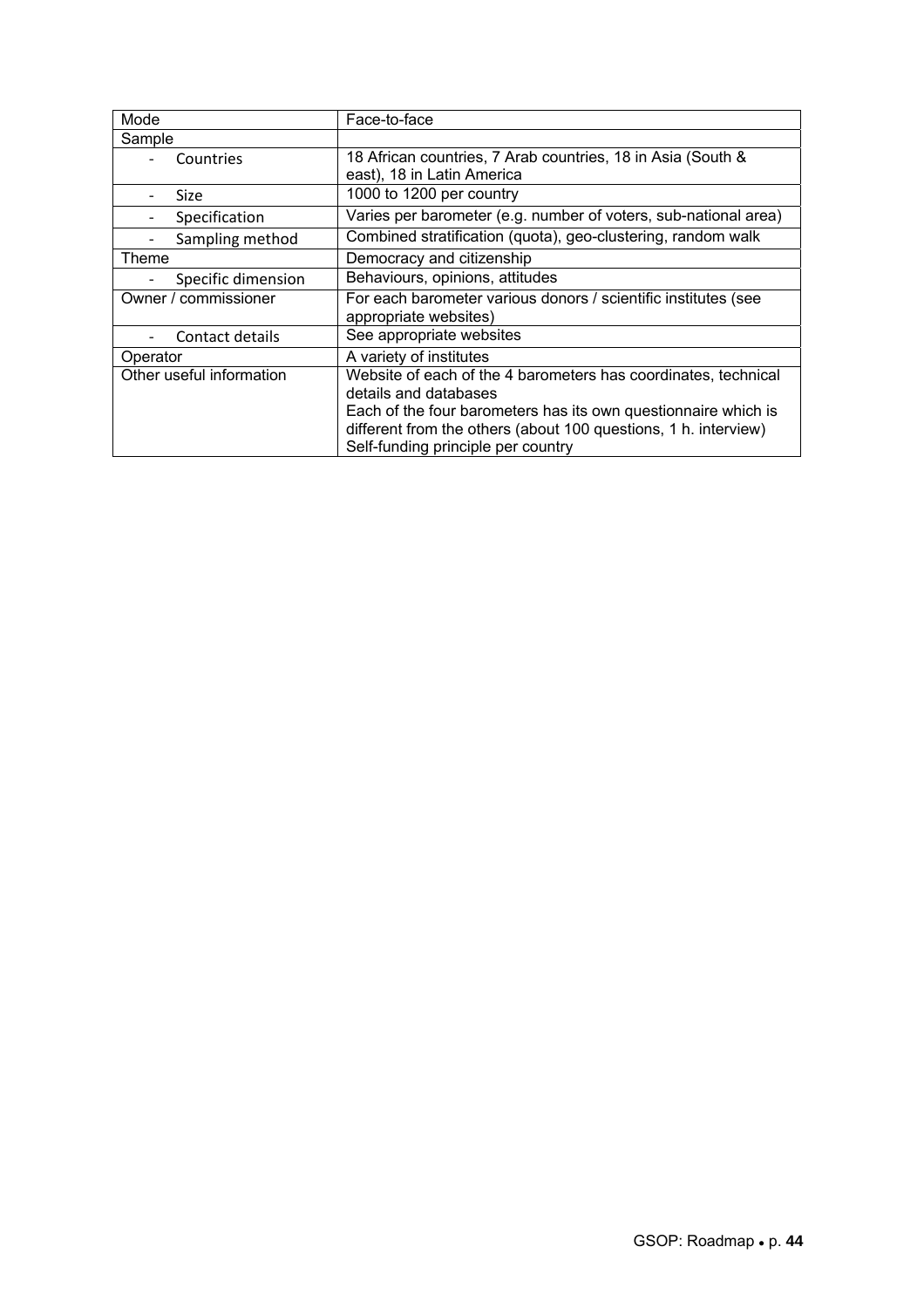| Mode                     | Face-to-face                                                    |
|--------------------------|-----------------------------------------------------------------|
| Sample                   |                                                                 |
| Countries                | 18 African countries, 7 Arab countries, 18 in Asia (South &     |
|                          | east), 18 in Latin America                                      |
| <b>Size</b>              | 1000 to 1200 per country                                        |
| Specification            | Varies per barometer (e.g. number of voters, sub-national area) |
| Sampling method          | Combined stratification (quota), geo-clustering, random walk    |
| Theme                    | Democracy and citizenship                                       |
| Specific dimension       | Behaviours, opinions, attitudes                                 |
| Owner / commissioner     | For each barometer various donors / scientific institutes (see  |
|                          | appropriate websites)                                           |
| Contact details          | See appropriate websites                                        |
| Operator                 | A variety of institutes                                         |
| Other useful information | Website of each of the 4 barometers has coordinates, technical  |
|                          | details and databases                                           |
|                          | Each of the four barometers has its own questionnaire which is  |
|                          | different from the others (about 100 questions, 1 h. interview) |
|                          | Self-funding principle per country                              |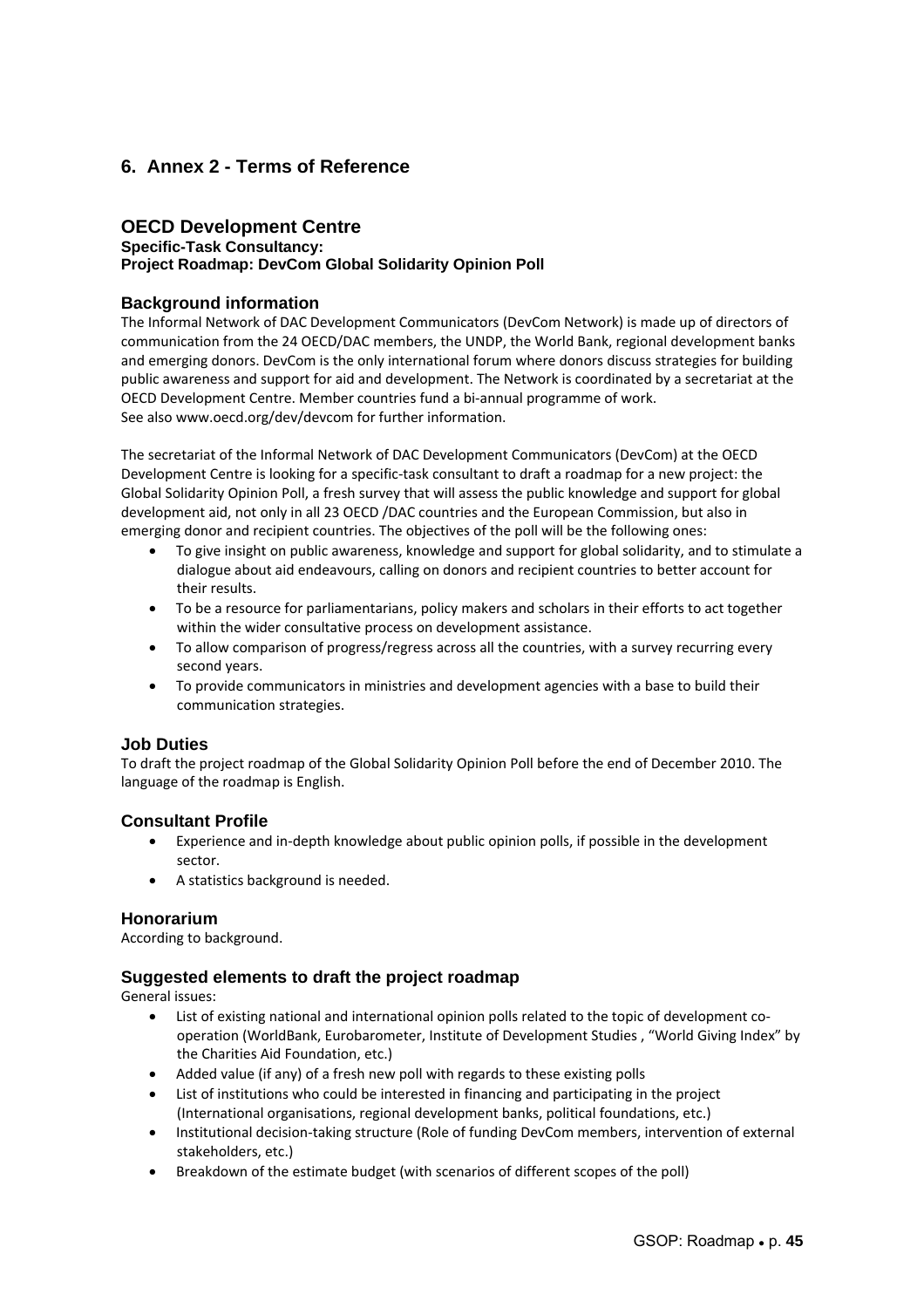### **6. Annex 2 - Terms of Reference**

### **OECD Development Centre**

### **Specific-Task Consultancy:**

#### **Project Roadmap: DevCom Global Solidarity Opinion Poll**

#### **Background information**

The Informal Network of DAC Development Communicators (DevCom Network) is made up of directors of communication from the 24 OECD/DAC members, the UNDP, the World Bank, regional development banks and emerging donors. DevCom is the only international forum where donors discuss strategies for building public awareness and support for aid and development. The Network is coordinated by a secretariat at the OECD Development Centre. Member countries fund a bi‐annual programme of work. See also www.oecd.org/dev/devcom for further information.

The secretariat of the Informal Network of DAC Development Communicators (DevCom) at the OECD Development Centre is looking for a specific‐task consultant to draft a roadmap for a new project: the Global Solidarity Opinion Poll, a fresh survey that will assess the public knowledge and support for global development aid, not only in all 23 OECD /DAC countries and the European Commission, but also in emerging donor and recipient countries. The objectives of the poll will be the following ones:

- To give insight on public awareness, knowledge and support for global solidarity, and to stimulate a dialogue about aid endeavours, calling on donors and recipient countries to better account for their results.
- To be a resource for parliamentarians, policy makers and scholars in their efforts to act together within the wider consultative process on development assistance.
- To allow comparison of progress/regress across all the countries, with a survey recurring every second years.
- To provide communicators in ministries and development agencies with a base to build their communication strategies.

### **Job Duties**

To draft the project roadmap of the Global Solidarity Opinion Poll before the end of December 2010. The language of the roadmap is English.

#### **Consultant Profile**

- Experience and in‐depth knowledge about public opinion polls, if possible in the development sector.
- A statistics background is needed.

#### **Honorarium**

According to background.

#### **Suggested elements to draft the project roadmap**

General issues:

- List of existing national and international opinion polls related to the topic of development cooperation (WorldBank, Eurobarometer, Institute of Development Studies , "World Giving Index" by the Charities Aid Foundation, etc.)
- Added value (if any) of a fresh new poll with regards to these existing polls
- List of institutions who could be interested in financing and participating in the project (International organisations, regional development banks, political foundations, etc.)
- Institutional decision‐taking structure (Role of funding DevCom members, intervention of external stakeholders, etc.)
- Breakdown of the estimate budget (with scenarios of different scopes of the poll)